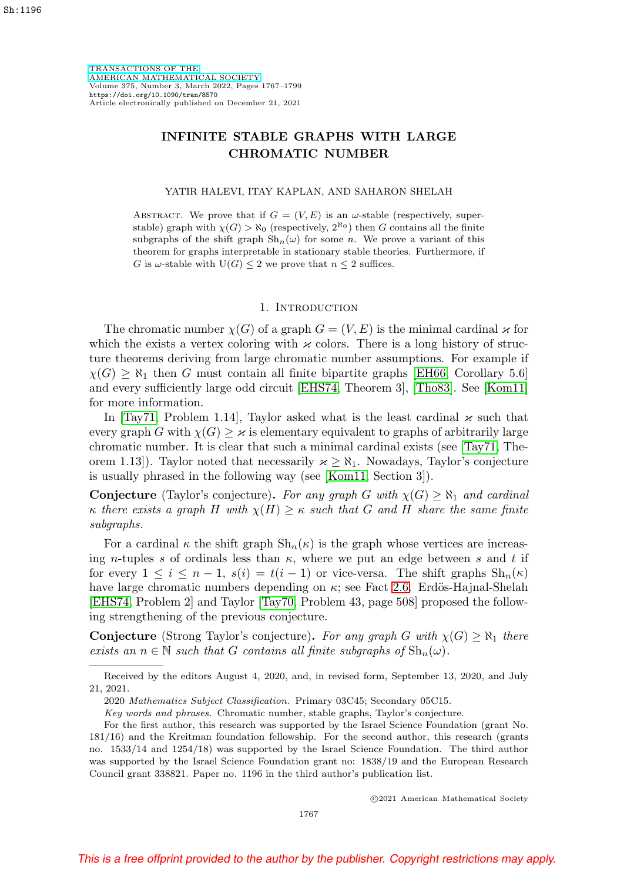[TRANSACTIONS OF THE](https://www.ams.org/tran/) [AMERICAN MATHEMATICAL SOCIETY](https://www.ams.org/tran/) Volume 375, Number 3, March 2022, Pages 1767–1799 <https://doi.org/10.1090/tran/8570> Article electronically published on December 21, 2021

# **INFINITE STABLE GRAPHS WITH LARGE CHROMATIC NUMBER**

### YATIR HALEVI, ITAY KAPLAN, AND SAHARON SHELAH

ABSTRACT. We prove that if  $G = (V, E)$  is an  $\omega$ -stable (respectively, superstable) graph with  $\chi(G) > \aleph_0$  (respectively,  $2^{\aleph_0}$ ) then G contains all the finite subgraphs of the shift graph  $\mathrm{Sh}_n(\omega)$  for some n. We prove a variant of this theorem for graphs interpretable in stationary stable theories. Furthermore, if G is  $\omega$ -stable with  $U(G) \leq 2$  we prove that  $n \leq 2$  suffices.

#### 1. INTRODUCTION

The chromatic number  $\chi(G)$  of a graph  $G = (V, E)$  is the minimal cardinal  $\varkappa$  for which the exists a vertex coloring with  $\varkappa$  colors. There is a long history of structure theorems deriving from large chromatic number assumptions. For example if  $\chi(G) \geq \aleph_1$  then G must contain all finite bipartite graphs [\[EH66,](#page-31-0) Corollary 5.6] and every sufficiently large odd circuit [\[EHS74,](#page-31-1) Theorem 3], [\[Tho83\]](#page-31-2). See [\[Kom11\]](#page-31-3) for more information.

In [\[Tay71,](#page-31-4) Problem 1.14], Taylor asked what is the least cardinal  $\varkappa$  such that every graph G with  $\chi(G) \geq \varkappa$  is elementary equivalent to graphs of arbitrarily large chromatic number. It is clear that such a minimal cardinal exists (see [\[Tay71,](#page-31-4) Theorem 1.13]). Taylor noted that necessarily  $\varkappa \geq \aleph_1$ . Nowadays, Taylor's conjecture is usually phrased in the following way (see [\[Kom11,](#page-31-3) Section 3]).

**Conjecture** (Taylor's conjecture). For any graph G with  $\chi(G) \geq \aleph_1$  and cardinal κ there exists a graph H with  $\chi(H) \geq \kappa$  such that G and H share the same finite subgraphs.

For a cardinal  $\kappa$  the shift graph  $\mathrm{Sh}_n(\kappa)$  is the graph whose vertices are increasing n-tuples s of ordinals less than  $\kappa$ , where we put an edge between s and t if for every  $1 \leq i \leq n-1$ ,  $s(i) = t(i-1)$  or vice-versa. The shift graphs  $\text{Sh}_n(\kappa)$ have large chromatic numbers depending on  $\kappa$ ; see Fact [2.6.](#page-3-0) Erdös-Hajnal-Shelah [\[EHS74,](#page-31-1) Problem 2] and Taylor [\[Tay70,](#page-31-5) Problem 43, page 508] proposed the following strengthening of the previous conjecture.

**Conjecture** (Strong Taylor's conjecture). For any graph G with  $\chi(G) \geq \aleph_1$  there exists an  $n \in \mathbb{N}$  such that G contains all finite subgraphs of  $\mathrm{Sh}_n(\omega)$ .

c 2021 American Mathematical Society

Received by the editors August 4, 2020, and, in revised form, September 13, 2020, and July 21, 2021.

<sup>2020</sup> Mathematics Subject Classification. Primary 03C45; Secondary 05C15.

Key words and phrases. Chromatic number, stable graphs, Taylor's conjecture.

For the first author, this research was supported by the Israel Science Foundation (grant No. 181/16) and the Kreitman foundation fellowship. For the second author, this research (grants no. 1533/14 and 1254/18) was supported by the Israel Science Foundation. The third author was supported by the Israel Science Foundation grant no: 1838/19 and the European Research Council grant 338821. Paper no. 1196 in the third author's publication list.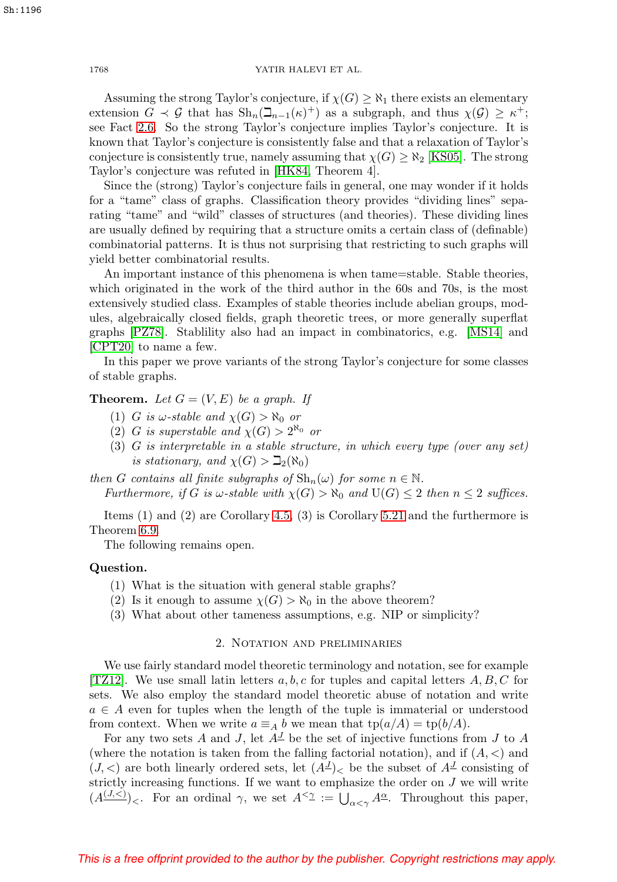Assuming the strong Taylor's conjecture, if  $\chi(G) \geq \aleph_1$  there exists an elementary extension  $G \prec \mathcal{G}$  that has  $\text{Sh}_n(\mathbb{Z}_{n-1}(\kappa)^+)$  as a subgraph, and thus  $\chi(\mathcal{G}) \geq \kappa^+$ ; see Fact [2.6.](#page-3-0) So the strong Taylor's conjecture implies Taylor's conjecture. It is known that Taylor's conjecture is consistently false and that a relaxation of Taylor's conjecture is consistently true, namely assuming that  $\chi(G) \geq \aleph_2$  [\[KS05\]](#page-31-6). The strong Taylor's conjecture was refuted in [\[HK84,](#page-31-7) Theorem 4].

Since the (strong) Taylor's conjecture fails in general, one may wonder if it holds for a "tame" class of graphs. Classification theory provides "dividing lines" separating "tame" and "wild" classes of structures (and theories). These dividing lines are usually defined by requiring that a structure omits a certain class of (definable) combinatorial patterns. It is thus not surprising that restricting to such graphs will yield better combinatorial results.

An important instance of this phenomena is when tame=stable. Stable theories, which originated in the work of the third author in the 60s and 70s, is the most extensively studied class. Examples of stable theories include abelian groups, modules, algebraically closed fields, graph theoretic trees, or more generally superflat graphs [\[PZ78\]](#page-31-8). Stablility also had an impact in combinatorics, e.g. [\[MS14\]](#page-31-9) and [\[CPT20\]](#page-30-0) to name a few.

In this paper we prove variants of the strong Taylor's conjecture for some classes of stable graphs.

**Theorem.** Let  $G = (V, E)$  be a graph. If

- (1) G is  $\omega$ -stable and  $\chi(G) > \aleph_0$  or
- (2) G is superstable and  $\chi(G) > 2^{\aleph_0}$  or
- (3) G is interpretable in a stable structure, in which every type (over any set) is stationary, and  $\chi(G) > \mathbb{Z}_2(\aleph_0)$

then G contains all finite subgraphs of  $\mathrm{Sh}_n(\omega)$  for some  $n \in \mathbb{N}$ . Furthermore, if G is  $\omega$ -stable with  $\chi(G) > \aleph_0$  and  $U(G) \leq 2$  then  $n \leq 2$  suffices.

Items (1) and (2) are Corollary [4.5,](#page-16-0) (3) is Corollary [5.21](#page-24-0) and the furthermore is Theorem [6.9.](#page-29-0)

The following remains open.

## **Question.**

- (1) What is the situation with general stable graphs?
- (2) Is it enough to assume  $\chi(G) > \aleph_0$  in the above theorem?
- (3) What about other tameness assumptions, e.g. NIP or simplicity?

## 2. Notation and preliminaries

We use fairly standard model theoretic terminology and notation, see for example [\[TZ12\]](#page-31-10). We use small latin letters  $a, b, c$  for tuples and capital letters  $A, B, C$  for sets. We also employ the standard model theoretic abuse of notation and write  $a \in A$  even for tuples when the length of the tuple is immaterial or understood from context. When we write  $a \equiv_A b$  we mean that  $\text{tp}(a/A) = \text{tp}(b/A)$ .

For any two sets A and J, let  $A^{\perp}$  be the set of injective functions from J to A (where the notation is taken from the falling factorial notation), and if  $(A, \leq)$  and  $(J,<)$  are both linearly ordered sets, let  $(A^J)<$  be the subset of  $A^J$  consisting of strictly increasing functions. If we want to emphasize the order on  $J$  we will write  $(A^{(J,<)}_{\sim})_{\sim}$ . For an ordinal  $\gamma$ , we set  $A^{\leq \gamma} := \bigcup_{\alpha \leq \gamma} A^{\underline{\alpha}}$ . Throughout this paper,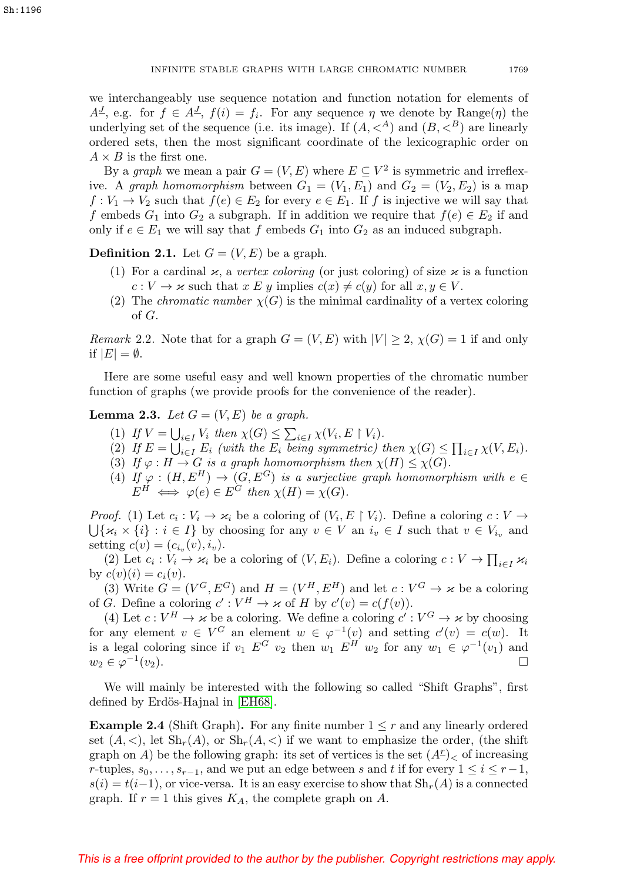we interchangeably use sequence notation and function notation for elements of  $A^{\underline{J}}$ , e.g. for  $f \in A^{\underline{J}}$ ,  $f(i) = f_i$ . For any sequence  $\eta$  we denote by Range $(\eta)$  the underlying set of the sequence (i.e. its image). If  $(A, \langle A \rangle)$  and  $(B, \langle B \rangle)$  are linearly ordered sets, then the most significant coordinate of the lexicographic order on  $A \times B$  is the first one.

By a graph we mean a pair  $G = (V, E)$  where  $E \subseteq V^2$  is symmetric and irreflexive. A graph homomorphism between  $G_1 = (V_1, E_1)$  and  $G_2 = (V_2, E_2)$  is a map  $f: V_1 \to V_2$  such that  $f(e) \in E_2$  for every  $e \in E_1$ . If f is injective we will say that f embeds  $G_1$  into  $G_2$  a subgraph. If in addition we require that  $f(e) \in E_2$  if and only if  $e \in E_1$  we will say that f embeds  $G_1$  into  $G_2$  as an induced subgraph.

**Definition 2.1.** Let  $G = (V, E)$  be a graph.

- (1) For a cardinal  $\varkappa$ , a vertex coloring (or just coloring) of size  $\varkappa$  is a function  $c: V \to \varkappa$  such that  $x \to y$  implies  $c(x) \neq c(y)$  for all  $x, y \in V$ .
- (2) The *chromatic number*  $\chi(G)$  is the minimal cardinality of a vertex coloring of G.

*Remark* 2.2. Note that for a graph  $G = (V, E)$  with  $|V| \geq 2$ ,  $\chi(G) = 1$  if and only if  $|E| = \emptyset$ .

Here are some useful easy and well known properties of the chromatic number function of graphs (we provide proofs for the convenience of the reader).

## <span id="page-2-0"></span>**Lemma 2.3.** Let  $G = (V, E)$  be a graph.

- (1) If  $V = \bigcup_{i \in I} V_i$  then  $\chi(G) \leq \sum_{i \in I} \chi(V_i, E \restriction V_i)$ .
- (2) If  $E = \bigcup_{i \in I} E_i$  (with the  $E_i$  being symmetric) then  $\chi(G) \leq \prod_{i \in I} \chi(V, E_i)$ .
- (3) If  $\varphi: H \to G$  is a graph homomorphism then  $\chi(H) \leq \chi(G)$ .
- (4) If  $\varphi : (H, E^H) \to (G, E^G)$  is a surjective graph homomorphism with  $e \in$  $E^H \iff \varphi(e) \in E^G$  then  $\chi(H) = \chi(G)$ .

*Proof.* (1) Let  $c_i : V_i \to \kappa_i$  be a coloring of  $(V_i, E \restriction V_i)$ . Define a coloring  $c : V \to$  $\bigcup \{\varkappa_i \times \{i\} : i \in I\}$  by choosing for any  $v \in V$  an  $i_v \in I$  such that  $v \in V_{i_v}$  and setting  $c(v)=(c_{i_v}(v), i_v)$ .

(2) Let  $c_i : V_i \to \kappa_i$  be a coloring of  $(V, E_i)$ . Define a coloring  $c : V \to \prod_{i \in I} \kappa_i$ by  $c(v)(i) = c_i(v)$ .

(3) Write  $G = (V^G, E^G)$  and  $H = (V^H, E^H)$  and let  $c: V^G \to \kappa$  be a coloring of G. Define a coloring  $c': V^H \to \kappa$  of H by  $c'(v) = c(f(v))$ .

(4) Let  $c: V^H \to \kappa$  be a coloring. We define a coloring  $c': V^G \to \kappa$  by choosing for any element  $v \in V^G$  an element  $w \in \varphi^{-1}(v)$  and setting  $c'(v) = c(w)$ . It is a legal coloring since if  $v_1 E^G v_2$  then  $w_1 E^H w_2$  for any  $w_1 \in \varphi^{-1}(v_1)$  and  $w_2 \in \varphi^{-1}(v_2).$ 

We will mainly be interested with the following so called "Shift Graphs", first defined by Erdös-Hajnal in [\[EH68\]](#page-31-11).

**Example 2.4** (Shift Graph). For any finite number  $1 \leq r$  and any linearly ordered set  $(A, \leq)$ , let  $\mathrm{Sh}_r(A)$ , or  $\mathrm{Sh}_r(A, \leq)$  if we want to emphasize the order, (the shift graph on A) be the following graph: its set of vertices is the set  $(A<sup>r</sup>)<sub>0</sub>$  of increasing r-tuples,  $s_0, \ldots, s_{r-1}$ , and we put an edge between s and t if for every  $1 \leq i \leq r-1$ ,  $s(i) = t(i-1)$ , or vice-versa. It is an easy exercise to show that  $\text{Sh}_{r}(A)$  is a connected graph. If  $r = 1$  this gives  $K_A$ , the complete graph on A.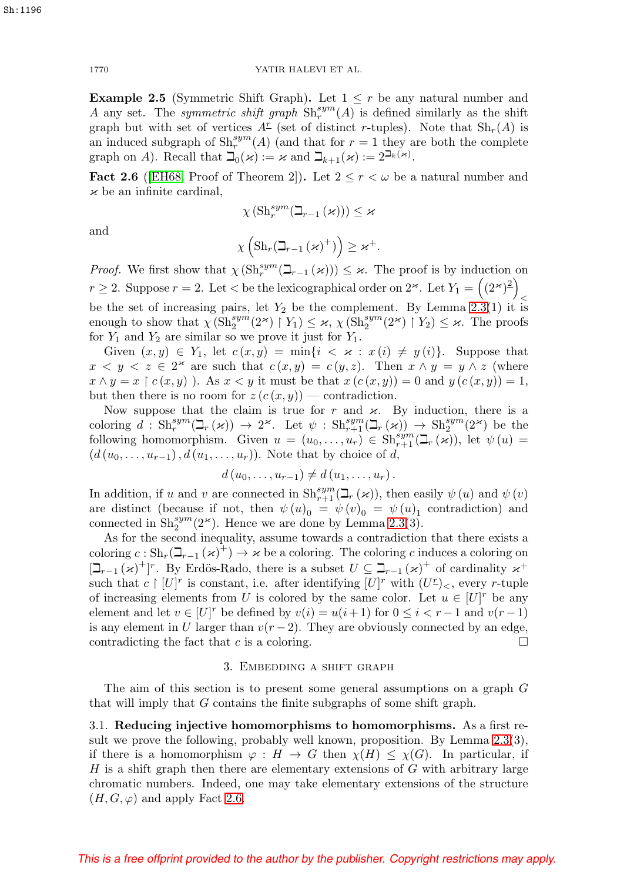**Example 2.5** (Symmetric Shift Graph). Let  $1 \leq r$  be any natural number and A any set. The *symmetric shift graph*  $\text{Sh}_r^{sym}(A)$  is defined similarly as the shift graph but with set of vertices  $A^{\mathcal{I}}$  (set of distinct r-tuples). Note that  $\text{Sh}_{r}(A)$  is an induced subgraph of  $\text{Sh}_r^{sym}(A)$  (and that for  $r = 1$  they are both the complete graph on A). Recall that  $\mathbb{I}_0(\varkappa) := \varkappa$  and  $\mathbb{I}_{k+1}(\varkappa) := 2^{\mathbb{I}_{k}(\varkappa)}$ .

<span id="page-3-0"></span>**Fact 2.6** ([\[EH68,](#page-31-11) Proof of Theorem 2]). Let  $2 \le r < \omega$  be a natural number and  $\varkappa$  be an infinite cardinal,

$$
\chi\left(\mathrm{Sh}^{sym}_r(\beth_{r-1}\left(\varkappa\right)\right)\right)\leq\varkappa
$$

and

$$
\chi\left(\mathrm{Sh}_r\big(\beth_{r-1}\left(\varkappa\right)^+\right)\right)\geq\varkappa^+.
$$

*Proof.* We first show that  $\chi(\text{Sh}_r^{sym}(\mathcal{I}_{r-1}(\varkappa))) \leq \varkappa$ . The proof is by induction on  $r \geq 2$ . Suppose  $r = 2$ . Let  $\lt$  be the lexicographical order on  $2^*$ . Let  $Y_1 = \left( (2^*)^2 \right)$  $\,<$ be the set of increasing pairs, let  $Y_2$  be the complement. By Lemma [2.3\(](#page-2-0)1) it is enough to show that  $\chi(\mathrm{Sh}_2^{sym}(2^{\varkappa}) \restriction Y_1) \leq \varkappa$ ,  $\chi(\mathrm{Sh}_2^{sym}(2^{\varkappa}) \restriction Y_2) \leq \varkappa$ . The proofs for  $Y_1$  and  $Y_2$  are similar so we prove it just for  $Y_1$ .

Given  $(x, y) \in Y_1$ , let  $c(x, y) = \min\{i \leq x : x(i) \neq y(i)\}\$ . Suppose that  $x < y < z \in 2^{\infty}$  are such that  $c(x, y) = c(y, z)$ . Then  $x \wedge y = y \wedge z$  (where  $x \wedge y = x \upharpoonright c(x, y)$ . As  $x < y$  it must be that  $x (c(x, y)) = 0$  and  $y (c(x, y)) = 1$ , but then there is no room for  $z(c(x, y))$  — contradiction.

Now suppose that the claim is true for r and  $\varkappa$ . By induction, there is a coloring  $d : Sh_r^{sym}(\mathcal{L}_r(\varkappa)) \to 2^\varkappa$ . Let  $\psi : Sh_{r+1}^{sym}(\mathcal{L}_r(\varkappa)) \to Sh_2^{sym}(2^\varkappa)$  be the following homomorphism. Given  $u = (u_0, \ldots, u_r) \in Sh^{sym}_{r+1}(\mathcal{L}_r(\varkappa))$ , let  $\psi(u) =$  $(d (u_0, \ldots, u_{r-1}), d (u_1, \ldots, u_r)).$  Note that by choice of d,

$$
d(u_0,\ldots,u_{r-1})\neq d(u_1,\ldots,u_r).
$$

In addition, if u and v are connected in  $\text{Sh}_{r+1}^{sym}(\mathbb{L}_r (\varkappa))$ , then easily  $\psi(u)$  and  $\psi(v)$ are distinct (because if not, then  $\psi(u)_0 = \psi(v)_0 = \psi(u)_1$  contradiction) and connected in  $\text{Sh}_2^{\text{sym}}(2^\varkappa)$ . Hence we are done by Lemma [2.3\(](#page-2-0)3).

As for the second inequality, assume towards a contradiction that there exists a coloring  $c : \mathrm{Sh}_r(\mathbb{L}_{r-1} (\varkappa)^{\mathbb{+}}) \to \varkappa$  be a coloring. The coloring c induces a coloring on  $[\mathcal{L}_{r-1}(\varkappa)^+]^r$ . By Erdös-Rado, there is a subset  $U \subseteq \mathcal{L}_{r-1}(\varkappa)^+$  of cardinality  $\varkappa^+$ such that  $c \restriction [U]^r$  is constant, i.e. after identifying  $[U]^r$  with  $(U^{\mathcal{L}})_{\leq}$ , every r-tuple of increasing elements from U is colored by the same color. Let  $u \in [U]^r$  be any element and let  $v \in [U]^r$  be defined by  $v(i) = u(i+1)$  for  $0 \le i < r-1$  and  $v(r-1)$ is any element in U larger than  $v(r-2)$ . They are obviously connected by an edge, contradicting the fact that c is a coloring.  $\square$ 

## 3. Embedding a shift graph

The aim of this section is to present some general assumptions on a graph  $G$ that will imply that G contains the finite subgraphs of some shift graph.

3.1. **Reducing injective homomorphisms to homomorphisms.** As a first result we prove the following, probably well known, proposition. By Lemma [2.3\(](#page-2-0)3), if there is a homomorphism  $\varphi : H \to G$  then  $\chi(H) \leq \chi(G)$ . In particular, if  $H$  is a shift graph then there are elementary extensions of  $G$  with arbitrary large chromatic numbers. Indeed, one may take elementary extensions of the structure  $(H, G, \varphi)$  and apply Fact [2.6.](#page-3-0)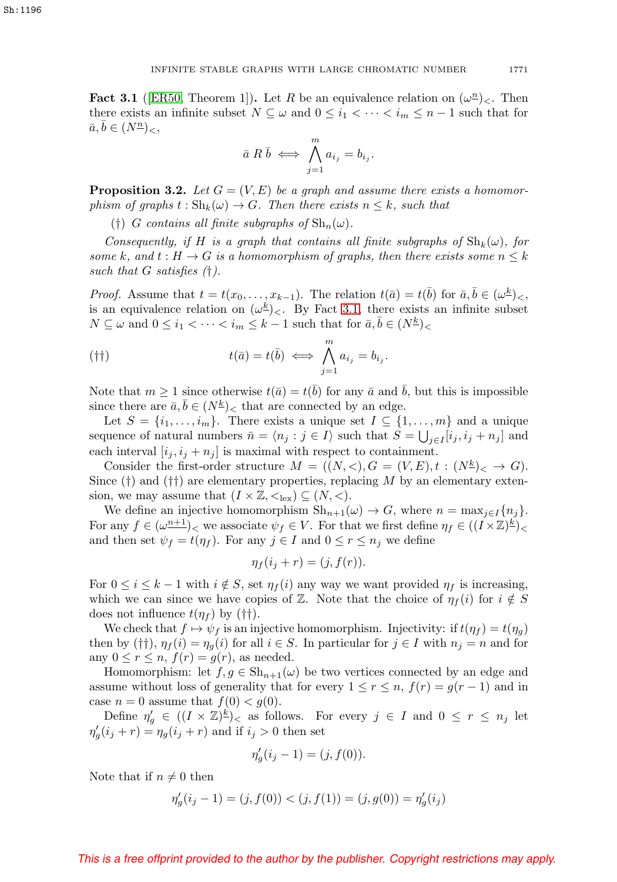<span id="page-4-0"></span>**Fact 3.1** ([\[ER50,](#page-31-12) Theorem 1]). Let R be an equivalence relation on  $(\omega^n)_{\leq}$ . Then there exists an infinite subset  $N \subseteq \omega$  and  $0 \leq i_1 < \cdots < i_m \leq n-1$  such that for  $\bar{a}, \bar{b} \in (N^{\underline{n}})_{\leq},$ 

$$
\bar{a} \; R \; \bar{b} \; \Longleftrightarrow \; \bigwedge_{j=1}^{m} a_{i_j} = b_{i_j}.
$$

<span id="page-4-1"></span>**Proposition 3.2.** Let  $G = (V, E)$  be a graph and assume there exists a homomorphism of graphs  $t : Sh_k(\omega) \to G$ . Then there exists  $n \leq k$ , such that

(†) G contains all finite subgraphs of  $\mathrm{Sh}_n(\omega)$ .

Consequently, if H is a graph that contains all finite subgraphs of  $\text{Sh}_k(\omega)$ , for some k, and  $t : H \to G$  is a homomorphism of graphs, then there exists some  $n \leq k$ such that  $G$  satisfies  $(†)$ .

*Proof.* Assume that  $t = t(x_0, \ldots, x_{k-1})$ . The relation  $t(\bar{a}) = t(\bar{b})$  for  $\bar{a}, \bar{b} \in (\omega^{\underline{k}})_{\leq}$ , is an equivalence relation on  $(\omega^k)_{\leq}$ . By Fact [3.1,](#page-4-0) there exists an infinite subset  $N \subseteq \omega$  and  $0 \leq i_1 < \cdots < i_m \leq k-1$  such that for  $\bar{a}, b \in (N^{\underline{k}})_{\leq k}$ 

$$
(†\dagger) \t t(\bar{a}) = t(\bar{b}) \iff \bigwedge_{j=1}^{m} a_{i_j} = b_{i_j}.
$$

Note that  $m \ge 1$  since otherwise  $t(\bar{a}) = t(\bar{b})$  for any  $\bar{a}$  and  $\bar{b}$ , but this is impossible since there are  $\bar{a}, \bar{b} \in (N^{\underline{k}})_{\leq}$  that are connected by an edge.

Let  $S = \{i_1, \ldots, i_m\}$ . There exists a unique set  $I \subseteq \{1, \ldots, m\}$  and a unique sequence of natural numbers  $\bar{n} = \langle n_j : j \in I \rangle$  such that  $S = \bigcup_{j \in I} [i_j, i_j + n_j]$  and each interval  $[i_j, i_j + n_j]$  is maximal with respect to containment.

Consider the first-order structure  $M = ((N, <), G = (V, E), t : (N^{\underline{k}})_{<} \to G).$ Since  $(\dagger)$  and  $(\dagger)$  are elementary properties, replacing M by an elementary extension, we may assume that  $(I \times \mathbb{Z}, \leq_{\text{lex}}) \subseteq (N, <)$ .

We define an injective homomorphism  $\text{Sh}_{n+1}(\omega) \to G$ , where  $n = \max_{j \in I} \{n_j\}.$ For any  $f \in (\omega^{n+1})<sub>0</sub>$  we associate  $\psi_f \in V$ . For that we first define  $\eta_f \in ((I \times \mathbb{Z})^{\underline{k}})<sub>0</sub>$ and then set  $\psi_f = t(\eta_f)$ . For any  $j \in I$  and  $0 \le r \le n_j$  we define

$$
\eta_f(i_j + r) = (j, f(r)).
$$

For  $0 \le i \le k-1$  with  $i \notin S$ , set  $\eta_f(i)$  any way we want provided  $\eta_f$  is increasing, which we can since we have copies of Z. Note that the choice of  $\eta_f(i)$  for  $i \notin S$ does not influence  $t(\eta_f)$  by (††).

We check that  $f \mapsto \psi_f$  is an injective homomorphism. Injectivity: if  $t(\eta_f) = t(\eta_g)$ then by  $(\dagger\dagger), \eta_f(i) = \eta_q(i)$  for all  $i \in S$ . In particular for  $j \in I$  with  $n_j = n$  and for any  $0 \leq r \leq n$ ,  $f(r) = g(r)$ , as needed.

Homomorphism: let  $f, g \in Sh_{n+1}(\omega)$  be two vertices connected by an edge and assume without loss of generality that for every  $1 \le r \le n$ ,  $f(r) = g(r-1)$  and in case  $n = 0$  assume that  $f(0) < g(0)$ .

Define  $\eta'_{g} \in ((I \times \mathbb{Z})^{\underline{k}})_{\leq}$  as follows. For every  $j \in I$  and  $0 \leq r \leq n_{j}$  let  $\eta'_g(i_j + r) = \eta_g(i_j + r)$  and if  $i_j > 0$  then set

$$
\eta'_g(i_j - 1) = (j, f(0)).
$$

Note that if  $n \neq 0$  then

$$
\eta'_g(i_j - 1) = (j, f(0)) < (j, f(1)) = (j, g(0)) = \eta'_g(i_j)
$$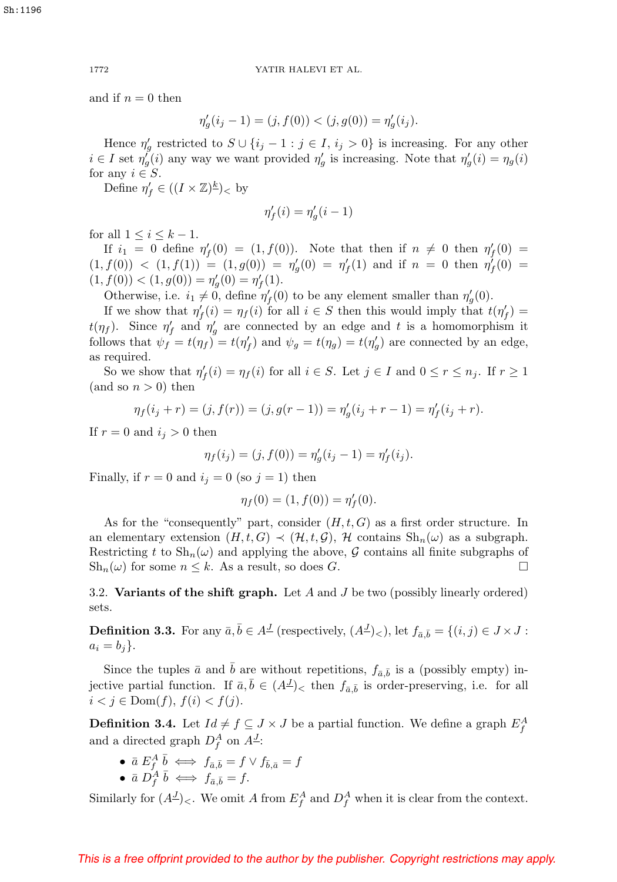and if  $n = 0$  then

$$
\eta'_g(i_j - 1) = (j, f(0)) < (j, g(0)) = \eta'_g(i_j).
$$

Hence  $\eta'_{g}$  restricted to  $S \cup \{i_j - 1 : j \in I, i_j > 0\}$  is increasing. For any other  $i \in I$  set  $\eta'_{g}(i)$  any way we want provided  $\eta'_{g}$  is increasing. Note that  $\eta'_{g}(i) = \eta_{g}(i)$ for any  $i \in S$ .

Define  $\eta'_f \in ((I \times \mathbb{Z})^{\underline{k}})_<$  by

$$
\eta'_f(i) = \eta'_g(i-1)
$$

for all  $1 \leq i \leq k-1$ .

If  $i_1 = 0$  define  $\eta'_f(0) = (1, f(0))$ . Note that then if  $n \neq 0$  then  $\eta'_f(0) =$  $(1, f(0))$  <  $(1, f(1)) = (1, g(0)) = \eta_g'(0) = \eta_f'(1)$  and if  $n = 0$  then  $\eta_f'(0) =$  $(1, f(0)) < (1, g(0)) = \eta'_g(0) = \eta'_f(1).$ 

Otherwise, i.e.  $i_1 \neq 0$ , define  $\eta'_f(0)$  to be any element smaller than  $\eta'_g(0)$ .

If we show that  $\eta'_f(i) = \eta_f(i)$  for all  $i \in S$  then this would imply that  $t(\eta'_f) =$  $t(\eta_f)$ . Since  $\eta'_f$  and  $\eta'_g$  are connected by an edge and t is a homomorphism it follows that  $\psi_f = t(\eta_f) = t(\eta'_f)$  and  $\psi_g = t(\eta_g) = t(\eta'_g)$  are connected by an edge, as required.

So we show that  $\eta'_f(i) = \eta_f(i)$  for all  $i \in S$ . Let  $j \in I$  and  $0 \le r \le n_j$ . If  $r \ge 1$ (and so  $n > 0$ ) then

$$
\eta_f(i_j + r) = (j, f(r)) = (j, g(r - 1)) = \eta'_g(i_j + r - 1) = \eta'_f(i_j + r).
$$

If  $r = 0$  and  $i_j > 0$  then

$$
\eta_f(i_j) = (j, f(0)) = \eta'_g(i_j - 1) = \eta'_f(i_j).
$$

Finally, if  $r = 0$  and  $i_j = 0$  (so  $j = 1$ ) then

$$
\eta_f(0) = (1, f(0)) = \eta'_f(0).
$$

As for the "consequently" part, consider  $(H, t, G)$  as a first order structure. In an elementary extension  $(H, t, G) \prec (\mathcal{H}, t, \mathcal{G})$ ,  $\mathcal{H}$  contains  $\text{Sh}_n(\omega)$  as a subgraph. Restricting t to  $\text{Sh}_n(\omega)$  and applying the above, G contains all finite subgraphs of  $\text{Sh}_n(\omega)$  for some  $n \leq k$ . As a result, so does G.

3.2. **Variants of the shift graph.** Let A and J be two (possibly linearly ordered) sets.

<span id="page-5-1"></span>**Definition 3.3.** For any  $\bar{a}, \bar{b} \in A^{\underline{J}}$  (respectively,  $(A^{\underline{J}})_{\leq}$ ), let  $f_{\bar{a}, \bar{b}} = \{(i, j) \in J \times J :$  $a_i = b_j$ .

Since the tuples  $\bar{a}$  and  $\bar{b}$  are without repetitions,  $f_{\bar{a}, \bar{b}}$  is a (possibly empty) injective partial function. If  $\bar{a}, \bar{b} \in (A^{\underline{J}})_{\leq}$  then  $f_{\bar{a}, \bar{b}}$  is order-preserving, i.e. for all  $i < j \in \text{Dom}(f), f(i) < f(j).$ 

<span id="page-5-0"></span>**Definition 3.4.** Let  $Id \neq f \subseteq J \times J$  be a partial function. We define a graph  $E_f^A$ and a directed graph  $D_f^A$  on  $A^J$ :

- $\bullet\;\; \bar{a}\;E_{f}^{A}\;\bar{b}\iff f_{\bar{a},\bar{b}}=f\vee f_{\bar{b},\bar{a}}=f$
- $\bar{a} D_f^{\dot{A}} \bar{b} \iff f_{\bar{a},\bar{b}} = f.$

Similarly for  $(A^{\mathcal{I}})<.$  We omit A from  $E_f^A$  and  $D_f^A$  when it is clear from the context.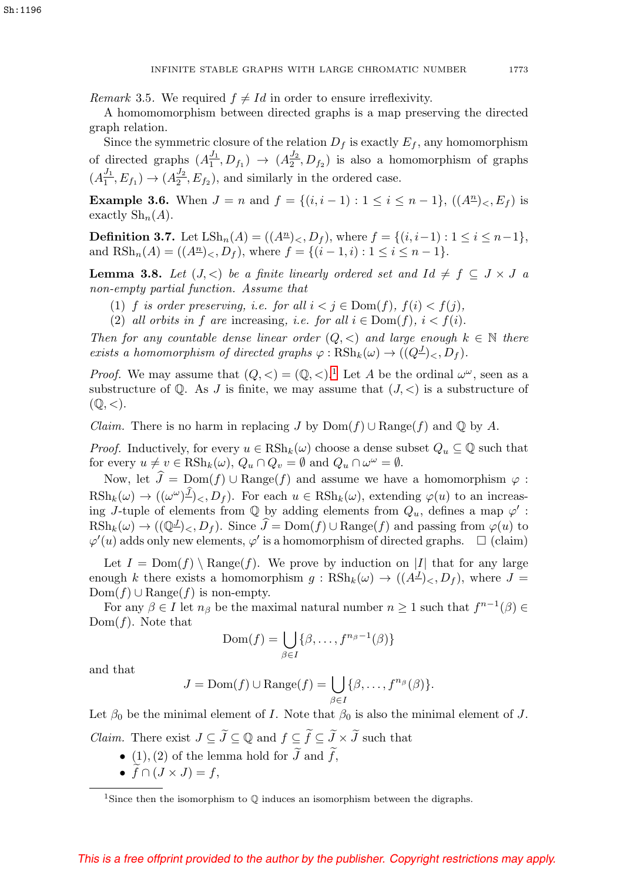*Remark* 3.5. We required  $f \neq Id$  in order to ensure irreflexivity.

A homomomorphism between directed graphs is a map preserving the directed graph relation.

Since the symmetric closure of the relation  $D_f$  is exactly  $E_f$ , any homomorphism of directed graphs  $(A_1^{J_1}, D_{f_1}) \rightarrow (A_2^{J_2}, D_{f_2})$  is also a homomorphism of graphs  $(A_1^{J_1}, E_{f_1}) \rightarrow (A_2^{J_2}, E_{f_2})$ , and similarly in the ordered case.

**Example 3.6.** When  $J = n$  and  $f = \{(i, i - 1) : 1 \le i \le n - 1\}$ ,  $((A<sup>n</sup>)<sub>*k*</sub>, E<sub>f</sub>)$  is exactly  $\mathrm{Sh}_n(A)$ .

**Definition 3.7.** Let  $\text{LSh}_n(A) = ((A^n)_{<}, D_f)$ , where  $f = \{(i, i-1) : 1 \leq i \leq n-1\}$ , and  $\text{RSh}_n(A) = ((A^n)_{<}, D_f)$ , where  $f = \{(i-1, i): 1 \leq i \leq n-1\}$ .

<span id="page-6-1"></span>**Lemma 3.8.** Let  $(J, <)$  be a finite linearly ordered set and  $Id \neq f \subseteq J \times J$  a non-empty partial function. Assume that

- (1) f is order preserving, i.e. for all  $i < j \in Dom(f)$ ,  $f(i) < f(j)$ ,
- (2) all orbits in f are increasing, i.e. for all  $i \in \text{Dom}(f)$ ,  $i < f(i)$ .

Then for any countable dense linear order  $(Q, \leq)$  and large enough  $k \in \mathbb{N}$  there exists a homomorphism of directed graphs  $\varphi : \text{RSh}_k(\omega) \to ((Q^{\underline{J}})_{\leq}, D_f)$ .

*Proof.* We may assume that  $(Q, \langle \rangle) = (\mathbb{Q}, \langle \rangle)^1$  $(Q, \langle \rangle) = (\mathbb{Q}, \langle \rangle)^1$ . Let A be the ordinal  $\omega^{\omega}$ , seen as a substructure of  $\mathbb{Q}$ . As J is finite, we may assume that  $(J, \langle \rangle)$  is a substructure of  $(\mathbb{Q},<).$ 

*Claim.* There is no harm in replacing J by  $Dom(f) \cup Range(f)$  and Q by A.

*Proof.* Inductively, for every  $u \in \text{RSh}_k(\omega)$  choose a dense subset  $Q_u \subseteq \mathbb{Q}$  such that for every  $u \neq v \in \text{RSh}_k(\omega)$ ,  $Q_u \cap Q_v = \emptyset$  and  $Q_u \cap \omega^{\omega} = \emptyset$ .

Now, let  $J = \text{Dom}(f) \cup \text{Range}(f)$  and assume we have a homomorphism  $\varphi$ :  $R\mathrm{Sh}_k(\omega) \to ((\omega^\omega)^{\underline{J}})_{\leq}, D_f)$ . For each  $u \in \mathrm{RSh}_k(\omega)$ , extending  $\varphi(u)$  to an increasing J-tuple of elements from  $\mathbb Q$  by adding elements from  $Q_u$ , defines a map  $\varphi'$ :  $RSh_k(\omega) \to ((\mathbb{Q}^{\underline{J}})_{<}, D_f)$ . Since  $\widehat{J} = \text{Dom}(f) \cup \text{Range}(f)$  and passing from  $\varphi(u)$  to  $\varphi'(u)$  adds only new elements,  $\varphi'$  is a homomorphism of directed graphs.  $\Box$  (claim)

Let  $I = \text{Dom}(f) \setminus \text{Range}(f)$ . We prove by induction on |I| that for any large enough k there exists a homomorphism  $g : \text{RSh}_k(\omega) \to ((A^{\underline{J}})_{\leq}, D_f)$ , where  $J =$  $Dom(f) \cup Range(f)$  is non-empty.

For any  $\beta \in I$  let  $n_\beta$  be the maximal natural number  $n \geq 1$  such that  $f^{n-1}(\beta) \in$  $Dom(f)$ . Note that

$$
\text{Dom}(f) = \bigcup_{\beta \in I} \{ \beta, \dots, f^{n_{\beta}-1}(\beta) \}
$$

and that

$$
J = \text{Dom}(f) \cup \text{Range}(f) = \bigcup_{\beta \in I} \{\beta, \dots, f^{n_{\beta}}(\beta)\}.
$$

Let  $\beta_0$  be the minimal element of I. Note that  $\beta_0$  is also the minimal element of J. *Claim.* There exist  $J \subseteq J \subseteq \mathbb{Q}$  and  $f \subseteq f \subseteq J \times J$  such that

- (1), (2) of the lemma hold for  $J$  and  $f$ ,
- $f \cap (J \times J) = f$ ,

<span id="page-6-0"></span><sup>&</sup>lt;sup>1</sup>Since then the isomorphism to  $\mathbb Q$  induces an isomorphism between the digraphs.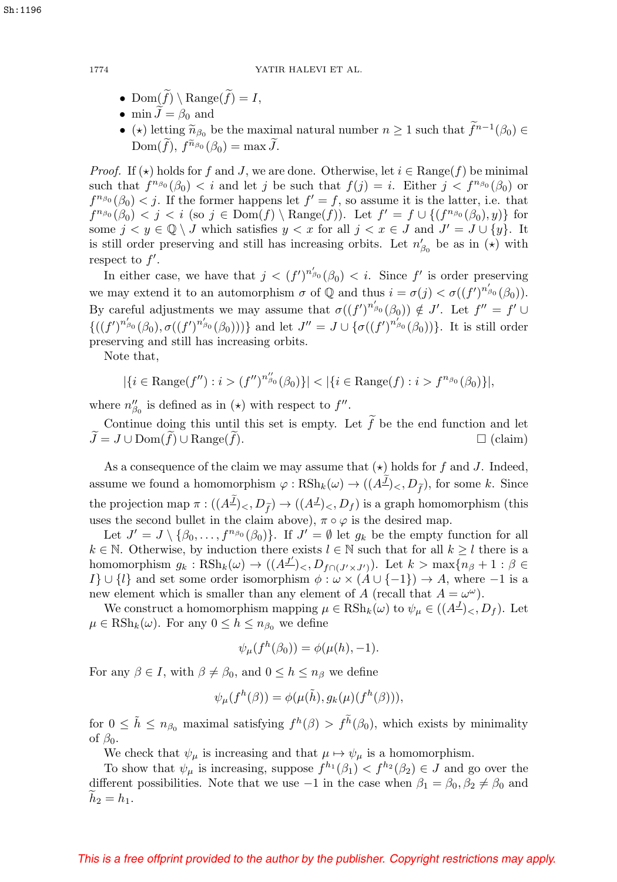- Dom $(f) \setminus \text{Range}(f) = I$ ,
- min  $J = \beta_0$  and
- ( $\star$ ) letting  $\widetilde{n}_{\beta_0}$  be the maximal natural number  $n \geq 1$  such that  $f^{n-1}(\beta_0) \in$ Dom $(f)$ ,  $f^{n_{\beta_0}}(\beta_0) = \max J$ .  $\begin{aligned} \text{and} \ \text{ing}\ \widetilde{n}_{\beta_0} \text{ be the } \text{max} \text{.} \ \text{inj}\ \widetilde{n}_{\beta_0}(\beta_0) = \text{max}\ \widetilde{J} \end{aligned}$

*Proof.* If  $(\star)$  holds for f and J, we are done. Otherwise, let  $i \in \text{Range}(f)$  be minimal such that  $f^{n_{\beta_0}}(\beta_0) < i$  and let j be such that  $f(j) = i$ . Either  $j < f^{n_{\beta_0}}(\beta_0)$  or  $f^{n_{\beta_0}}(\beta_0) < j$ . If the former happens let  $f' = f$ , so assume it is the latter, i.e. that  $f^{n_{\beta_0}}(\beta_0) < j < i$  (so  $j \in \text{Dom}(f) \setminus \text{Range}(f)$ ). Let  $f' = f \cup \{(f^{n_{\beta_0}}(\beta_0), y)\}$  for some  $j < y \in \mathbb{Q} \setminus J$  which satisfies  $y < x$  for all  $j < x \in J$  and  $J' = J \cup \{y\}$ . It is still order preserving and still has increasing orbits. Let  $n'_{\beta_0}$  be as in  $(\star)$  with respect to  $f'$ .

In either case, we have that  $j < (f')^{n'_{\beta_0}}(\beta_0) < i$ . Since f' is order preserving we may extend it to an automorphism  $\sigma$  of  $\mathbb Q$  and thus  $i = \sigma(j) < \sigma((f')^{n'_{\beta_0}}(\beta_0)).$ By careful adjustments we may assume that  $\sigma((f')^{n'_{\beta_0}}(\beta_0)) \notin J'$ . Let  $f'' = f' \cup$  ${((f')^{n'_{\beta_0}}(\beta_0), \sigma((f')^{n'_{\beta_0}}(\beta_0)))}$  and let  $J'' = J \cup {\sigma((f')^{n'_{\beta_0}}(\beta_0))}$ . It is still order preserving and still has increasing orbits.

Note that,

$$
|\{i \in \text{Range}(f'') : i > (f'')^{n_{\beta_0}''}(\beta_0)\}| < |\{i \in \text{Range}(f) : i > f^{n_{\beta_0}}(\beta_0)\}|,
$$

where  $n_{\beta_0}''$  is defined as in  $(\star)$  with respect to  $f''$ .

Continue doing this until this set is empty. Let  $f$  be the end function and let  $J = J \cup \text{Dom}(f) \cup \text{Range}(f)$  $\Box$  (claim)

As a consequence of the claim we may assume that  $(\star)$  holds for f and J. Indeed, assume we found a homomorphism  $\varphi : \text{RSh}_k(\omega) \to ((A^{\underline{J}})_{\leq}, D_{\tilde{f}})$ , for some k. Since the projection map  $\pi:((A^{\underline{J}})_{\leq},D_{\tilde{f}}) \to ((A^{\underline{J}})_{\leq},D_f)$  is a graph homomorphism (this Ų. uses the second bullet in the claim above),  $\pi \circ \varphi$  is the desired map.

Let  $J' = J \setminus {\beta_0, \ldots, f^{n_{\beta_0}}(\beta_0)}$ . If  $J' = \emptyset$  let  $g_k$  be the empty function for all  $k \in \mathbb{N}$ . Otherwise, by induction there exists  $l \in \mathbb{N}$  such that for all  $k \geq l$  there is a homomorphism  $g_k : \text{RSh}_k(\omega) \to ((A^{\underline{J'}})_{\leq}, D_{f \cap (J' \times J')})$ . Let  $k > \max\{n_\beta + 1 : \beta \in$ I}  $\cup$  {l} and set some order isomorphism  $\phi : \omega \times (A \cup \{-1\}) \rightarrow A$ , where −1 is a new element which is smaller than any element of A (recall that  $A = \omega^{\omega}$ ).

We construct a homomorphism mapping  $\mu \in \text{RSh}_k(\omega)$  to  $\psi_\mu \in ((A^{\underline{J}})_{\leq}, D_f)$ . Let  $\mu \in \text{RSh}_k(\omega)$ . For any  $0 \leq h \leq n_{\beta_0}$  we define

$$
\psi_{\mu}(f^h(\beta_0)) = \phi(\mu(h), -1).
$$

For any  $\beta \in I$ , with  $\beta \neq \beta_0$ , and  $0 \leq h \leq n_\beta$  we define

$$
\psi_{\mu}(f^h(\beta)) = \phi(\mu(\tilde{h}), g_k(\mu)(f^h(\beta))),
$$

 $\psi_{\mu}(f^h(\beta)) = \phi(\mu(\tilde{h}), g_k(\mu)(f^h(\beta))),$ <br>for  $0 \leq \tilde{h} \leq n_{\beta_0}$  maximal satisfying  $f^h(\beta) > f^{\tilde{h}}(\beta_0)$ , which exists by minimality of  $\beta_0$ .

We check that  $\psi_{\mu}$  is increasing and that  $\mu \mapsto \psi_{\mu}$  is a homomorphism.

To show that  $\psi_{\mu}$  is increasing, suppose  $f^{h_1}(\beta_1) < f^{h_2}(\beta_2) \in J$  and go over the different possibilities. Note that we use  $-1$  in the case when  $\beta_1 = \beta_0, \beta_2 \neq \beta_0$  and  $h_2 = h_1.$ 

## This is a free offprint provided to the author by the publisher. Copyright restrictions may apply.

Sh:1196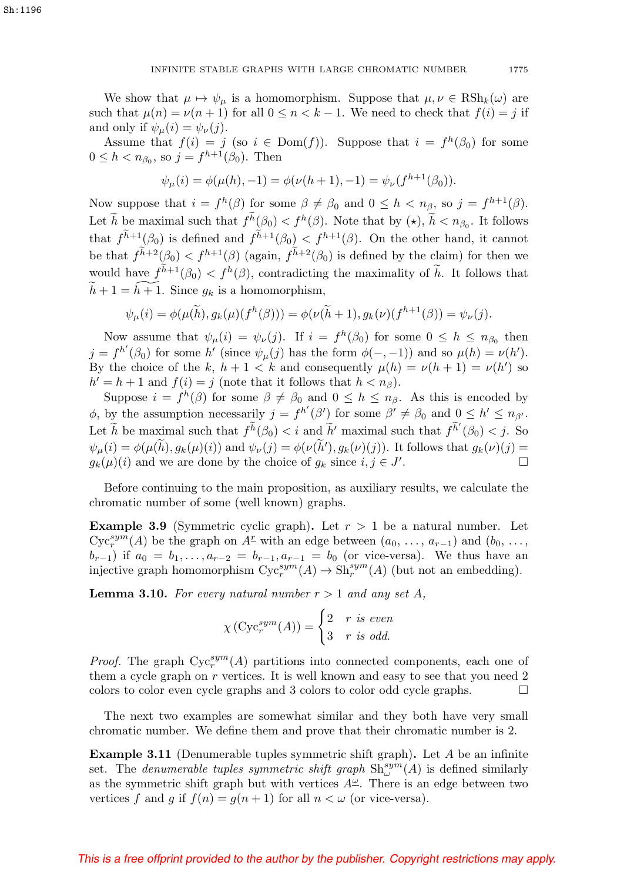We show that  $\mu \mapsto \psi_{\mu}$  is a homomorphism. Suppose that  $\mu, \nu \in \text{RSh}_k(\omega)$  are such that  $\mu(n) = \nu(n+1)$  for all  $0 \leq n < k-1$ . We need to check that  $f(i) = j$  if and only if  $\psi_{\mu}(i) = \psi_{\nu}(j)$ .

Assume that  $f(i) = j$  (so  $i \in Dom(f)$ ). Suppose that  $i = f^h(\beta_0)$  for some  $0 \leq h < n_{\beta_0}$ , so  $j = f^{h+1}(\hat{\beta_0})$ . Then

$$
\psi_{\mu}(i) = \phi(\mu(h), -1) = \phi(\nu(h+1), -1) = \psi_{\nu}(f^{h+1}(\beta_0)).
$$

Now suppose that  $i = f^h(\beta)$  for some  $\beta \neq \beta_0$  and  $0 \leq h < n_\beta$ , so  $j = f^{h+1}(\beta)$ . Now suppose that  $i = f^h(\beta)$  for some  $\beta \neq \beta_0$  and  $0 \leq h < n_\beta$ , so  $j = f^{h+1}(\beta)$ .<br>Let  $\tilde{h}$  be maximal such that  $f^{\tilde{h}}(\beta_0) < f^h(\beta)$ . Note that by  $(\star), \tilde{h} < n_{\beta_0}$ . It follows Now suppose that  $i = f^{\pi}(\beta)$  for some  $\beta \neq \beta_0$  and  $0 \leq n < n_{\beta}$ , so  $j = f^{\pi+1}(\beta)$ .<br>Let  $\tilde{h}$  be maximal such that  $f^{\tilde{h}}(\beta_0) < f^h(\beta)$ . Note that by  $(\star)$ ,  $\tilde{h} < n_{\beta_0}$ . It follows that  $f^{\tilde{h}+1}(\beta_0)$  i Let *h* be maximal such that  $f^{\tilde{h}+1}(\beta_0)$  is defined and  $f^{\tilde{h}+1}(\beta_0)$ <br>be that  $f^{\tilde{h}+2}(\beta_0) < f^{h+1}(\beta)$  (again,  $f^{\tilde{h}}$  $h+2(\beta_0)$  is defined by the claim) for then we that  $f^{n+1}(\beta_0)$ <br>be that  $f^{\tilde{h}+2}(\beta_0)$ <br>would have  $f^{\tilde{h}}$  $h+1(\beta_0) < f^h(\beta)$ , contradicting the maximality of  $\tilde{h}$ . It follows that  $\widetilde{h} + 1 = \widetilde{h+1}$ . Since  $g_k$  is a homomorphism,

$$
\psi_{\mu}(i) = \phi(\mu(\widetilde{h}), g_k(\mu)(f^h(\beta))) = \phi(\nu(\widetilde{h}+1), g_k(\nu)(f^{h+1}(\beta)) = \psi_{\nu}(j).
$$

Now assume that  $\psi_{\mu}(i) = \psi_{\nu}(j)$ . If  $i = f^h(\beta_0)$  for some  $0 \leq h \leq n_{\beta_0}$  then  $j = f^{h'}(\beta_0)$  for some h' (since  $\psi_{\mu}(j)$  has the form  $\phi(-,-1)$ ) and so  $\mu(h) = \nu(h')$ . By the choice of the k,  $h + 1 < k$  and consequently  $\mu(h) = \nu(h + 1) = \nu(h')$  so  $h' = h + 1$  and  $f(i) = j$  (note that it follows that  $h < n<sub>\beta</sub>$ ).

Suppose  $i = f^h(\beta)$  for some  $\beta \neq \beta_0$  and  $0 \leq h \leq n_\beta$ . As this is encoded by  $\phi$ , by the assumption necessarily  $j = f^{h'}(\beta')$  for some  $\beta' \neq \beta_0$  and  $0 \leq h' \leq n_{\beta'}$ . Suppose  $i = f^{\prime\prime}(\beta)$  for some  $\beta \neq \beta_0$  and  $0 \leq h \leq n_\beta$ . As this is encoded by  $\phi$ , by the assumption necessarily  $j = f^{h'}(\beta')$  for some  $\beta' \neq \beta_0$  and  $0 \leq h' \leq n_{\beta'}$ .<br>Let  $\tilde{h}$  be maximal such that  $f^{\tilde{h}}(\$  $\psi_{\mu}(i) = \phi(\mu(\tilde{h}), g_k(\mu)(i))$  and  $\psi_{\nu}(j) = \phi(\nu(\tilde{h}'), g_k(\nu)(j))$ . It follows that  $g_k(\nu)(j) =$  $g_k(\mu)(i)$  and we are done by the choice of  $g_k$  since  $i, j \in J'$ . . — Процессиональные продаже на продаже на продаже на продаже на продаже на продаже на продаже на продаже на п<br>В сервисов с продаже на продаже на продаже на продаже на продаже на продаже на продаже на продаже на продаже н

Before continuing to the main proposition, as auxiliary results, we calculate the chromatic number of some (well known) graphs.

**Example 3.9** (Symmetric cyclic graph). Let  $r > 1$  be a natural number. Let  $Cyc_r^{sym}(A)$  be the graph on  $A^r$  with an edge between  $(a_0, \ldots, a_{r-1})$  and  $(b_0, \ldots,$  $(b_{r-1})$  if  $a_0 = b_1, \ldots, a_{r-2} = b_{r-1}, a_{r-1} = b_0$  (or vice-versa). We thus have an injective graph homomorphism  $Cyc_r^{sym}(A) \to Sh_r^{sym}(A)$  (but not an embedding).

<span id="page-8-0"></span>**Lemma 3.10.** For every natural number  $r > 1$  and any set A,

$$
\chi\left(\text{Cyc}_r^{sym}(A)\right) = \begin{cases} 2 & r \text{ is even} \\ 3 & r \text{ is odd.} \end{cases}
$$

*Proof.* The graph  $Cyc_r^{sym}(A)$  partitions into connected components, each one of them a cycle graph on  $r$  vertices. It is well known and easy to see that you need  $2$ colors to color even cycle graphs and 3 colors to color odd cycle graphs.

The next two examples are somewhat similar and they both have very small chromatic number. We define them and prove that their chromatic number is 2.

**Example 3.11** (Denumerable tuples symmetric shift graph). Let A be an infinite set. The *denumerable tuples symmetric shift graph*  $\text{Sh}^{sym}_{\omega}(A)$  is defined similarly as the symmetric shift graph but with vertices  $A^{\underline{\omega}}$ . There is an edge between two vertices f and g if  $f(n) = g(n + 1)$  for all  $n < \omega$  (or vice-versa).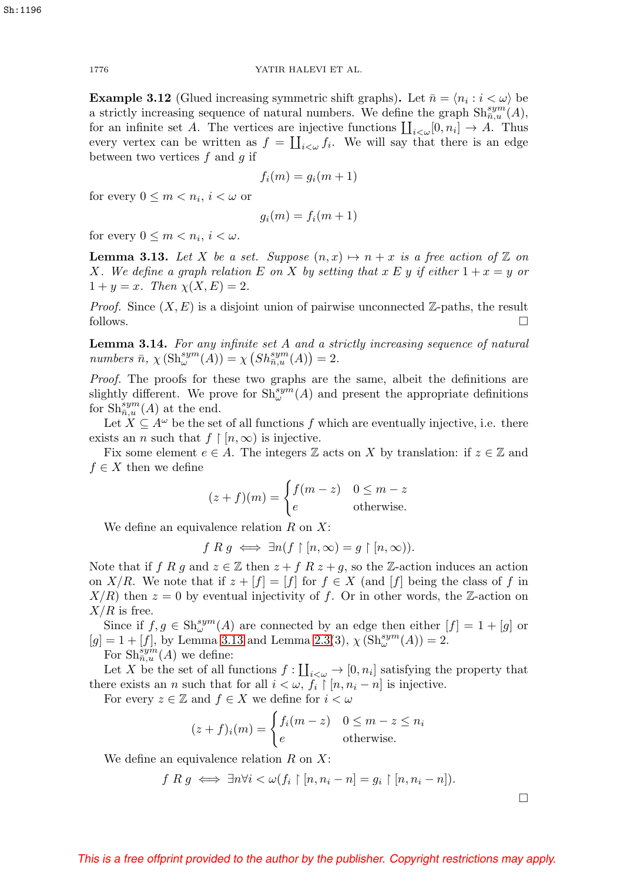**Example 3.12** (Glued increasing symmetric shift graphs). Let  $\bar{n} = \langle n_i : i < \omega \rangle$  be a strictly increasing sequence of natural numbers. We define the graph  $\text{Sh}_{\bar{n},u}^{sym}(A)$ , for an infinite set A. The vertices are injective functions  $\prod_{i<\omega}[0,n_i]\to A$ . Thus every vertex can be written as  $f = \coprod_{i<\omega} f_i$ . We will say that there is an edge between two vertices f and g if

$$
f_i(m) = g_i(m+1)
$$

for every  $0 \leq m < n_i$ ,  $i < \omega$  or

$$
g_i(m) = f_i(m+1)
$$

for every  $0 \leq m < n_i, i < \omega$ .

<span id="page-9-0"></span>**Lemma 3.13.** Let X be a set. Suppose  $(n, x) \mapsto n + x$  is a free action of Z on X. We define a graph relation E on X by setting that  $x \to y$  if either  $1 + x = y$  or  $1 + y = x$ . Then  $\chi(X, E) = 2$ .

*Proof.* Since  $(X, E)$  is a disjoint union of pairwise unconnected Z-paths, the result follows.  $\Box$ 

<span id="page-9-1"></span>**Lemma 3.14.** For any infinite set A and a strictly increasing sequence of natural numbers  $\bar{n}$ ,  $\chi\left(\text{Sh}^{sym}_{\omega}(A)\right) = \chi\left(\text{Sh}^{sym}_{\bar{n},u}(A)\right) = 2.$ 

Proof. The proofs for these two graphs are the same, albeit the definitions are slightly different. We prove for  $\text{Sh}^{sym}_{\omega}(A)$  and present the appropriate definitions for  $\mathrm{Sh}_{\bar{n},u}^{sym}(A)$  at the end.

Let  $X \subseteq A^{\omega}$  be the set of all functions f which are eventually injective, i.e. there exists an *n* such that  $f \restriction [n, \infty)$  is injective.

Fix some element  $e \in A$ . The integers  $\mathbb Z$  acts on X by translation: if  $z \in \mathbb Z$  and  $f \in X$  then we define

$$
(z+f)(m) = \begin{cases} f(m-z) & 0 \le m-z\\ e & \text{otherwise.} \end{cases}
$$

We define an equivalence relation  $R$  on  $X$ :

 $f R g \iff \exists n (f \upharpoonright [n, \infty) = g \upharpoonright [n, \infty)).$ 

Note that if f R g and  $z \in \mathbb{Z}$  then  $z + f R z + g$ , so the Z-action induces an action on X/R. We note that if  $z + [f] = [f]$  for  $f \in X$  (and  $[f]$  being the class of f in  $X/R$ ) then  $z = 0$  by eventual injectivity of f. Or in other words, the Z-action on  $X/R$  is free.

Since if  $f, g \in \mathrm{Sh}^{sym}_{\omega}(A)$  are connected by an edge then either  $[f] = 1 + [g]$  or  $[g] = 1 + [f]$ , by Lemma [3.13](#page-9-0) and Lemma [2.3\(](#page-2-0)3),  $\chi(\text{Sh}^{sym}_{\omega}(A)) = 2$ .

For  $\text{Sh}_{\bar{n},u}^{\overline{sym}}(A)$  we define:

Let X be the set of all functions  $f: \coprod_{i<\omega} \to [0, n_i]$  satisfying the property that there exists an *n* such that for all  $i < \omega$ ,  $f_i \restriction [n, n_i - n]$  is injective.

For every  $z \in \mathbb{Z}$  and  $f \in X$  we define for  $i < \omega$ 

$$
(z+f)_i(m) = \begin{cases} f_i(m-z) & 0 \le m-z \le n_i \\ e & \text{otherwise.} \end{cases}
$$

We define an equivalence relation  $R$  on  $X$ :

$$
f R g \iff \exists n \forall i < \omega (f_i \upharpoonright [n, n_i - n] = g_i \upharpoonright [n, n_i - n]).
$$

 $\Box$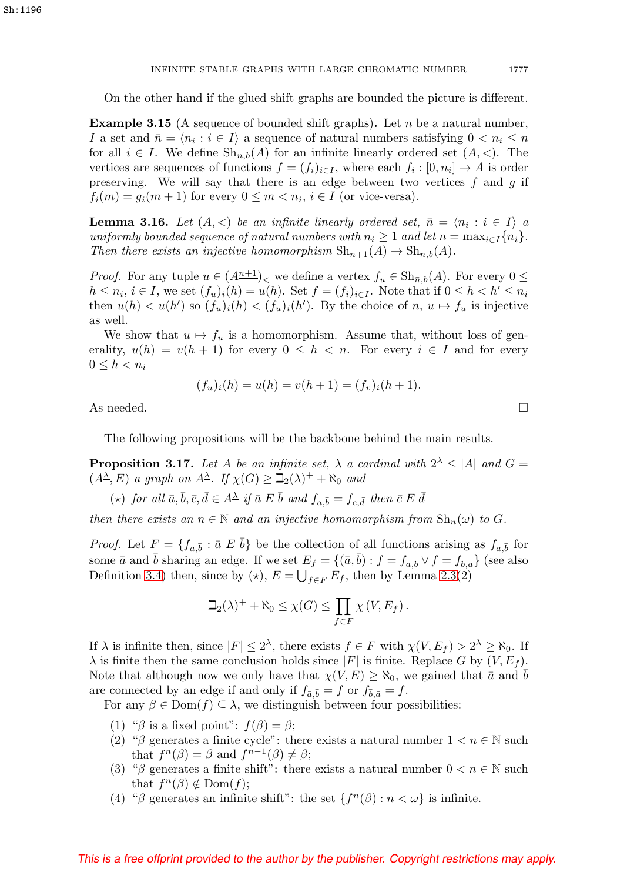On the other hand if the glued shift graphs are bounded the picture is different.

**Example 3.15** (A sequence of bounded shift graphs). Let n be a natural number, I a set and  $\bar{n} = \langle n_i : i \in I \rangle$  a sequence of natural numbers satisfying  $0 < n_i \leq n$ for all  $i \in I$ . We define  $\text{Sh}_{\bar{n},b}(A)$  for an infinite linearly ordered set  $(A, \leq)$ . The vertices are sequences of functions  $f = (f_i)_{i \in I}$ , where each  $f_i : [0, n_i] \to A$  is order preserving. We will say that there is an edge between two vertices  $f$  and  $g$  if  $f_i(m) = g_i(m+1)$  for every  $0 \leq m < n_i$ ,  $i \in I$  (or vice-versa).

<span id="page-10-0"></span>**Lemma 3.16.** Let  $(A, \leq)$  be an infinite linearly ordered set,  $\bar{n} = \langle n_i : i \in I \rangle$  a uniformly bounded sequence of natural numbers with  $n_i \geq 1$  and let  $n = \max_{i \in I} \{n_i\}$ . Then there exists an injective homomorphism  $\text{Sh}_{n+1}(A) \to \text{Sh}_{\bar{n},b}(A)$ .

*Proof.* For any tuple  $u \in (A^{n+1})$ , we define a vertex  $f_u \in Sh_{\bar{n},b}(A)$ . For every  $0 \leq$  $h \leq n_i, i \in I$ , we set  $(f_u)_i(h) = u(h)$ . Set  $f = (f_i)_{i \in I}$ . Note that if  $0 \leq h < h' \leq n_i$ then  $u(h) < u(h')$  so  $(f_u)_i(h) < (f_u)_i(h')$ . By the choice of  $n, u \mapsto f_u$  is injective as well.

We show that  $u \mapsto f_u$  is a homomorphism. Assume that, without loss of generality,  $u(h) = v(h + 1)$  for every  $0 \leq h < n$ . For every  $i \in I$  and for every  $0 \leq h < n_i$ 

$$
(f_u)_i(h) = u(h) = v(h+1) = (f_v)_i(h+1).
$$

As needed.  $\Box$ 

The following propositions will be the backbone behind the main results.

<span id="page-10-1"></span>**Proposition 3.17.** Let A be an infinite set,  $\lambda$  a cardinal with  $2^{\lambda} \leq |A|$  and  $G =$  $(A^{\underline{\lambda}}, E)$  a graph on  $A^{\underline{\lambda}}$ . If  $\chi(G) \geq \mathbb{Z}_2(\lambda)^+ + \aleph_0$  and

$$
(\star) \ \ \textit{for all} \ \bar{a}, \bar{b}, \bar{c}, \bar{d} \in A^{\underline{\lambda}} \ \ \textit{if} \ \bar{a} \ E \ \bar{b} \ \ \textit{and} \ \ f_{\bar{a},\bar{b}} = f_{\bar{c},\bar{d}} \ \ \textit{then} \ \ \bar{c} \ E \ \bar{d}
$$

then there exists an  $n \in \mathbb{N}$  and an injective homomorphism from  $\text{Sh}_n(\omega)$  to G.

*Proof.* Let  $F = \{f_{\bar{a},\bar{b}} : \bar{a} \not\in \bar{b}\}$  be the collection of all functions arising as  $f_{\bar{a},\bar{b}}$  for some  $\bar{a}$  and  $\bar{b}$  sharing an edge. If we set  $E_f = \{(\bar{a}, \bar{b}) : f = f_{\bar{a}, \bar{b}} \vee f = f_{\bar{b}, \bar{a}}\}$  (see also Definition [3.4\)](#page-5-0) then, since by ( $\star$ ),  $E = \bigcup_{f \in F} E_f$ , then by Lemma [2.3\(](#page-2-0)2)

$$
\beth_2(\lambda)^+ + \aleph_0 \leq \chi(G) \leq \prod_{f \in F} \chi(V, E_f).
$$

If  $\lambda$  is infinite then, since  $|F| \leq 2^{\lambda}$ , there exists  $f \in F$  with  $\chi(V, E_f) > 2^{\lambda} \geq \aleph_0$ . If  $\lambda$  is finite then the same conclusion holds since  $|F|$  is finite. Replace G by  $(V, E_f)$ . Note that although now we only have that  $\chi(V,E) \geq \aleph_0$ , we gained that  $\bar{a}$  and b are connected by an edge if and only if  $f_{\bar{a}, \bar{b}} = f$  or  $f_{\bar{b}, \bar{a}} = f$ .

For any  $\beta \in \text{Dom}(f) \subseteq \lambda$ , we distinguish between four possibilities:

- (1) " $\beta$  is a fixed point":  $f(\beta) = \beta$ ;
- (2) "β generates a finite cycle": there exists a natural number  $1 < n \in \mathbb{N}$  such that  $f^{n}(\beta) = \beta$  and  $f^{n-1}(\beta) \neq \beta$ ;
- (3) "β generates a finite shift": there exists a natural number  $0 < n \in \mathbb{N}$  such that  $f^n(\beta) \notin \text{Dom}(f);$
- (4) "β generates an infinite shift": the set  $\{f^{(n)}(\beta): n < \omega\}$  is infinite.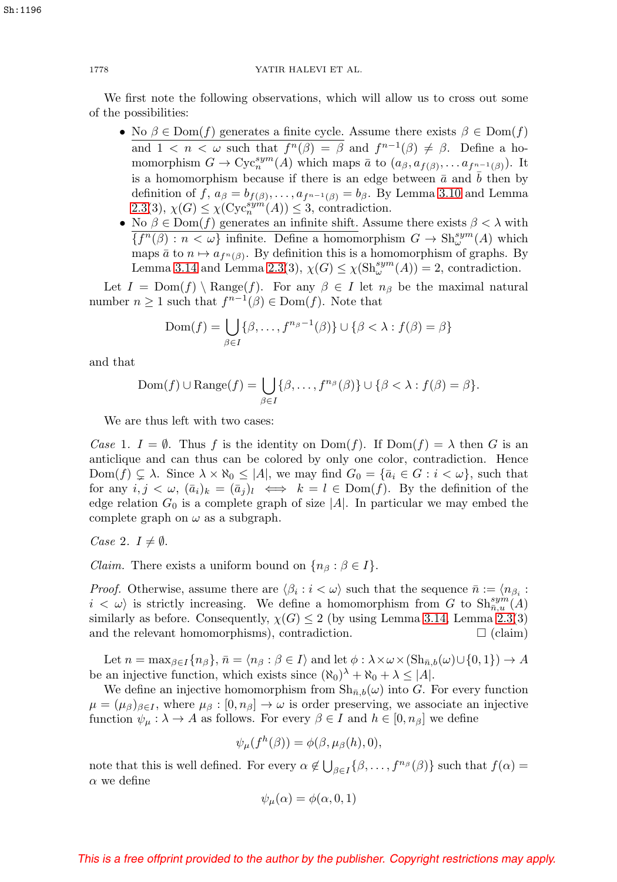We first note the following observations, which will allow us to cross out some of the possibilities:

- No  $\beta \in \text{Dom}(f)$  generates a finite cycle. Assume there exists  $\beta \in \text{Dom}(f)$ and  $1 < n < \omega$  such that  $f^n(\beta) = \beta$  and  $f^{n-1}(\beta) \neq \beta$ . Define a homomorphism  $G \to \mathrm{Cyc}_n^{sym}(A)$  which maps  $\bar{a}$  to  $(a_\beta, a_{f(\beta)}, \ldots a_{f^{n-1}(\beta)})$ . It is a homomorphism because if there is an edge between  $\bar{a}$  and  $b$  then by definition of f,  $a_{\beta} = b_{f(\beta)}, \ldots, a_{f^{n-1}(\beta)} = b_{\beta}$ . By Lemma [3.10](#page-8-0) and Lemma [2.3\(](#page-2-0)3),  $\chi(G) \leq \chi(\text{Cyc}_n^{\text{sym}}(A)) \leq 3$ , contradiction.
- No  $\beta \in \text{Dom}(f)$  generates an infinite shift. Assume there exists  $\beta < \lambda$  with  ${f^n(\beta) : n < \omega}$  infinite. Define a homomorphism  $G \to \text{Sh}^{sym}_{\omega}(A)$  which maps  $\bar{a}$  to  $n \mapsto a_{f^{n}(\beta)}$ . By definition this is a homomorphism of graphs. By Lemma [3.14](#page-9-1) and Lemma [2.3\(](#page-2-0)3),  $\chi(G) \leq \chi(\text{Sh}^{sym}_{\omega}(A)) = 2$ , contradiction.

Let  $I = \text{Dom}(f) \setminus \text{Range}(f)$ . For any  $\beta \in I$  let  $n_{\beta}$  be the maximal natural number  $n \geq 1$  such that  $f^{n-1}(\beta) \in \text{Dom}(f)$ . Note that

$$
Dom(f) = \bigcup_{\beta \in I} \{\beta, \dots, f^{n_{\beta}-1}(\beta)\} \cup \{\beta < \lambda : f(\beta) = \beta\}
$$

and that

$$
Dom(f) \cup Range(f) = \bigcup_{\beta \in I} \{\beta, \dots, f^{n_{\beta}}(\beta)\} \cup \{\beta < \lambda : f(\beta) = \beta\}.
$$

We are thus left with two cases:

Case 1.  $I = \emptyset$ . Thus f is the identity on  $Dom(f)$ . If  $Dom(f) = \lambda$  then G is an anticlique and can thus can be colored by only one color, contradiction. Hence  $Dom(f) \subsetneq \lambda$ . Since  $\lambda \times \aleph_0 \leq |A|$ , we may find  $G_0 = {\overline{a}_i \in G : i < \omega}$ , such that for any  $i, j < \omega$ ,  $(\bar{a}_i)_k = (\bar{a}_j)_l \iff k = l \in \text{Dom}(f)$ . By the definition of the edge relation  $G_0$  is a complete graph of size  $|A|$ . In particular we may embed the complete graph on  $\omega$  as a subgraph.

Case 2.  $I \neq \emptyset$ .

*Claim.* There exists a uniform bound on  $\{n_\beta : \beta \in I\}.$ 

*Proof.* Otherwise, assume there are  $\langle \beta_i : i \langle \omega \rangle$  such that the sequence  $\bar{n} := \langle n_{\beta_i} : i \rangle$  $i < \omega$  is strictly increasing. We define a homomorphism from G to  $\text{Sh}_{\bar{n},u}^{sym}(A)$ similarly as before. Consequently,  $\chi(G) \leq 2$  (by using Lemma [3.14,](#page-9-1) Lemma [2.3\(](#page-2-0)3) and the relevant homomorphisms), contradiction.  $\square$  (claim)

Let  $n = \max_{\beta \in I} \{n_{\beta}\}, \bar{n} = \langle n_{\beta} : \beta \in I \rangle$  and let  $\phi : \lambda \times \omega \times (\mathrm{Sh}_{\bar{n},b}(\omega) \cup \{0,1\}) \to A$ be an injective function, which exists since  $(\aleph_0)^{\lambda} + \aleph_0 + \lambda \leq |A|$ .

We define an injective homomorphism from  $\mathrm{Sh}_{\bar{n},b}(\omega)$  into G. For every function  $\mu = (\mu_{\beta})_{\beta \in I}$ , where  $\mu_{\beta} : [0, n_{\beta}] \to \omega$  is order preserving, we associate an injective function  $\psi_{\mu} : \lambda \to A$  as follows. For every  $\beta \in I$  and  $h \in [0, n_{\beta}]$  we define

$$
\psi_{\mu}(f^h(\beta)) = \phi(\beta, \mu_{\beta}(h), 0),
$$

note that this is well defined. For every  $\alpha \notin \bigcup_{\beta \in I} \{\beta, \ldots, f^{n_{\beta}}(\beta)\}\$  such that  $f(\alpha) =$  $\alpha$  we define

$$
\psi_{\mu}(\alpha) = \phi(\alpha, 0, 1)
$$

## This is a free offprint provided to the author by the publisher. Copyright restrictions may apply.

Sh:1196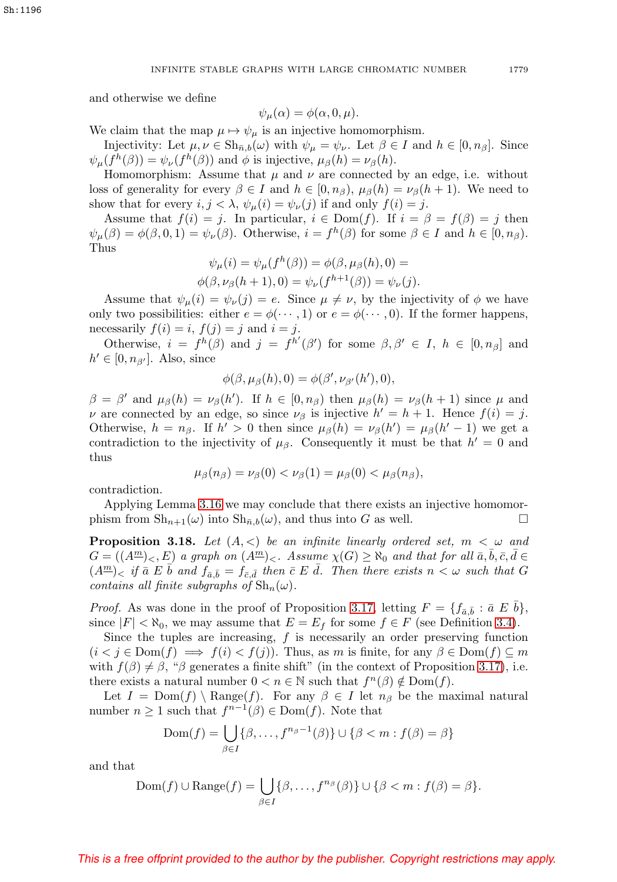and otherwise we define

$$
\psi_{\mu}(\alpha) = \phi(\alpha, 0, \mu).
$$

We claim that the map  $\mu \mapsto \psi_{\mu}$  is an injective homomorphism.

Injectivity: Let  $\mu, \nu \in \mathrm{Sh}_{\bar{n},b}(\omega)$  with  $\psi_{\mu} = \psi_{\nu}$ . Let  $\beta \in I$  and  $h \in [0, n_{\beta}]$ . Since  $\psi_{\mu}(f^h(\beta)) = \psi_{\nu}(f^h(\beta))$  and  $\phi$  is injective,  $\mu_{\beta}(h) = \nu_{\beta}(h)$ .

Homomorphism: Assume that  $\mu$  and  $\nu$  are connected by an edge, i.e. without loss of generality for every  $\beta \in I$  and  $h \in [0, n_\beta)$ ,  $\mu_\beta(h) = \nu_\beta(h+1)$ . We need to show that for every  $i, j < \lambda$ ,  $\psi_{\mu}(i) = \psi_{\nu}(j)$  if and only  $f(i) = j$ .

Assume that  $f(i) = j$ . In particular,  $i \in Dom(f)$ . If  $i = \beta = f(\beta) = j$  then  $\psi_{\mu}(\beta) = \phi(\beta, 0, 1) = \psi_{\nu}(\beta)$ . Otherwise,  $i = f^h(\beta)$  for some  $\beta \in I$  and  $h \in [0, n_\beta)$ . Thus

$$
\psi_{\mu}(i) = \psi_{\mu}(f^{h}(\beta)) = \phi(\beta, \mu_{\beta}(h), 0) = \phi(\beta, \nu_{\beta}(h+1), 0) = \psi_{\nu}(f^{h+1}(\beta)) = \psi_{\nu}(j).
$$

Assume that  $\psi_{\mu}(i) = \psi_{\nu}(j) = e$ . Since  $\mu \neq \nu$ , by the injectivity of  $\phi$  we have only two possibilities: either  $e = \phi(\cdots, 1)$  or  $e = \phi(\cdots, 0)$ . If the former happens, necessarily  $f(i) = i$ ,  $f(j) = j$  and  $i = j$ .

Otherwise,  $i = f^h(\beta)$  and  $j = f^{h'}(\beta')$  for some  $\beta, \beta' \in I$ ,  $h \in [0, n_\beta]$  and  $h' \in [0, n_{\beta'}].$  Also, since

$$
\phi(\beta, \mu_{\beta}(h), 0) = \phi(\beta', \nu_{\beta'}(h'), 0),
$$

 $\beta = \beta'$  and  $\mu_{\beta}(h) = \nu_{\beta}(h')$ . If  $h \in [0, n_{\beta})$  then  $\mu_{\beta}(h) = \nu_{\beta}(h + 1)$  since  $\mu$  and  $\nu$  are connected by an edge, so since  $\nu_\beta$  is injective  $h' = h + 1$ . Hence  $f(i) = j$ . Otherwise,  $h = n_{\beta}$ . If  $h' > 0$  then since  $\mu_{\beta}(h) = \nu_{\beta}(h') = \mu_{\beta}(h' - 1)$  we get a contradiction to the injectivity of  $\mu_{\beta}$ . Consequently it must be that  $h' = 0$  and thus

$$
\mu_{\beta}(n_{\beta})=\nu_{\beta}(0)<\nu_{\beta}(1)=\mu_{\beta}(0)<\mu_{\beta}(n_{\beta}),
$$

contradiction.

Applying Lemma [3.16](#page-10-0) we may conclude that there exists an injective homomorphism from  $\mathrm{Sh}_{n+1}(\omega)$  into  $\mathrm{Sh}_{n,b}(\omega)$ , and thus into G as well.

<span id="page-12-0"></span>**Proposition 3.18.** Let  $(A, \leq)$  be an infinite linearly ordered set,  $m < \omega$  and  $G = ((A^{\underline{m}})_{\leq}, E)$  a graph on  $(A^{\underline{m}})_{\leq}$ . Assume  $\chi(G) \geq \aleph_0$  and that for all  $\bar{a}, \bar{b}, \bar{c}, \bar{d} \in$  $(A^{\underline{m}})_\leq$  if  $\overline{a} \ E \ \overline{b}$  and  $f_{\overline{a},\overline{b}} = f_{\overline{c},\overline{d}}$  then  $\overline{c} \ E \ \overline{d}$ . Then there exists  $n \lt \omega$  such that  $G$ contains all finite subgraphs of  $\mathrm{Sh}_n(\omega)$ .

*Proof.* As was done in the proof of Proposition [3.17,](#page-10-1) letting  $F = \{f_{\bar{a},\bar{b}} : \bar{a} \not\in \bar{b}\},\$ since  $|F| < \aleph_0$ , we may assume that  $E = E_f$  for some  $f \in F$  (see Definition [3.4\)](#page-5-0).

Since the tuples are increasing,  $f$  is necessarily an order preserving function  $(i < j \in \text{Dom}(f) \implies f(i) < f(j))$ . Thus, as m is finite, for any  $\beta \in \text{Dom}(f) \subseteq m$ with  $f(\beta) \neq \beta$ , " $\beta$  generates a finite shift" (in the context of Proposition [3.17\)](#page-10-1), i.e. there exists a natural number  $0 < n \in \mathbb{N}$  such that  $f^{n}(\beta) \notin \text{Dom}(f)$ .

Let  $I = \text{Dom}(f) \setminus \text{Range}(f)$ . For any  $\beta \in I$  let  $n_{\beta}$  be the maximal natural number  $n \geq 1$  such that  $f^{n-1}(\beta) \in \text{Dom}(f)$ . Note that

$$
Dom(f) = \bigcup_{\beta \in I} \{\beta, \dots, f^{n_{\beta}-1}(\beta)\} \cup \{\beta < m : f(\beta) = \beta\}
$$

and that

$$
Dom(f) \cup Range(f) = \bigcup_{\beta \in I} \{\beta, \dots, f^{n_{\beta}}(\beta)\} \cup \{\beta < m : f(\beta) = \beta\}.
$$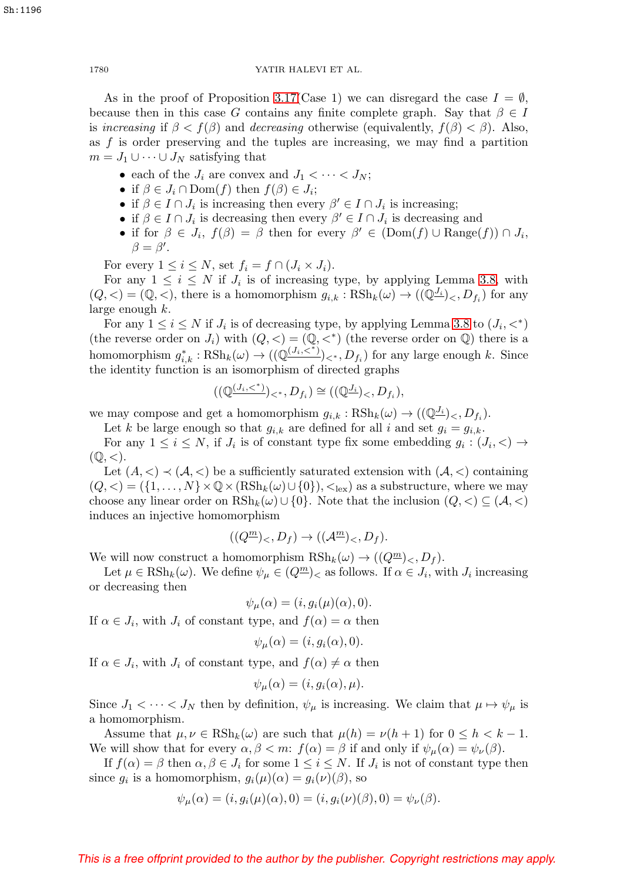As in the proof of Proposition [3.17\(](#page-10-1)Case 1) we can disregard the case  $I = \emptyset$ , because then in this case G contains any finite complete graph. Say that  $\beta \in I$ is increasing if  $\beta < f(\beta)$  and decreasing otherwise (equivalently,  $f(\beta) < \beta$ ). Also, as  $f$  is order preserving and the tuples are increasing, we may find a partition  $m = J_1 \cup \cdots \cup J_N$  satisfying that

- each of the  $J_i$  are convex and  $J_1 < \cdots < J_N$ ;
- if  $\beta \in J_i \cap \text{Dom}(f)$  then  $f(\beta) \in J_i$ ;
- if  $\beta \in I \cap J_i$  is increasing then every  $\beta' \in I \cap J_i$  is increasing;
- if  $\beta \in I \cap J_i$  is decreasing then every  $\beta' \in I \cap J_i$  is decreasing and
- if for  $\beta \in J_i$ ,  $f(\beta) = \beta$  then for every  $\beta' \in (Dom(f) \cup Range(f)) \cap J_i$ ,  $\beta = \beta'.$

For every  $1 \leq i \leq N$ , set  $f_i = f \cap (J_i \times J_i)$ .

For any  $1 \leq i \leq N$  if  $J_i$  is of increasing type, by applying Lemma [3.8,](#page-6-1) with  $(Q, \langle )=(\mathbb{Q}, \langle ),$  there is a homomorphism  $g_{i,k} : \text{RSh}_k(\omega) \to ((\mathbb{Q}^{\underline{J_i}})_{\langle \langle }, D_{f_i} \rangle)$  for any large enough k.

For any  $1 \leq i \leq N$  if  $J_i$  is of decreasing type, by applying Lemma [3.8](#page-6-1) to  $(J_i, \langle \rangle^*)$ (the reverse order on  $J_i$ ) with  $(Q, \langle \rangle = (Q, \langle \rangle^*)$  (the reverse order on Q) there is a homomorphism  $g_{i,k}^* : \text{RSh}_k(\omega) \to ((\mathbb{Q}^{(J_i, \lt^*)})_{\lt^*}, D_{f_i})$  for any large enough k. Since the identity function is an isomorphism of directed graphs

$$
((\mathbb{Q}^{(J_i,<^*)})_{<^*}, D_{f_i}) \cong ((\mathbb{Q}^{J_i})_{<}, D_{f_i}),
$$

we may compose and get a homomorphism  $g_{i,k} : \text{RSh}_k(\omega) \to ((\mathbb{Q}^{\underline{J_i}})_{\leq}, D_{f_i}).$ 

Let k be large enough so that  $g_{i,k}$  are defined for all i and set  $g_i = g_{i,k}$ .

For any  $1 \leq i \leq N$ , if  $J_i$  is of constant type fix some embedding  $g_i : (J_i, \leq) \to$  $(Q, \leq).$ 

Let  $(A, \leq) \prec (A, \leq)$  be a sufficiently saturated extension with  $(A, \leq)$  containing  $(Q, \langle)=({1,\ldots,N}\times\mathbb{Q}\times(\text{RSh}_k(\omega)\cup\{0\}), \langle_{\text{lex}}\rangle)$  as a substructure, where we may choose any linear order on  $R\text{Sh}_k(\omega) \cup \{0\}$ . Note that the inclusion  $(Q, \langle \rangle \subseteq (\mathcal{A}, \langle \rangle))$ induces an injective homomorphism

$$
((Q^{\underline{m}})_{<} D_f) \to ((\mathcal{A}^{\underline{m}})_{<} D_f).
$$

We will now construct a homomorphism  $R\mathrm{Sh}_k(\omega) \to ((Q^{\underline{m}})_{\leq}, D_f)$ .

Let  $\mu \in \text{RSh}_k(\omega)$ . We define  $\psi_\mu \in (Q^{\underline{m}})_\leq$  as follows. If  $\alpha \in J_i$ , with  $J_i$  increasing or decreasing then

$$
\psi_{\mu}(\alpha) = (i, g_i(\mu)(\alpha), 0).
$$

If  $\alpha \in J_i$ , with  $J_i$  of constant type, and  $f(\alpha) = \alpha$  then

$$
\psi_{\mu}(\alpha) = (i, g_i(\alpha), 0).
$$

If  $\alpha \in J_i$ , with  $J_i$  of constant type, and  $f(\alpha) \neq \alpha$  then

$$
\psi_{\mu}(\alpha) = (i, g_i(\alpha), \mu).
$$

Since  $J_1 < \cdots < J_N$  then by definition,  $\psi_\mu$  is increasing. We claim that  $\mu \mapsto \psi_\mu$  is a homomorphism.

Assume that  $\mu, \nu \in \text{RSh}_k(\omega)$  are such that  $\mu(h) = \nu(h+1)$  for  $0 \leq h < k-1$ . We will show that for every  $\alpha, \beta < m$ :  $f(\alpha) = \beta$  if and only if  $\psi_{\mu}(\alpha) = \psi_{\nu}(\beta)$ .

If  $f(\alpha) = \beta$  then  $\alpha, \beta \in J_i$  for some  $1 \leq i \leq N$ . If  $J_i$  is not of constant type then since  $g_i$  is a homomorphism,  $g_i(\mu)(\alpha) = g_i(\nu)(\beta)$ , so

$$
\psi_{\mu}(\alpha) = (i, g_i(\mu)(\alpha), 0) = (i, g_i(\nu)(\beta), 0) = \psi_{\nu}(\beta).
$$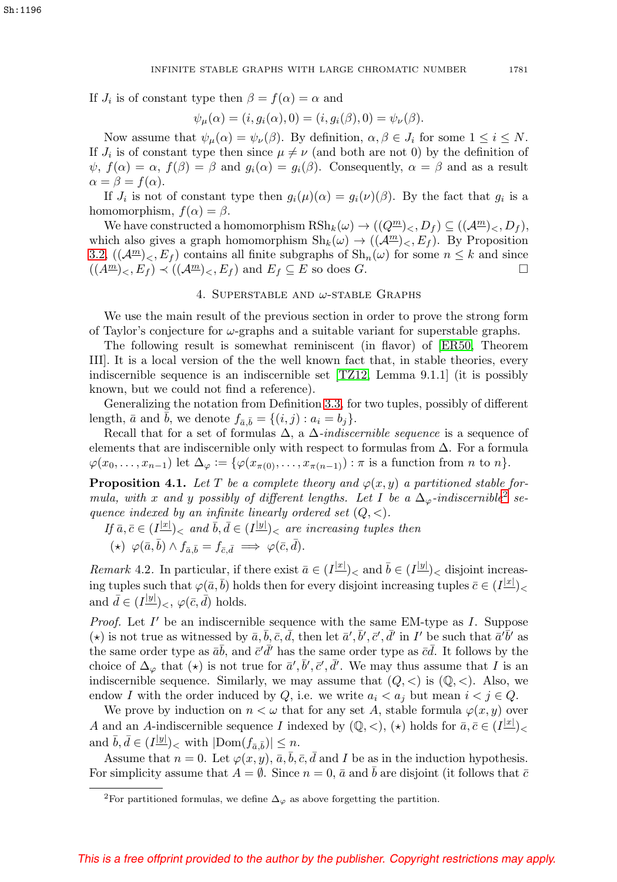If  $J_i$  is of constant type then  $\beta = f(\alpha) = \alpha$  and

$$
\psi_{\mu}(\alpha) = (i, g_i(\alpha), 0) = (i, g_i(\beta), 0) = \psi_{\nu}(\beta).
$$

Now assume that  $\psi_{\mu}(\alpha) = \psi_{\nu}(\beta)$ . By definition,  $\alpha, \beta \in J_i$  for some  $1 \leq i \leq N$ . If  $J_i$  is of constant type then since  $\mu \neq \nu$  (and both are not 0) by the definition of  $\psi$ ,  $f(\alpha) = \alpha$ ,  $f(\beta) = \beta$  and  $g_i(\alpha) = g_i(\beta)$ . Consequently,  $\alpha = \beta$  and as a result  $\alpha = \beta = f(\alpha)$ .

If  $J_i$  is not of constant type then  $g_i(\mu)(\alpha) = g_i(\nu)(\beta)$ . By the fact that  $g_i$  is a homomorphism,  $f(\alpha) = \beta$ .

We have constructed a homomorphism  $RSh_k(\omega) \to ((Q^{\underline{m}})_{\leq}, D_f) \subseteq ((\mathcal{A}^{\underline{m}})_{\leq}, D_f),$ which also gives a graph homomorphism  $\text{Sh}_k(\omega) \to ((\mathcal{A}^{\underline{m}})_{\leq}, E_f)$ . By Proposition [3.2,](#page-4-1)  $((\mathcal{A}^{\underline{m}})_{<}, E_f)$  contains all finite subgraphs of  $\mathrm{Sh}_n(\omega)$  for some  $n \leq k$  and since  $((A^{\underline{m}})_{<}, E_f) \prec ((A^{\underline{m}})_{<}, E_f)$  and  $E_f \subseteq E$  so does G.

# 4. SUPERSTABLE AND  $\omega$ -STABLE GRAPHS

We use the main result of the previous section in order to prove the strong form of Taylor's conjecture for  $\omega$ -graphs and a suitable variant for superstable graphs.

The following result is somewhat reminiscent (in flavor) of [\[ER50,](#page-31-12) Theorem III]. It is a local version of the the well known fact that, in stable theories, every indiscernible sequence is an indiscernible set [\[TZ12,](#page-31-10) Lemma 9.1.1] (it is possibly known, but we could not find a reference).

Generalizing the notation from Definition [3.3,](#page-5-1) for two tuples, possibly of different length,  $\bar{a}$  and  $b$ , we denote  $f_{\bar{a}, \bar{b}} = \{(i, j) : a_i = b_j\}.$ 

Recall that for a set of formulas  $\Delta$ , a  $\Delta$ -indiscernible sequence is a sequence of elements that are indiscernible only with respect to formulas from  $\Delta$ . For a formula  $\varphi(x_0,\ldots,x_{n-1})$  let  $\Delta_{\varphi} := \{\varphi(x_{\pi(0)},\ldots,x_{\pi(n-1)}): \pi \text{ is a function from } n \text{ to } n\}.$ 

<span id="page-14-1"></span>**Proposition 4.1.** Let T be a complete theory and  $\varphi(x, y)$  a partitioned stable formula, with x and y possibly of different lengths. Let I be a  $\Delta_{\varphi}$ -indiscernible<sup>[2](#page-14-0)</sup> sequence indexed by an infinite linearly ordered set  $(Q, \leq)$ .

If  $\bar{a}, \bar{c} \in (I^{|\underline{x}|})_<$  and  $\bar{b}, \bar{d} \in (I^{|\underline{y}|})_<$  are increasing tuples then  $(\star) \varphi(\bar{a}, \bar{b}) \wedge f_{\bar{a}, \bar{b}} = f_{\bar{c}, \bar{d}} \implies \varphi(\bar{c}, \bar{d}).$ 

*Remark* 4.2. In particular, if there exist  $\bar{a} \in (I^{|\underline{x}|})_{\leq}$  and  $\bar{b} \in (I^{|\underline{y}|})_{\leq}$  disjoint increasing tuples such that  $\varphi(\bar a, \bar b)$  holds then for every disjoint increasing tuples  $\bar c \in (I^{|\underline{x}|})_{\leq \bar c}$ and  $\bar{d} \in (I^{|\underline{y}|})_<, \varphi(\bar{c}, \bar{d})$  holds.

*Proof.* Let  $I'$  be an indiscernible sequence with the same EM-type as  $I$ . Suppose (\*) is not true as witnessed by  $\bar{a}, \bar{b}, \bar{c}, \bar{d},$  then let  $\bar{a}', \bar{b}', \bar{c}', \bar{d}'$  in I' be such that  $\bar{a}'\bar{b}'$  as the same order type as  $\bar{a}\bar{b}$ , and  $\bar{c}'\bar{d}'$  has the same order type as  $\bar{c}\bar{d}$ . It follows by the choice of  $\Delta_{\varphi}$  that  $(\star)$  is not true for  $\bar{a}', \bar{b}', \bar{c}', \bar{d}'$ . We may thus assume that I is an indiscernible sequence. Similarly, we may assume that  $(Q, \langle)$  is  $(\mathbb{Q}, \langle)$ . Also, we endow I with the order induced by Q, i.e. we write  $a_i < a_j$  but mean  $i < j \in Q$ .

We prove by induction on  $n < \omega$  that for any set A, stable formula  $\varphi(x, y)$  over A and an A-indiscernible sequence I indexed by  $(\mathbb{Q}, <)$ ,  $(\star)$  holds for  $\bar{a}, \bar{c} \in (I^{|\underline{x}|})_{< \infty}$ and  $\bar{b}, \bar{d} \in (I^{\underline{|y|}})_{<}$  with  $|\text{Dom}(f_{\bar{a},\bar{b}})| \leq n$ .

Assume that  $n = 0$ . Let  $\varphi(x, y)$ ,  $\bar{a}$ ,  $\bar{b}$ ,  $\bar{c}$ ,  $\bar{d}$  and I be as in the induction hypothesis. For simplicity assume that  $A = \emptyset$ . Since  $n = 0$ ,  $\bar{a}$  and  $\bar{b}$  are disjoint (it follows that  $\bar{c}$ 

<span id="page-14-0"></span><sup>&</sup>lt;sup>2</sup>For partitioned formulas, we define  $\Delta_{\varphi}$  as above forgetting the partition.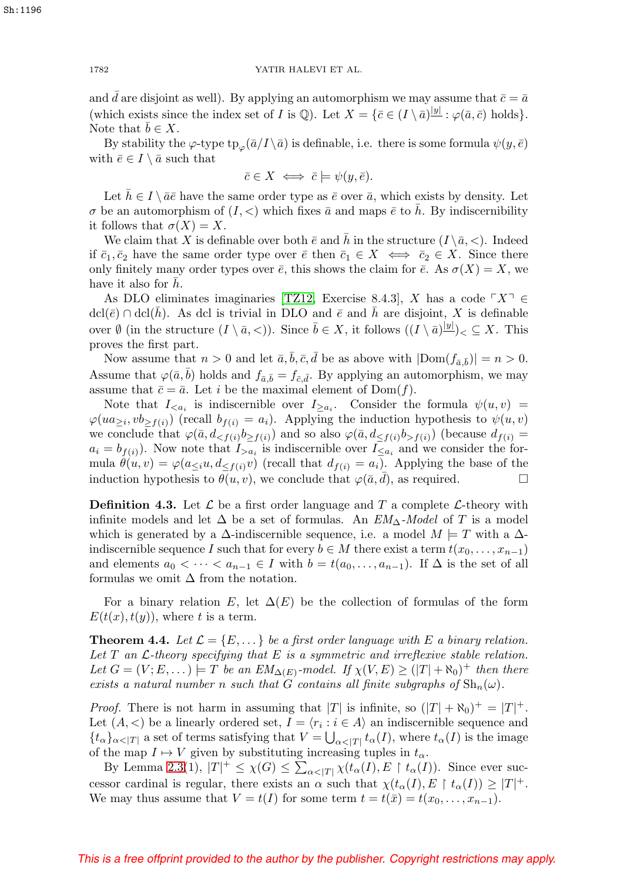and  $\bar{d}$  are disjoint as well). By applying an automorphism we may assume that  $\bar{c} = \bar{a}$ (which exists since the index set of I is  $\mathbb{Q}$ ). Let  $X = {\bar{c} \in (I \setminus \bar{a})^{|y|} : \varphi(\bar{a}, \bar{c}) \text{ holds}}.$ Note that  $b \in X$ .

By stability the  $\varphi$ -type tp<sub>ω</sub>( $\bar{a}/I \setminus \bar{a}$ ) is definable, i.e. there is some formula  $\psi(y, \bar{e})$ with  $\bar{e} \in I \setminus \bar{a}$  such that

$$
\bar{c} \in X \iff \bar{c} \models \psi(y, \bar{e}).
$$

Let  $\bar{h} \in I \setminus \bar{a}\bar{e}$  have the same order type as  $\bar{e}$  over  $\bar{a}$ , which exists by density. Let  $\sigma$  be an automorphism of  $(I, \leq)$  which fixes  $\bar{a}$  and maps  $\bar{e}$  to h. By indiscernibility it follows that  $\sigma(X) = X$ .

We claim that X is definable over both  $\bar{e}$  and h in the structure  $(I \setminus \bar{a}, <)$ . Indeed if  $\bar{c}_1, \bar{c}_2$  have the same order type over  $\bar{e}$  then  $\bar{c}_1 \in X \iff \bar{c}_2 \in X$ . Since there only finitely many order types over  $\bar{e}$ , this shows the claim for  $\bar{e}$ . As  $\sigma(X) = X$ , we have it also for  $h$ .

As DLO eliminates imaginaries [\[TZ12,](#page-31-10) Exercise 8.4.3], X has a code  $\ulcorner X \urcorner \in$  $\text{dcl}(\bar{e}) \cap \text{dcl}(\bar{h})$ . As dcl is trivial in DLO and  $\bar{e}$  and  $\bar{h}$  are disjoint, X is definable over  $\emptyset$  (in the structure  $(I \setminus \overline{a}, <)$ ). Since  $\overline{b} \in X$ , it follows  $((I \setminus \overline{a})^{\underline{|y|}})_{\leq} \subseteq X$ . This proves the first part.

Now assume that  $n > 0$  and let  $\bar{a}, \bar{b}, \bar{c}, \bar{d}$  be as above with  $|Dom(f_{\bar{a}, \bar{b}})| = n > 0$ . Assume that  $\varphi(\bar{a}, \bar{b})$  holds and  $f_{\bar{a}, \bar{b}} = f_{\bar{c}, \bar{d}}$ . By applying an automorphism, we may assume that  $\bar{c} = \bar{a}$ . Let *i* be the maximal element of Dom(f).

Note that  $I_{\leq a_i}$  is indiscernible over  $I_{\geq a_i}$ . Consider the formula  $\psi(u, v)$  =  $\varphi(ua_{\geq i}, vb_{\geq f(i)})$  (recall  $b_{f(i)} = a_i$ ). Applying the induction hypothesis to  $\psi(u, v)$ we conclude that  $\varphi(\bar{a}, d_{\leq f(i)}b_{\geq f(i)})$  and so also  $\varphi(\bar{a}, d_{\leq f(i)}b_{>f(i)})$  (because  $d_{f(i)} =$  $a_i = b_{f(i)}$ . Now note that  $I_{>a_i}$  is indiscernible over  $I_{\leq a_i}$  and we consider the formula  $\hat{\theta}(u, v) = \varphi(a_{\leq i}u, d_{\leq f(i)}v)$  (recall that  $d_{f(i)} = a_i$ ). Applying the base of the induction hypothesis to  $\overline{\theta(u,v)}$ , we conclude that  $\varphi(\overline{a}, \overline{d})$ , as required.

**Definition 4.3.** Let  $\mathcal{L}$  be a first order language and T a complete  $\mathcal{L}$ -theory with infinite models and let  $\Delta$  be a set of formulas. An  $EM_{\Delta}$ -Model of T is a model which is generated by a  $\Delta$ -indiscernible sequence, i.e. a model  $M \models T$  with a  $\Delta$ indiscernible sequence I such that for every  $b \in M$  there exist a term  $t(x_0, \ldots, x_{n-1})$ and elements  $a_0 < \cdots < a_{n-1} \in I$  with  $b = t(a_0, \ldots, a_{n-1})$ . If  $\Delta$  is the set of all formulas we omit  $\Delta$  from the notation.

For a binary relation E, let  $\Delta(E)$  be the collection of formulas of the form  $E(t(x), t(y))$ , where t is a term.

<span id="page-15-0"></span>**Theorem 4.4.** Let  $\mathcal{L} = \{E, \dots\}$  be a first order language with E a binary relation. Let  $T$  an  $\mathcal{L}$ -theory specifying that  $E$  is a symmetric and irreflexive stable relation. Let  $G = (V; E, \dots) \models T$  be an  $EM_{\Delta(E)}$ -model. If  $\chi(V, E) \geq (|T| + \aleph_0)^+$  then there exists a natural number n such that G contains all finite subgraphs of  $\text{Sh}_n(\omega)$ .

*Proof.* There is not harm in assuming that  $|T|$  is infinite, so  $(|T| + \aleph_0)^+ = |T|^+$ . Let  $(A, \leq)$  be a linearly ordered set,  $I = \langle r_i : i \in A \rangle$  an indiscernible sequence and  ${t_{\alpha}}_{\alpha<|T|}$  a set of terms satisfying that  $V = \bigcup_{\alpha<|T|} t_{\alpha}(I)$ , where  $t_{\alpha}(I)$  is the image of the map  $I \mapsto V$  given by substituting increasing tuples in  $t_{\alpha}$ .

By Lemma [2.3\(](#page-2-0)1),  $|T|^+ \leq \chi(G) \leq \sum_{\alpha < |T|} \chi(t_\alpha(I), E \restriction t_\alpha(I))$ . Since ever successor cardinal is regular, there exists an  $\alpha$  such that  $\chi(t_{\alpha}(I), E \restriction t_{\alpha}(I)) \geq |T|^+$ . We may thus assume that  $V = t(I)$  for some term  $t = t(\bar{x}) = t(x_0, \ldots, x_{n-1}).$ 

Sh:1196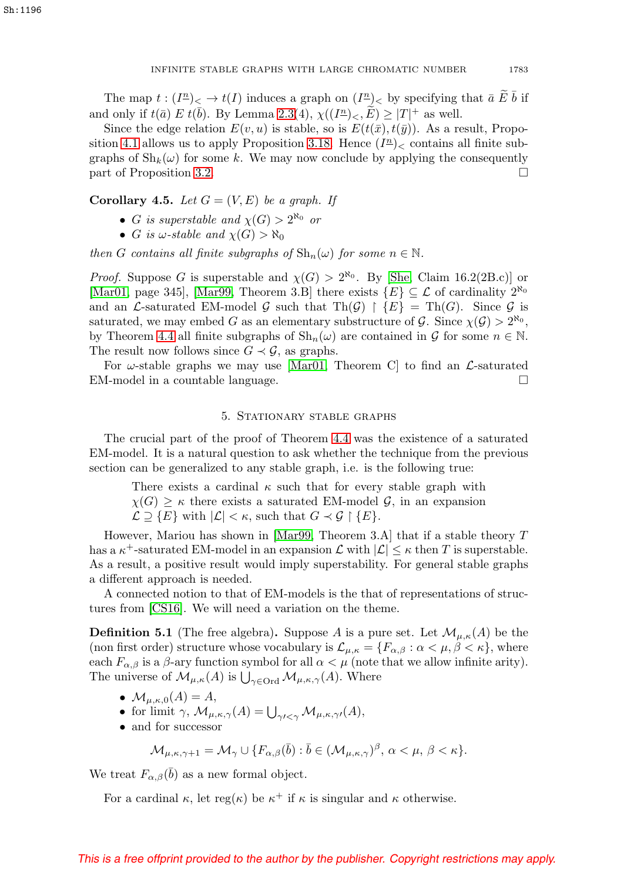The map  $t:(I^n)_{\leq} \to t(I)$  induces a graph on  $(I^n)_{\leq}$  by specifying that  $\bar{a} \; \widetilde{E} \; \bar{b}$  if and only if  $t(\bar{a}) \mathcal{L} t(\bar{b})$ . By Lemma [2.3\(](#page-2-0)4),  $\chi((I^{\underline{n}})_{\leq}, \widetilde{E}) \geq |T|^{+}$  as well.

Since the edge relation  $E(v, u)$  is stable, so is  $E(t(\bar{x}), t(\bar{y}))$ . As a result, Propo-sition [4.1](#page-14-1) allows us to apply Proposition [3.18.](#page-12-0) Hence  $(I<sup>n</sup>)<sub>lt</sub>$  contains all finite subgraphs of  $\mathrm{Sh}_k(\omega)$  for some k. We may now conclude by applying the consequently part of Proposition [3.2.](#page-4-1)

## <span id="page-16-0"></span>**Corollary 4.5.** Let  $G = (V, E)$  be a graph. If

- G is superstable and  $\chi(G) > 2^{\aleph_0}$  or
- G is  $\omega$ -stable and  $\chi(G) > \aleph_0$

then G contains all finite subgraphs of  $\mathrm{Sh}_n(\omega)$  for some  $n \in \mathbb{N}$ .

*Proof.* Suppose G is superstable and  $\chi(G) > 2^{\aleph_0}$ . By [\[She,](#page-31-13) Claim 16.2(2B.c)] or [\[Mar01,](#page-31-14) page 345], [\[Mar99,](#page-31-15) Theorem 3.B] there exists  $\{E\} \subseteq \mathcal{L}$  of cardinality  $2^{\aleph_0}$ and an *L*-saturated EM-model G such that  $\text{Th}(\mathcal{G}) \restriction \{E\} = \text{Th}(G)$ . Since G is saturated, we may embed G as an elementary substructure of  $\mathcal{G}$ . Since  $\chi(\mathcal{G}) > 2^{\aleph_0}$ , by Theorem [4.4](#page-15-0) all finite subgraphs of  $\text{Sh}_n(\omega)$  are contained in G for some  $n \in \mathbb{N}$ . The result now follows since  $G \prec \mathcal{G}$ , as graphs.

For  $\omega$ -stable graphs we may use [\[Mar01,](#page-31-14) Theorem C] to find an  $\mathcal{L}$ -saturated EM-model in a countable language.

## 5. Stationary stable graphs

The crucial part of the proof of Theorem [4.4](#page-15-0) was the existence of a saturated EM-model. It is a natural question to ask whether the technique from the previous section can be generalized to any stable graph, i.e. is the following true:

There exists a cardinal  $\kappa$  such that for every stable graph with  $\chi(G) \geq \kappa$  there exists a saturated EM-model G, in an expansion  $\mathcal{L} \supseteq \{E\}$  with  $|\mathcal{L}| < \kappa$ , such that  $G \prec \mathcal{G} \restriction \{E\}.$ 

However, Mariou has shown in [\[Mar99,](#page-31-15) Theorem 3.A] that if a stable theory T has a  $\kappa^+$ -saturated EM-model in an expansion  $\mathcal L$  with  $|\mathcal L| \leq \kappa$  then T is superstable. As a result, a positive result would imply superstability. For general stable graphs a different approach is needed.

A connected notion to that of EM-models is the that of representations of structures from [\[CS16\]](#page-30-1). We will need a variation on the theme.

**Definition 5.1** (The free algebra). Suppose A is a pure set. Let  $\mathcal{M}_{\mu,\kappa}(A)$  be the (non first order) structure whose vocabulary is  $\mathcal{L}_{\mu,\kappa} = \{F_{\alpha,\beta} : \alpha \lt \mu, \beta \lt \kappa\}$ , where each  $F_{\alpha,\beta}$  is a  $\beta$ -ary function symbol for all  $\alpha < \mu$  (note that we allow infinite arity). The universe of  $\mathcal{M}_{\mu,\kappa}(A)$  is  $\bigcup_{\gamma\in\mathrm{Ord}}\mathcal{M}_{\mu,\kappa,\gamma}(A)$ . Where

- $\mathcal{M}_{\mu,\kappa,0}(A) = A$ ,
- for limit  $\gamma$ ,  $\mathcal{M}_{\mu,\kappa,\gamma}(A) = \bigcup_{\gamma' < \gamma} \mathcal{M}_{\mu,\kappa,\gamma'}(A)$ ,
- and for successor

$$
\mathcal{M}_{\mu,\kappa,\gamma+1} = \mathcal{M}_{\gamma} \cup \{ F_{\alpha,\beta}(\bar{b}) : \bar{b} \in (\mathcal{M}_{\mu,\kappa,\gamma})^{\beta}, \alpha < \mu, \beta < \kappa \}.
$$

We treat  $F_{\alpha,\beta}(\bar{b})$  as a new formal object.

For a cardinal  $\kappa$ , let reg( $\kappa$ ) be  $\kappa^+$  if  $\kappa$  is singular and  $\kappa$  otherwise.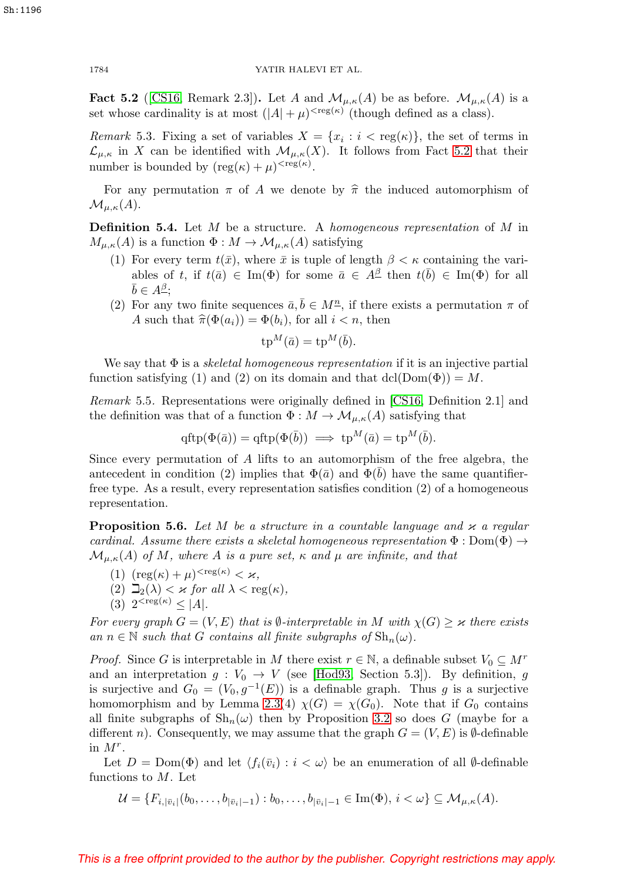<span id="page-17-0"></span>**Fact 5.2** ([\[CS16,](#page-30-1) Remark 2.3]). Let A and  $\mathcal{M}_{\mu,\kappa}(A)$  be as before.  $\mathcal{M}_{\mu,\kappa}(A)$  is a set whose cardinality is at most  $(|A| + \mu)^{\text{deg}(\kappa)}$  (though defined as a class).

<span id="page-17-1"></span>Remark 5.3. Fixing a set of variables  $X = \{x_i : i < \text{reg}(\kappa)\}\)$ , the set of terms in  $\mathcal{L}_{\mu,\kappa}$  in X can be identified with  $\mathcal{M}_{\mu,\kappa}(X)$ . It follows from Fact [5.2](#page-17-0) that their number is bounded by  $(\text{reg}(\kappa) + \mu)^{<\text{reg}(\kappa)}$ .

For any permutation  $\pi$  of A we denote by  $\hat{\pi}$  the induced automorphism of  $\mathcal{M}_{\mu,\kappa}(A).$ 

<span id="page-17-2"></span>**Definition 5.4.** Let M be a structure. A homogeneous representation of M in  $M_{\mu,\kappa}(A)$  is a function  $\Phi: M \to \mathcal{M}_{\mu,\kappa}(A)$  satisfying

- (1) For every term  $t(\bar{x})$ , where  $\bar{x}$  is tuple of length  $\beta < \kappa$  containing the variables of t, if  $t(\bar{a}) \in \text{Im}(\Phi)$  for some  $\bar{a} \in A^{\underline{\beta}}$  then  $t(\bar{b}) \in \text{Im}(\Phi)$  for all  $\bar{b} \in A^{\underline{\beta}}$ ;
- (2) For any two finite sequences  $\bar{a}, \bar{b} \in M^{\underline{n}}$ , if there exists a permutation  $\pi$  of A such that  $\hat{\pi}(\Phi(a_i)) = \Phi(b_i)$ , for all  $i < n$ , then

$$
\operatorname{tp}^M(\bar{a}) = \operatorname{tp}^M(\bar{b}).
$$

We say that  $\Phi$  is a *skeletal homogeneous representation* if it is an injective partial function satisfying (1) and (2) on its domain and that dcl( $Dom(\Phi)$ ) = M.

<span id="page-17-3"></span>Remark 5.5. Representations were originally defined in [\[CS16,](#page-30-1) Definition 2.1] and the definition was that of a function  $\Phi : M \to M_{\mu,\kappa}(A)$  satisfying that

$$
\text{qftp}(\Phi(\bar{a})) = \text{qftp}(\Phi(\bar{b})) \implies \text{tp}^M(\bar{a}) = \text{tp}^M(\bar{b}).
$$

Since every permutation of A lifts to an automorphism of the free algebra, the antecedent in condition (2) implies that  $\Phi(\bar{a})$  and  $\Phi(b)$  have the same quantifierfree type. As a result, every representation satisfies condition (2) of a homogeneous representation.

<span id="page-17-4"></span>**Proposition 5.6.** Let M be a structure in a countable language and  $\varkappa$  a regular cardinal. Assume there exists a skeletal homogeneous representation  $\Phi : \text{Dom}(\Phi) \rightarrow$  $\mathcal{M}_{\mu,\kappa}(A)$  of M, where A is a pure set,  $\kappa$  and  $\mu$  are infinite, and that

- (1)  $(\text{reg}(\kappa) + \mu)^{<\text{reg}(\kappa)} < \varkappa,$
- (2)  $\Box_2(\lambda) < \varkappa$  for all  $\lambda < \text{reg}(\kappa)$ ,
- (3)  $2^{<\text{reg}(\kappa)} < |A|$ .

For every graph  $G = (V, E)$  that is  $\emptyset$ -interpretable in M with  $\chi(G) \geq \kappa$  there exists an  $n \in \mathbb{N}$  such that G contains all finite subgraphs of  $\mathrm{Sh}_n(\omega)$ .

*Proof.* Since G is interpretable in M there exist  $r \in \mathbb{N}$ , a definable subset  $V_0 \subseteq M^r$ and an interpretation  $g: V_0 \to V$  (see [\[Hod93,](#page-31-16) Section 5.3]). By definition, g is surjective and  $G_0 = (V_0, g^{-1}(E))$  is a definable graph. Thus g is a surjective homomorphism and by Lemma [2.3\(](#page-2-0)4)  $\chi(G) = \chi(G_0)$ . Note that if  $G_0$  contains all finite subgraphs of  $\mathrm{Sh}_n(\omega)$  then by Proposition [3.2](#page-4-1) so does G (maybe for a different n). Consequently, we may assume that the graph  $G = (V, E)$  is  $\emptyset$ -definable in  $M^r$ .

Let  $D = \text{Dom}(\Phi)$  and let  $\langle f_i(\bar{v}_i) : i \langle \omega \rangle$  be an enumeration of all  $\emptyset$ -definable functions to  $M$ . Let

 $\mathcal{U} = \{F_{i,|\bar{v}_i|}(b_0,\ldots,b_{|\bar{v}_i|-1}): b_0,\ldots,b_{|\bar{v}_i|-1} \in \text{Im}(\Phi), i \lt \omega\} \subseteq \mathcal{M}_{\mu,\kappa}(A).$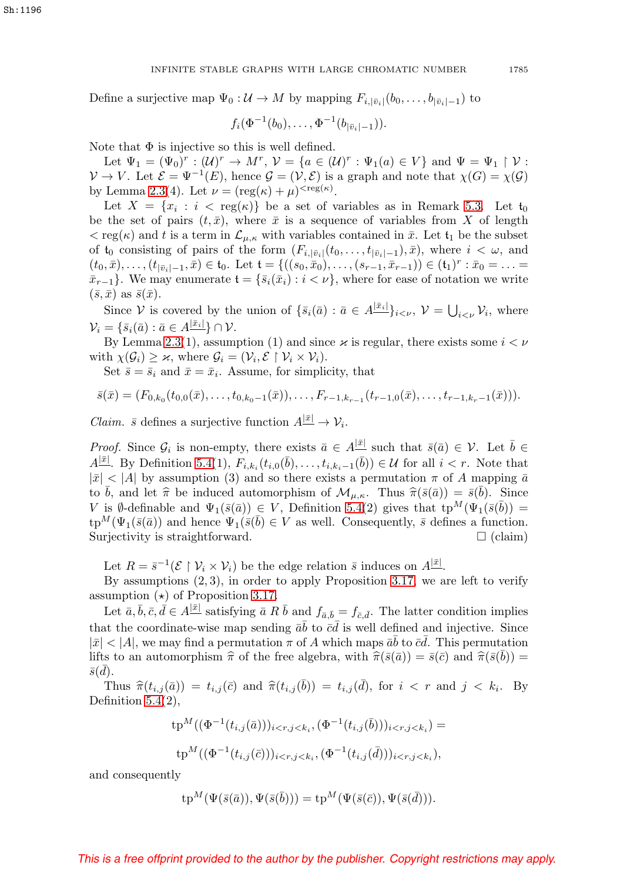#### INFINITE STABLE GRAPHS WITH LARGE CHROMATIC NUMBER 1785

Define a surjective map  $\Psi_0: U \to M$  by mapping  $F_{i,|\bar{v}_i|}(b_0,\ldots,b_{|\bar{v}_i|-1})$  to

$$
f_i(\Phi^{-1}(b_0),\ldots,\Phi^{-1}(b_{|\bar{v}_i|-1})).
$$

Note that  $\Phi$  is injective so this is well defined.

Let  $\Psi_1 = (\Psi_0)^r : (\mathcal{U})^r \to M^r$ ,  $\mathcal{V} = \{a \in (\mathcal{U})^r : \Psi_1(a) \in V\}$  and  $\Psi = \Psi_1 \upharpoonright \mathcal{V}$ :  $V \to V$ . Let  $\mathcal{E} = \Psi^{-1}(E)$ , hence  $\mathcal{G} = (\mathcal{V}, \mathcal{E})$  is a graph and note that  $\chi(G) = \chi(\mathcal{G})$ by Lemma [2.3\(](#page-2-0)4). Let  $\nu = (\text{reg}(\kappa) + \mu)^{<\text{reg}(\kappa)}$ .

Let  $X = \{x_i : i < \text{reg}(\kappa)\}\)$  be a set of variables as in Remark [5.3.](#page-17-1) Let  $t_0$ be the set of pairs  $(t, \bar{x})$ , where  $\bar{x}$  is a sequence of variables from X of length  $<$  reg( $\kappa$ ) and t is a term in  $\mathcal{L}_{\mu,\kappa}$  with variables contained in  $\bar{x}$ . Let  $t_1$  be the subset of  $t_0$  consisting of pairs of the form  $(F_{i,|\bar{v}_i|}(t_0,\ldots,t_{|\bar{v}_i|-1}),\bar{x})$ , where  $i<\omega$ , and  $(t_0, \bar{x}), \ldots, (t_{|\bar{v}_i|-1}, \bar{x}) \in \mathfrak{t}_0$ . Let  $\mathfrak{t} = \{((s_0, \bar{x}_0), \ldots, (s_{r-1}, \bar{x}_{r-1})) \in (\mathfrak{t}_1)^r : \bar{x}_0 = \ldots =$  $\bar{x}_{r-1}$ . We may enumerate  $\mathfrak{t} = \{\bar{s}_i(\bar{x}_i) : i < \nu\}$ , where for ease of notation we write  $(\bar{s}, \bar{x})$  as  $\bar{s}(\bar{x})$ .

Since V is covered by the union of  $\{\bar{s}_i(\bar{a}) : \bar{a} \in A^{|\bar{x}_i|}\}_{i \leq \nu}, \nu = \bigcup_{i \leq \nu} \mathcal{V}_i$ , where  $\mathcal{V}_i = \{\bar{s}_i(\bar{a}): \bar{a} \in A^{|\bar{x}_i|}\} \cap \mathcal{V}.$ 

By Lemma [2.3\(](#page-2-0)1), assumption (1) and since  $\varkappa$  is regular, there exists some  $i < \nu$ with  $\chi(\mathcal{G}_i) \geq \varkappa$ , where  $\mathcal{G}_i = (\mathcal{V}_i, \mathcal{E} \restriction \mathcal{V}_i \times \mathcal{V}_i)$ .

Set  $\bar{s} = \bar{s}_i$  and  $\bar{x} = \bar{x}_i$ . Assume, for simplicity, that

$$
\bar{s}(\bar{x}) = (F_{0,k_0}(t_{0,0}(\bar{x}),\ldots,t_{0,k_0-1}(\bar{x})),\ldots,F_{r-1,k_{r-1}}(t_{r-1,0}(\bar{x}),\ldots,t_{r-1,k_r-1}(\bar{x}))).
$$

*Claim.*  $\bar{s}$  defines a surjective function  $A^{|\bar{x}|} \to V_i$ .

*Proof.* Since  $\mathcal{G}_i$  is non-empty, there exists  $\bar{a} \in A^{|\bar{x}|}$  such that  $\bar{s}(\bar{a}) \in \mathcal{V}$ . Let  $\bar{b} \in \mathcal{V}$  $A^{[\bar{x}]}$ . By Definition [5.4\(](#page-17-2)1),  $F_{i,k_i}(t_{i,0}(\bar{b}),\ldots,t_{i,k_i-1}(\bar{b})) \in \mathcal{U}$  for all  $i < r$ . Note that  $|\bar{x}| < |A|$  by assumption (3) and so there exists a permutation  $\pi$  of A mapping  $\bar{a}$ to  $\bar{b}$ , and let  $\hat{\pi}$  be induced automorphism of  $\mathcal{M}_{\mu,\kappa}$ . Thus  $\hat{\pi}(\bar{s}(\bar{a})) = \bar{s}(\bar{b})$ . Since V is Ø-definable and  $\Psi_1(\bar{s}(\bar{a})) \in V$ , Definition [5.4\(](#page-17-2)2) gives that  $tp^M(\Psi_1(\bar{s}(\bar{b})) =$  $tp^M(\Psi_1(\bar{s}(\bar{a}))$  and hence  $\Psi_1(\bar{s}(\bar{b}) \in V$  as well. Consequently,  $\bar{s}$  defines a function. Surjectivity is straightforward.  $\square$  (claim)

Let  $R = \bar{s}^{-1}(\mathcal{E} \restriction \mathcal{V}_i \times \mathcal{V}_i)$  be the edge relation  $\bar{s}$  induces on  $A^{|\bar{x}|}$ .

By assumptions  $(2, 3)$ , in order to apply Proposition [3.17,](#page-10-1) we are left to verify assumption  $(\star)$  of Proposition [3.17.](#page-10-1)

Let  $\bar{a}, \bar{b}, \bar{c}, \bar{d} \in A^{|\bar{x}|}$  satisfying  $\bar{a} R \bar{b}$  and  $f_{\bar{a}, \bar{b}} = f_{\bar{c}, \bar{d}}$ . The latter condition implies that the coordinate-wise map sending  $\bar{a}\bar{b}$  to  $\bar{c}\bar{d}$  is well defined and injective. Since  $|\bar{x}| < |A|$ , we may find a permutation  $\pi$  of A which maps  $\bar{a}\bar{b}$  to  $\bar{c}\bar{d}$ . This permutation lifts to an automorphism  $\hat{\pi}$  of the free algebra, with  $\hat{\pi}(\bar{s}(\bar{a})) = \bar{s}(\bar{c})$  and  $\hat{\pi}(\bar{s}(\bar{b})) =$  $\bar{s}(\bar{d})$ .

Thus  $\widehat{\pi}(t_{i,j}(\bar{a})) = t_{i,j}(\bar{c})$  and  $\widehat{\pi}(t_{i,j}(\bar{b})) = t_{i,j}(\bar{d})$ , for  $i < r$  and  $j < k_i$ . By Definition  $5.4(2)$ ,

$$
\begin{aligned} \operatorname{tp}^M((\Phi^{-1}(t_{i,j}(\bar{a})))_{i < r, j < k_i}, (\Phi^{-1}(t_{i,j}(\bar{b})))_{i < r, j < k_i}) &= \\ \operatorname{tp}^M((\Phi^{-1}(t_{i,j}(\bar{c})))_{i < r, j < k_i}, (\Phi^{-1}(t_{i,j}(\bar{d})))_{i < r, j < k_i}), \end{aligned}
$$

and consequently

$$
\text{tp}^M(\Psi(\bar{s}(\bar{a})), \Psi(\bar{s}(\bar{b}))) = \text{tp}^M(\Psi(\bar{s}(\bar{c})), \Psi(\bar{s}(\bar{d}))).
$$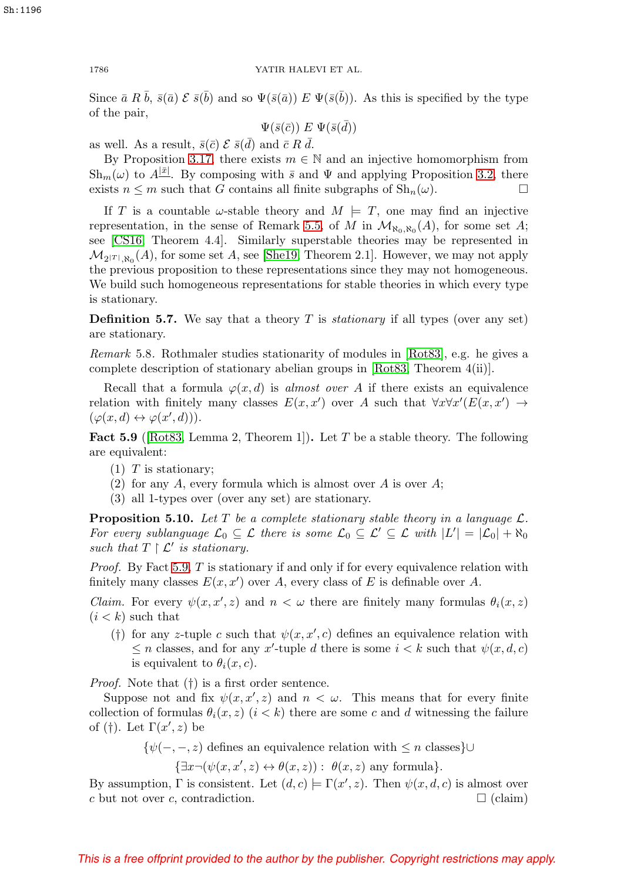Since  $\bar{a} R \bar{b}$ ,  $\bar{s}(\bar{a}) \mathcal{E} \bar{s}(\bar{b})$  and so  $\Psi(\bar{s}(\bar{a})) E \Psi(\bar{s}(\bar{b}))$ . As this is specified by the type of the pair,

$$
\Psi(\bar{s}(\bar{c})) \mathrel{E} \Psi(\bar{s}(\bar{d}))
$$

as well. As a result,  $\bar{s}(\bar{c}) \mathcal{E} \bar{s}(\bar{d})$  and  $\bar{c} R \bar{d}$ .

By Proposition [3.17,](#page-10-1) there exists  $m \in \mathbb{N}$  and an injective homomorphism from  $\mathrm{Sh}_{m}(\omega)$  to  $A^{|\bar{x}|}$ . By composing with  $\bar{s}$  and  $\Psi$  and applying Proposition [3.2,](#page-4-1) there exists  $n \leq m$  such that G contains all finite subgraphs of  $\text{Sh}_n(\omega)$ .

If T is a countable  $\omega$ -stable theory and  $M \models T$ , one may find an injective representation, in the sense of Remark [5.5,](#page-17-3) of M in  $\mathcal{M}_{\aleph_0,\aleph_0}(A)$ , for some set A; see [\[CS16,](#page-30-1) Theorem 4.4]. Similarly superstable theories may be represented in  $\mathcal{M}_{2|T|, \aleph_0}(A)$ , for some set A, see [\[She19,](#page-31-17) Theorem 2.1]. However, we may not apply the previous proposition to these representations since they may not homogeneous. We build such homogeneous representations for stable theories in which every type is stationary.

**Definition 5.7.** We say that a theory  $T$  is *stationary* if all types (over any set) are stationary.

Remark 5.8. Rothmaler studies stationarity of modules in [\[Rot83\]](#page-31-18), e.g. he gives a complete description of stationary abelian groups in [\[Rot83,](#page-31-18) Theorem 4(ii)].

Recall that a formula  $\varphi(x, d)$  is *almost over A* if there exists an equivalence relation with finitely many classes  $E(x, x')$  over A such that  $\forall x \forall x' (E(x, x') \rightarrow$  $(\varphi(x, d) \leftrightarrow \varphi(x', d))).$ 

<span id="page-19-0"></span>**Fact 5.9** ([\[Rot83,](#page-31-18) Lemma 2, Theorem 1]). Let T be a stable theory. The following are equivalent:

- $(1)$  T is stationary;
- (2) for any A, every formula which is almost over A is over A;
- (3) all 1-types over (over any set) are stationary.

<span id="page-19-1"></span>**Proposition 5.10.** Let T be a complete stationary stable theory in a language  $\mathcal{L}$ . For every sublanguage  $\mathcal{L}_0 \subseteq \mathcal{L}$  there is some  $\mathcal{L}_0 \subseteq \mathcal{L}' \subseteq \mathcal{L}$  with  $|L'| = |\mathcal{L}_0| + \aleph_0$ such that  $T \restriction \mathcal{L}'$  is stationary.

*Proof.* By Fact [5.9,](#page-19-0)  $T$  is stationary if and only if for every equivalence relation with finitely many classes  $E(x, x')$  over A, every class of E is definable over A.

*Claim.* For every  $\psi(x, x', z)$  and  $n < \omega$  there are finitely many formulas  $\theta_i(x, z)$  $(i < k)$  such that

(†) for any z-tuple c such that  $\psi(x, x', c)$  defines an equivalence relation with  $\leq n$  classes, and for any x'-tuple d there is some  $i < k$  such that  $\psi(x, d, c)$ is equivalent to  $\theta_i(x, c)$ .

Proof. Note that (†) is a first order sentence.

Suppose not and fix  $\psi(x, x', z)$  and  $n < \omega$ . This means that for every finite collection of formulas  $\theta_i(x, z)$  ( $i < k$ ) there are some c and d witnessing the failure of (†). Let  $\Gamma(x', z)$  be

 $\{\psi(-,-, z)\}$  defines an equivalence relation with  $\leq n$  classes}∪

 $\{\exists x \neg (\psi(x, x', z) \leftrightarrow \theta(x, z)) : \theta(x, z) \text{ any formula}\}.$ 

By assumption,  $\Gamma$  is consistent. Let  $(d, c) \models \Gamma(x', z)$ . Then  $\psi(x, d, c)$  is almost over c but not over c, contradiction.  $\Box$  (claim)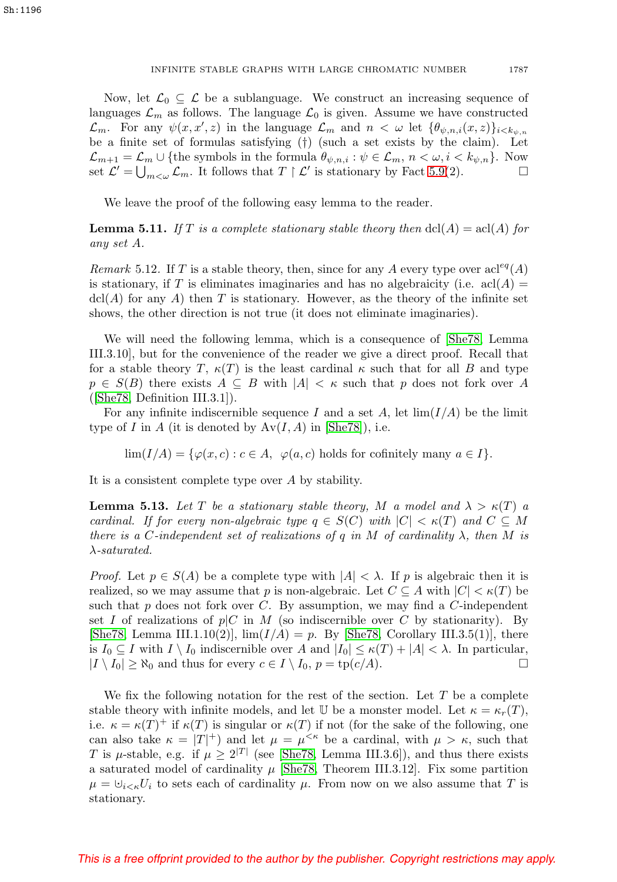Now, let  $\mathcal{L}_0 \subseteq \mathcal{L}$  be a sublanguage. We construct an increasing sequence of languages  $\mathcal{L}_m$  as follows. The language  $\mathcal{L}_0$  is given. Assume we have constructed  $\mathcal{L}_m$ . For any  $\psi(x, x', z)$  in the language  $\mathcal{L}_m$  and  $n < \omega$  let  $\{\theta_{\psi,n,i}(x, z)\}_{i \leq k_{\psi,n}}$ be a finite set of formulas satisfying (†) (such a set exists by the claim). Let  $\mathcal{L}_{m+1} = \mathcal{L}_m \cup \{\text{the symbols in the formula } \theta_{\psi,n,i} : \psi \in \mathcal{L}_m, n < \omega, i < k_{\psi,n}\}.$  Now set  $\mathcal{L}' = \bigcup_{m < \omega} \mathcal{L}_m$ . It follows that  $T \upharpoonright \mathcal{L}'$  is stationary by Fact [5.9\(](#page-19-0)2).

We leave the proof of the following easy lemma to the reader.

<span id="page-20-0"></span>**Lemma 5.11.** If T is a complete stationary stable theory then  $dcl(A) = \text{acl}(A)$  for any set A.

Remark 5.12. If T is a stable theory, then, since for any A every type over  $\operatorname{acl}^{eq}(A)$ is stationary, if T is eliminates imaginaries and has no algebraicity (i.e.  $\operatorname{acl}(A)$ )  $\text{dcl}(A)$  for any A) then T is stationary. However, as the theory of the infinite set shows, the other direction is not true (it does not eliminate imaginaries).

We will need the following lemma, which is a consequence of [\[She78,](#page-31-19) Lemma III.3.10], but for the convenience of the reader we give a direct proof. Recall that for a stable theory T,  $\kappa(T)$  is the least cardinal  $\kappa$  such that for all B and type  $p \in S(B)$  there exists  $A \subseteq B$  with  $|A| < \kappa$  such that p does not fork over A ([\[She78,](#page-31-19) Definition III.3.1]).

For any infinite indiscernible sequence I and a set A, let  $\lim(I/A)$  be the limit type of I in A (it is denoted by  $Av(I, A)$  in [\[She78\]](#page-31-19)), i.e.

 $\lim(I/A) = {\varphi(x, c) : c \in A, \varphi(a, c) \text{ holds for cofinitely many } a \in I}.$ 

It is a consistent complete type over A by stability.

<span id="page-20-1"></span>**Lemma 5.13.** Let T be a stationary stable theory, M a model and  $\lambda > \kappa(T)$  a cardinal. If for every non-algebraic type  $q \in S(C)$  with  $|C| < \kappa(T)$  and  $C \subseteq M$ there is a C-independent set of realizations of q in M of cardinality  $\lambda$ , then M is  $\lambda$ -saturated.

*Proof.* Let  $p \in S(A)$  be a complete type with  $|A| < \lambda$ . If p is algebraic then it is realized, so we may assume that p is non-algebraic. Let  $C \subseteq A$  with  $|C| < \kappa(T)$  be such that  $p$  does not fork over  $C$ . By assumption, we may find a  $C$ -independent set I of realizations of  $p|C$  in M (so indiscernible over C by stationarity). By [\[She78,](#page-31-19) Lemma III.1.10(2)],  $\lim(I/A) = p$ . By [She78, Corollary III.3.5(1)], there is  $I_0 \subseteq I$  with  $I \setminus I_0$  indiscernible over A and  $|I_0| \leq \kappa(T) + |A| < \lambda$ . In particular,  $|I \setminus I_0| \ge \aleph_0$  and thus for every  $c \in I \setminus I_0$ ,  $p = \text{tp}(c/A)$ .

We fix the following notation for the rest of the section. Let  $T$  be a complete stable theory with infinite models, and let U be a monster model. Let  $\kappa = \kappa_r(T)$ , i.e.  $\kappa = \kappa(T)^+$  if  $\kappa(T)$  is singular or  $\kappa(T)$  if not (for the sake of the following, one can also take  $\kappa = |T|^+$  and let  $\mu = \mu^{<\kappa}$  be a cardinal, with  $\mu > \kappa$ , such that T is  $\mu$ -stable, e.g. if  $\mu \geq 2^{|T|}$  (see [\[She78,](#page-31-19) Lemma III.3.6]), and thus there exists a saturated model of cardinality  $\mu$  [\[She78,](#page-31-19) Theorem III.3.12]. Fix some partition  $\mu = \bigcup_{i \leq \kappa} U_i$  to sets each of cardinality  $\mu$ . From now on we also assume that T is stationary.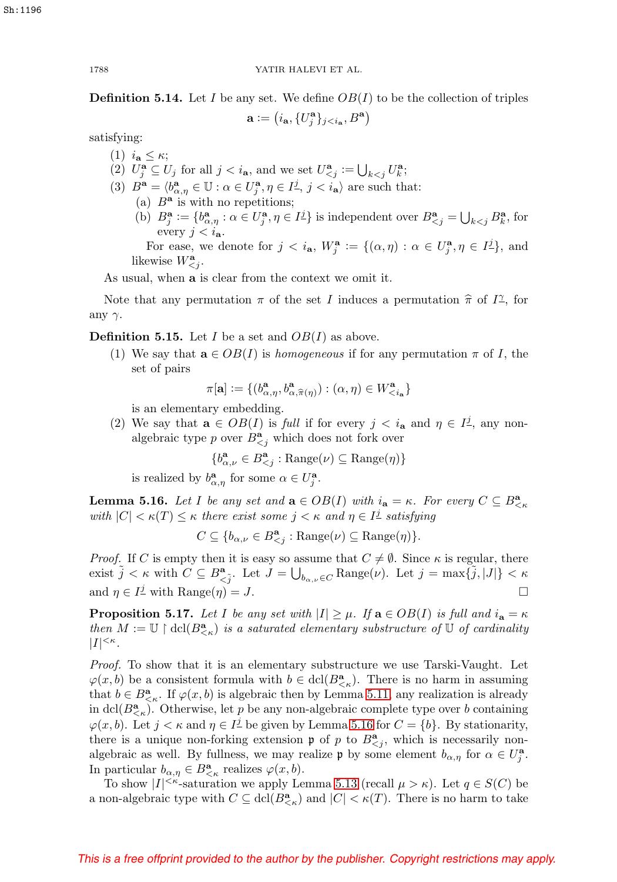<span id="page-21-1"></span>**Definition 5.14.** Let I be any set. We define  $OB(I)$  to be the collection of triples

$$
\mathbf{a} := (i_{\mathbf{a}}, \{U^{\mathbf{a}}_j\}_{j < i_{\mathbf{a}}}, B^{\mathbf{a}})
$$

satisfying:

(1)  $i_{\mathbf{a}} \leq \kappa$ ; (2)  $U_j^{\mathbf{a}} \subseteq U_j$  for all  $j < i_{\mathbf{a}}$ , and we set  $U_{\leq j}^{\mathbf{a}} := \bigcup_{k < j} U_k^{\mathbf{a}}$ ; (3)  $B^{\mathbf{a}} = \langle b^{\mathbf{a}}_{\alpha,\eta} \in \mathbb{U} : \alpha \in U^{\mathbf{a}}_j, \eta \in I^{\underline{j}}, j < i_{\mathbf{a}} \rangle$  are such that: (a)  $B^a$  is with no repetitions; (b)  $B_j^{\mathbf{a}} := \{b_{\alpha,\eta}^{\mathbf{a}} : \alpha \in U_j^{\mathbf{a}}, \eta \in I_j^{\underline{j}}\}$  is independent over  $B_{\leq j}^{\mathbf{a}} = \bigcup_{k \leq j} B_k^{\mathbf{a}}$ , for every  $j < i_{\mathbf{a}}$ . For ease, we denote for  $j < i_{\mathbf{a}}, W_j^{\mathbf{a}} := \{(\alpha, \eta) : \alpha \in U_j^{\mathbf{a}}, \eta \in I_j^{\underline{j}}\}$ , and likewise  $W_{\leq j}^{\mathbf{a}}$ .

As usual, when **a** is clear from the context we omit it.

Note that any permutation  $\pi$  of the set I induces a permutation  $\hat{\pi}$  of I<sup> $\gamma$ </sup>, for any  $\gamma$ .

**Definition 5.15.** Let I be a set and  $OB(I)$  as above.

(1) We say that  $\mathbf{a} \in OB(I)$  is *homogeneous* if for any permutation  $\pi$  of I, the set of pairs

 $\pi[\mathbf{a}] := \{ (b^{\mathbf{a}}_{\alpha,\eta}, b^{\mathbf{a}}_{\alpha,\widehat{\pi}(\eta)}):(\alpha,\eta) \in W^{\mathbf{a}}_{*\mathbf{a}} \}*$ 

is an elementary embedding.

(2) We say that  $\mathbf{a} \in OB(I)$  is full if for every  $j < i_{\mathbf{a}}$  and  $\eta \in I^{\mathcal{I}}$ , any nonalgebraic type p over  $B^{\mathbf{a}}_{\leq j}$  which does not fork over

$$
\{b_{\alpha,\nu}^{\mathbf{a}} \in B_{
$$

is realized by  $b^{\mathbf{a}}_{\alpha,\eta}$  for some  $\alpha \in U^{\mathbf{a}}_j$ .

<span id="page-21-0"></span>**Lemma 5.16.** Let I be any set and  $\mathbf{a} \in OB(I)$  with  $i_{\mathbf{a}} = \kappa$ . For every  $C \subseteq B_{\leq \kappa}^{\mathbf{a}}$ with  $|C| < \kappa(T) \leq \kappa$  there exist some  $j < \kappa$  and  $\eta \in I^{\perp}$  satisfying

$$
C \subseteq \{b_{\alpha,\nu} \in B_{
$$

*Proof.* If C is empty then it is easy so assume that  $C \neq \emptyset$ . Since  $\kappa$  is regular, there exist  $\tilde{j} < \kappa$  with  $C \subseteq B^{\mathbf{a}}_{\leq \tilde{j}}$ . Let  $J = \bigcup_{b_{\alpha,\nu} \in C} \text{Range}(\nu)$ . Let  $j = \max{\tilde{j}, |J|} < \kappa$ and  $\eta \in I^{\mathcal{I}}$  with Range $(\eta) = J$ .

<span id="page-21-2"></span>**Proposition 5.17.** Let I be any set with  $|I| \geq \mu$ . If  $\mathbf{a} \in OB(I)$  is full and  $i_{\mathbf{a}} = \kappa$ then  $M := \mathbb{U} \restriction \text{dcl}(B^{\mathbf{a}}_{\leq \kappa})$  is a saturated elementary substructure of  $\mathbb{U}$  of cardinality  $|I|^{<\kappa}$ .

Proof. To show that it is an elementary substructure we use Tarski-Vaught. Let  $\varphi(x, b)$  be a consistent formula with  $b \in \text{dcl}(B^{\mathbf{a}}_{\leq \kappa})$ . There is no harm in assuming that  $b \in B^{\mathbf{a}}_{\leq \kappa}$ . If  $\varphi(x, b)$  is algebraic then by Lemma [5.11,](#page-20-0) any realization is already in dcl( $B^{\mathbf{a}}_{\leq \kappa}$ ). Otherwise, let p be any non-algebraic complete type over b containing  $\varphi(x, b)$ . Let  $j < \kappa$  and  $\eta \in I^{\perp}$  be given by Lemma [5.16](#page-21-0) for  $C = \{b\}$ . By stationarity, there is a unique non-forking extension  $\mathfrak p$  of p to  $B^{\mathbf{a}}_{\leq j}$ , which is necessarily nonalgebraic as well. By fullness, we may realize  $\mathfrak{p}$  by some element  $b_{\alpha,\eta}$  for  $\alpha \in U_j^{\mathbf{a}}$ . In particular  $b_{\alpha,\eta} \in B^{\mathbf{a}}_{\leq \kappa}$  realizes  $\varphi(x, b)$ .

To show  $|I|^{<\kappa}$ -saturation we apply Lemma [5.13](#page-20-1) (recall  $\mu > \kappa$ ). Let  $q \in S(C)$  be a non-algebraic type with  $C \subseteq \text{dcl}(B^{\mathbf{a}}_{\leq \kappa})$  and  $|C| < \kappa(T)$ . There is no harm to take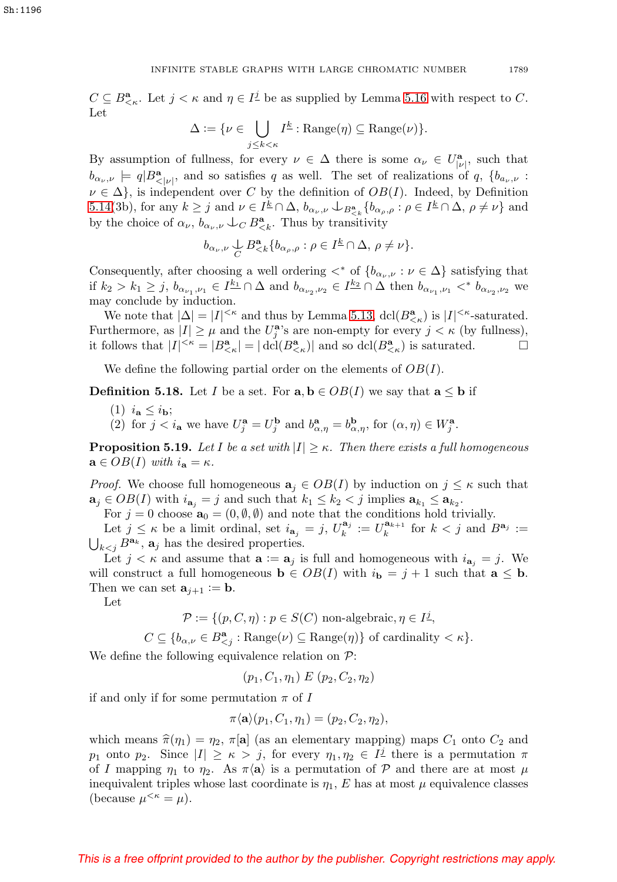$C \subseteq B^{\mathbf{a}}_{\leq \kappa}$ . Let  $j < \kappa$  and  $\eta \in I^{\underline{j}}$  be as supplied by Lemma [5.16](#page-21-0) with respect to C. Let

$$
\Delta := \{ \nu \in \bigcup_{j \leq k < \kappa} I^{\underline{k}} : \text{Range}(\eta) \subseteq \text{Range}(\nu) \}.
$$

By assumption of fullness, for every  $\nu \in \Delta$  there is some  $\alpha_{\nu} \in U^{\mathbf{a}}_{|\nu|}$ , such that  $b_{\alpha_\nu,\nu} \models q|B^{\bf a}_{\langle |\nu|}$ , and so satisfies q as well. The set of realizations of q,  $\{b_{a_\nu,\nu} :$  $\nu \in \Delta$ , is independent over C by the definition of  $OB(I)$ . Indeed, by Definition [5.14\(](#page-21-1)3b), for any  $k \geq j$  and  $\nu \in I^{\underline{k}} \cap \Delta$ ,  $b_{\alpha_{\nu},\nu} \cup_{B^{\mathbf{a}}_{\leq k}} \{b_{\alpha_{\rho},\rho} : \rho \in I^{\underline{k}} \cap \Delta$ ,  $\rho \neq \nu\}$  and by the choice of  $\alpha_{\nu}$ ,  $b_{\alpha_{\nu},\nu} \downarrow_C B_{\leq k}^{\mathbf{a}}$ . Thus by transitivity

$$
b_{\alpha_{\nu},\nu} \underset{C}{\cup} B^{\mathbf{a}}_{\leq k} \{ b_{\alpha_{\rho},\rho} : \rho \in I^{\underline{k}} \cap \Delta, \, \rho \neq \nu \}.
$$

Consequently, after choosing a well ordering  $\langle\cdot\rangle^*$  of  $\{b_{\alpha_{\nu},\nu} : \nu \in \Delta\}$  satisfying that if  $k_2 > k_1 \geq j$ ,  $b_{\alpha_{\nu_1},\nu_1} \in I^{\underline{k_1}} \cap \Delta$  and  $b_{\alpha_{\nu_2},\nu_2} \in I^{\underline{k_2}} \cap \Delta$  then  $b_{\alpha_{\nu_1},\nu_1} \lt^* b_{\alpha_{\nu_2},\nu_2}$  we may conclude by induction.

We note that  $|\Delta| = |I|^{<\kappa}$  and thus by Lemma [5.13,](#page-20-1)  $\text{dcl}(B^{\mathbf{a}}_{<\kappa})$  is  $|I|^{<\kappa}$ -saturated. Furthermore, as  $|I| \geq \mu$  and the  $U_j^{\mathbf{a}}$ 's are non-empty for every  $j < \kappa$  (by fullness), it follows that  $|I|^{<\kappa} = |B^{\mathbf{a}}_{<\kappa}| = |\text{dcl}(B^{\mathbf{a}}_{<\kappa})|$  and so  $\text{dcl}(B^{\mathbf{a}}_{<\kappa})$  is saturated.

We define the following partial order on the elements of  $OB(I)$ .

**Definition 5.18.** Let I be a set. For  $\mathbf{a}, \mathbf{b} \in OB(I)$  we say that  $\mathbf{a} \leq \mathbf{b}$  if

- (1)  $i_{\mathbf{a}} \leq i_{\mathbf{b}}$ ;
- (2) for  $j < i_a$  we have  $U_j^a = U_j^b$  and  $b_{\alpha,\eta}^a = b_{\alpha,\eta}^b$ , for  $(\alpha, \eta) \in W_j^a$ .

<span id="page-22-0"></span>**Proposition 5.19.** Let I be a set with  $|I| \geq \kappa$ . Then there exists a full homogeneous  $\mathbf{a} \in OB(I)$  with  $i_{\mathbf{a}} = \kappa$ .

*Proof.* We choose full homogeneous  $\mathbf{a}_j \in OB(I)$  by induction on  $j \leq \kappa$  such that  $\mathbf{a}_j \in OB(I)$  with  $i_{\mathbf{a}_j} = j$  and such that  $k_1 \leq k_2 < j$  implies  $\mathbf{a}_{k_1} \leq \mathbf{a}_{k_2}$ .

For  $j = 0$  choose  $\mathbf{a}_0 = (0, \emptyset, \emptyset)$  and note that the conditions hold trivially.

Let  $j \le \kappa$  be a limit ordinal, set  $i_{\mathbf{a}_j} = j$ ,  $U_k^{\mathbf{a}_j} := U_k^{\mathbf{a}_{k+1}}$  for  $k < j$  and  $B^{\mathbf{a}_j} := \bigcup_{k \le i} B^{\mathbf{a}_k}$ ,  $\mathbf{a}_i$  has the desired properties.  $\bigcup_{k < j} B^{\mathbf{a}_k}$ ,  $\mathbf{a}_j$  has the desired properties.

Let  $j < \kappa$  and assume that  $\mathbf{a} := \mathbf{a}_j$  is full and homogeneous with  $i_{\mathbf{a}_j} = j$ . We will construct a full homogeneous  $\mathbf{b} \in OB(I)$  with  $i_{\mathbf{b}} = j + 1$  such that  $\mathbf{a} \leq \mathbf{b}$ . Then we can set  $\mathbf{a}_{j+1} := \mathbf{b}$ .

Let

$$
\mathcal{P} := \{ (p, C, \eta) : p \in S(C) \text{ non-algebraic}, \eta \in I^{\underline{j}},
$$
  

$$
C \subseteq \{ b_{\alpha,\nu} \in B^{\mathbf{a}}_{\leq j} : \text{Range}(\nu) \subseteq \text{Range}(\eta) \} \text{ of cardinality } \langle \kappa \rangle.
$$

We define the following equivalence relation on  $P$ :

 $(p_1, C_1, \eta_1) \mathrel{E} (p_2, C_2, \eta_2)$ 

if and only if for some permutation  $\pi$  of I

$$
\pi \langle \mathbf{a} \rangle (p_1, C_1, \eta_1) = (p_2, C_2, \eta_2),
$$

which means  $\hat{\pi}(\eta_1) = \eta_2$ ,  $\pi[\mathbf{a}]$  (as an elementary mapping) maps  $C_1$  onto  $C_2$  and p<sub>1</sub> onto p<sub>2</sub>. Since  $|I| \geq \kappa > j$ , for every  $\eta_1, \eta_2 \in I^{\mathcal{I}}$  there is a permutation  $\pi$ of I mapping  $\eta_1$  to  $\eta_2$ . As  $\pi \langle a \rangle$  is a permutation of P and there are at most  $\mu$ inequivalent triples whose last coordinate is  $\eta_1$ , E has at most  $\mu$  equivalence classes (because  $\mu^{<\kappa} = \mu$ ).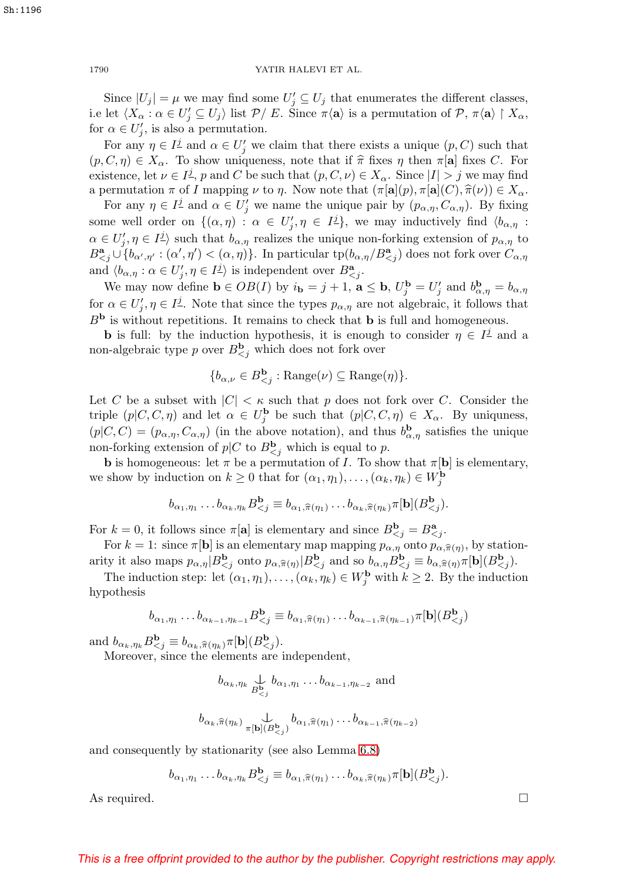Since  $|U_j| = \mu$  we may find some  $U'_j \subseteq U_j$  that enumerates the different classes, i.e let  $\langle X_{\alpha} : \alpha \in U'_j \subseteq U_j \rangle$  list  $\mathcal{P}/E$ . Since  $\pi \langle \mathbf{a} \rangle$  is a permutation of  $\mathcal{P}, \pi \langle \mathbf{a} \rangle \upharpoonright X_{\alpha}$ , for  $\alpha \in U'_j$ , is also a permutation.

For any  $\eta \in I^{\underline{j}}$  and  $\alpha \in U_j'$  we claim that there exists a unique  $(p, C)$  such that  $(p, C, \eta) \in X_\alpha$ . To show uniqueness, note that if  $\hat{\pi}$  fixes  $\eta$  then  $\pi[\mathbf{a}]$  fixes C. For existence, let  $\nu \in I^{\underline{j}}$ , p and C be such that  $(p, C, \nu) \in X_\alpha$ . Since  $|I| > j$  we may find a permutation  $\pi$  of I mapping  $\nu$  to  $\eta$ . Now note that  $(\pi[\mathbf{a}](p), \pi[\mathbf{a}](C), \hat{\pi}(\nu)) \in X_\alpha$ .

For any  $\eta \in I^{\underline{j}}$  and  $\alpha \in U_j'$  we name the unique pair by  $(p_{\alpha,\eta}, C_{\alpha,\eta})$ . By fixing some well order on  $\{(\alpha, \eta) : \alpha \in U'_j, \eta \in I^{\underline{j}}\}$ , we may inductively find  $\langle b_{\alpha, \eta}$ :  $\alpha \in U'_j, \eta \in I^{\underline{j}}$  such that  $b_{\alpha,\eta}$  realizes the unique non-forking extension of  $p_{\alpha,\eta}$  to  $B^{\bf a}_{\le j} \cup \{b_{\alpha',\eta'}:(\alpha',\eta')<(\alpha,\eta)\}\.$  In particular  $\text{tp}(b_{\alpha,\eta}/B^{\bf a}_{\le j})$  does not fork over  $C_{\alpha,\eta}$ and  $\langle b_{\alpha,\eta} : \alpha \in U'_j, \eta \in I^{\underline{j}} \rangle$  is independent over  $B^{\mathbf{a}}_{\leq j}$ .

We may now define  $\mathbf{b} \in OB(I)$  by  $i_{\mathbf{b}} = j + 1$ ,  $\mathbf{a} \leq \mathbf{b}$ ,  $U_j^{\mathbf{b}} = U_j'$  and  $b_{\alpha,\eta}^{\mathbf{b}} = b_{\alpha,\eta}$ for  $\alpha \in U'_j$ ,  $\eta \in I^{\underline{j}}$ . Note that since the types  $p_{\alpha,\eta}$  are not algebraic, it follows that  $B<sup>b</sup>$  is without repetitions. It remains to check that **b** is full and homogeneous.

**b** is full: by the induction hypothesis, it is enough to consider  $\eta \in I^{\mathcal{I}}$  and a non-algebraic type p over  $B^{\mathbf{b}}_{\leq j}$  which does not fork over

$$
\{b_{\alpha,\nu}\in B^{\mathbf{b}}_{
$$

Let C be a subset with  $|C| < \kappa$  such that p does not fork over C. Consider the triple  $(p|C, C, \eta)$  and let  $\alpha \in U_j^{\mathbf{b}}$  be such that  $(p|C, C, \eta) \in X_\alpha$ . By uniquness,  $(p|C, C)=(p_{\alpha,\eta}, C_{\alpha,\eta})$  (in the above notation), and thus  $b_{\alpha,\eta}^{\mathbf{b}}$  satisfies the unique non-forking extension of  $p|C$  to  $B_{\leq j}^{\mathbf{b}}$  which is equal to p.

**b** is homogeneous: let  $\pi$  be a permutation of I. To show that  $\pi[\mathbf{b}]$  is elementary, we show by induction on  $k \ge 0$  that for  $(\alpha_1, \eta_1), \ldots, (\alpha_k, \eta_k) \in W_j^{\mathbf{b}}$ <br>  $b_{\alpha_1, \eta_1} \ldots b_{\alpha_k, \eta_k} B_{<sub>j</sub>}^{\mathbf{b}} \equiv b_{\alpha_1, \widehat{\pi}(\eta_1)} \ldots b_{\alpha_k, \widehat{\pi}(\eta_k)} \pi[\mathbf{b}](B_{<sub>j</sub>}^{\mathbf{b}})$ 

$$
b_{\alpha_1,\eta_1}\dots b_{\alpha_k,\eta_k}B^{\mathbf{b}}_{\leq j}\equiv b_{\alpha_1,\widehat{\pi}(\eta_1)}\dots b_{\alpha_k,\widehat{\pi}(\eta_k)}\pi[\mathbf{b}](B^{\mathbf{b}}_{\leq j}).
$$

For  $k = 0$ , it follows since  $\pi[\mathbf{a}]$  is elementary and since  $B_{\leq j}^{\mathbf{b}} = B_{\leq j}^{\mathbf{a}}$ .<br>For  $k = 1$ : since  $\pi[\mathbf{b}]$  is an elementary map mapping  $p_{\alpha, \eta}$  onto  $p_{\alpha, \hat{\pi}}$ 

For  $k = 1$ : since  $\pi[\mathbf{b}]$  is an elementary map mapping  $p_{\alpha,\eta}$  onto  $p_{\alpha,\widehat{\pi}(\eta)}$ , by station-For  $k = 1$ : since  $\pi[\mathbf{b}]$  is an elementary map mapping  $p_{\alpha,\eta}$  onto  $p_{\alpha,\hat{\pi}(\eta)}$ , by statio arity it also maps  $p_{\alpha,\eta} | B_{\zeta_j}^{\mathbf{b}}$  onto  $p_{\alpha,\hat{\pi}(\eta)} | B_{\zeta_j}^{\mathbf{b}}$  and so  $b_{\alpha,\eta} B_{\zeta_j}^{\mathbf{b}} \equiv b_{\alpha,\hat{\pi}(\eta)}$ 

The induction step: let  $(\alpha_1, \eta_1), \ldots, (\alpha_k, \eta_k) \in W_j^{\mathbf{b}}$  with  $k \geq 2$ . By the induction hypothesis

$$
b_{\alpha_1,\eta_1}\dots b_{\alpha_{k-1},\eta_{k-1}}B^{\mathbf{b}}_{\leq j} \equiv b_{\alpha_1,\widehat{\pi}(\eta_1)}\dots b_{\alpha_{k-1},\widehat{\pi}(\eta_{k-1})}\pi[\mathbf{b}](B^{\mathbf{b}}_{\leq j})
$$

 $b_{\alpha_1,\eta_1} \dots b_{\alpha_{k-1},\eta_{k-1}} B_{<br>and  $b_{\alpha_k,\eta_k} B_{.$$ 

Moreover, since the elements are independent,

$$
b_{\alpha_k, \eta_k} \bigcup_{B \subsetneq j}^{L} b_{\alpha_1, \eta_1} \dots b_{\alpha_{k-1}, \eta_{k-2}} \text{ and}
$$
  

$$
b_{\alpha_k, \widehat{\pi}(\eta_k)} \bigcup_{\pi[b](B \subsetneq j)} b_{\alpha_1, \widehat{\pi}(\eta_1)} \dots b_{\alpha_{k-1}, \widehat{\pi}(\eta_{k-2})}
$$

and consequently by stationarity (see also Lemma [6.8\)](#page-29-1)<br>  $b_{\alpha_1,\eta_1} \dots b_{\alpha_k,\eta_k} B_{$ 

$$
b_{\alpha_1,\eta_1}\dots b_{\alpha_k,\eta_k}B^{\mathbf{b}}_{\leq j}\equiv b_{\alpha_1,\widehat{\pi}(\eta_1)}\dots b_{\alpha_k,\widehat{\pi}(\eta_k)}\pi[\mathbf{b}](B^{\mathbf{b}}_{\leq j}).
$$

As required.  $\Box$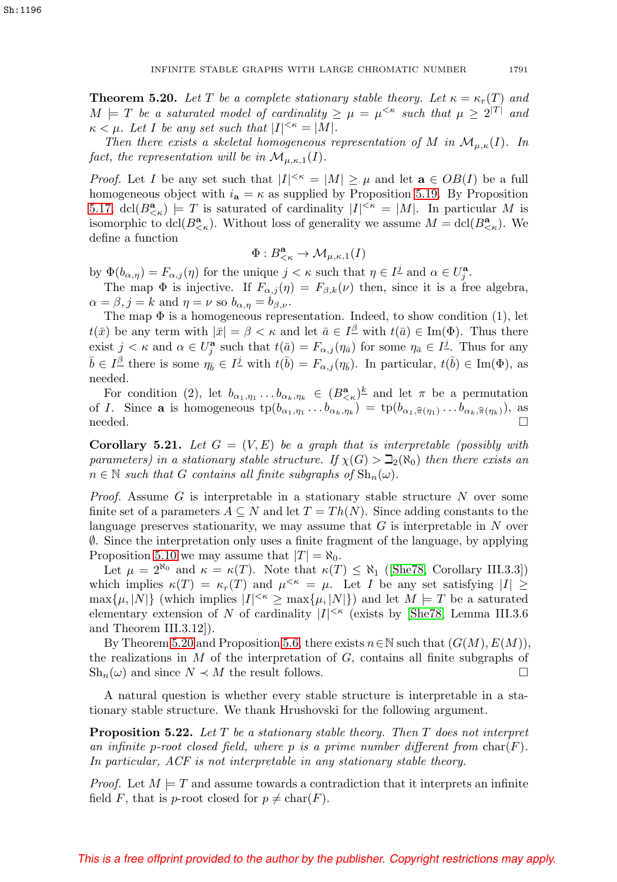<span id="page-24-1"></span>**Theorem 5.20.** Let T be a complete stationary stable theory. Let  $\kappa = \kappa_r(T)$  and  $M \models T$  be a saturated model of cardinality  $\geq \mu = \mu^{<\kappa}$  such that  $\mu \geq 2^{|T|}$  and  $\kappa < \mu$ . Let I be any set such that  $|I|^{<\kappa} = |M|$ .

Then there exists a skeletal homogeneous representation of M in  $\mathcal{M}_{\mu,\kappa}(I)$ . In fact, the representation will be in  $\mathcal{M}_{\mu,\kappa,1}(I)$ .

*Proof.* Let I be any set such that  $|I|^{<\kappa} = |M| \geq \mu$  and let  $\mathbf{a} \in OB(I)$  be a full homogeneous object with  $i_a = \kappa$  as supplied by Proposition [5.19.](#page-22-0) By Proposition [5.17,](#page-21-2) dcl( $B^{\mathbf{a}}_{\leq \kappa}$ )  $\models T$  is saturated of cardinality  $|I|^{<\kappa} = |M|$ . In particular M is isomorphic to  $\text{dcl}(B^{\mathbf{a}}_{\leq \kappa})$ . Without loss of generality we assume  $M = \text{dcl}(B^{\mathbf{a}}_{\leq \kappa})$ . We define a function

$$
\Phi:B^{\bf a}_{<\kappa}\to \mathcal{M}_{\mu,\kappa,1}(I)
$$

by  $\Phi(b_{\alpha,\eta}) = F_{\alpha,j}(\eta)$  for the unique  $j < \kappa$  such that  $\eta \in I^{\underline{j}}$  and  $\alpha \in U^{\mathbf{a}}_{\underline{j}}$ .

The map  $\Phi$  is injective. If  $F_{\alpha,j}(\eta) = F_{\beta,k}(\nu)$  then, since it is a free algebra,  $\alpha = \beta, j = k$  and  $\eta = \nu$  so  $b_{\alpha, \eta} = b_{\beta, \nu}$ .

The map  $\Phi$  is a homogeneous representation. Indeed, to show condition (1), let  $t(\bar{x})$  be any term with  $|\bar{x}| = \beta < \kappa$  and let  $\bar{a} \in I^{\underline{\beta}}$  with  $t(\bar{a}) \in \text{Im}(\Phi)$ . Thus there exist  $j < \kappa$  and  $\alpha \in U_j^{\mathbf{a}}$  such that  $t(\bar{a}) = F_{\alpha,j}(\eta_{\bar{a}})$  for some  $\eta_{\bar{a}} \in I^{\underline{j}}$ . Thus for any  $\bar{b} \in I^{\underline{\beta}}$  there is some  $\eta_{\bar{b}} \in I^{\underline{j}}$  with  $t(\bar{b}) = F_{\alpha,j}(\eta_{\bar{b}})$ . In particular,  $t(\bar{b}) \in \text{Im}(\Phi)$ , as needed.

For condition (2), let  $b_{\alpha_1,\eta_1} \dots b_{\alpha_k,\eta_k} \in (B_{\leq \kappa}^{\mathbf{a}})^k$  and let  $\pi$  be a permutation <br>*I*. Since **a** is homogeneous  $tp(b_{\alpha_1,\eta_1} \dots b_{\alpha_k,\eta_k}) = tp(b_{\alpha_1,\widehat{\pi}(\eta_1)} \dots b_{\alpha_k,\widehat{\pi}(\eta_k)})$ , as For condition (2), let  $b_{\alpha_1,\eta_1} \dots b_{\alpha_k,\eta_k} \in (B_{\leq \kappa}^{\mathbf{a}})^{\underline{k}}$  and let  $\pi$  be a permutation<br>of *I*. Since **a** is homogeneous  $tp(b_{\alpha_1,\eta_1} \dots b_{\alpha_k,\eta_k}) = tp(b_{\alpha_1,\widehat{\pi}(\eta_1)} \dots b_{\alpha_k,\widehat{\pi}(\eta_k)})$ , as  $\Box$ 

<span id="page-24-0"></span>**Corollary 5.21.** Let  $G = (V, E)$  be a graph that is interpretable (possibly with parameters) in a stationary stable structure. If  $\chi(G) > \mathbb{D}_2(\aleph_0)$  then there exists an  $n \in \mathbb{N}$  such that G contains all finite subgraphs of  $\mathrm{Sh}_n(\omega)$ .

*Proof.* Assume G is interpretable in a stationary stable structure  $N$  over some finite set of a parameters  $A \subseteq N$  and let  $T = Th(N)$ . Since adding constants to the language preserves stationarity, we may assume that  $G$  is interpretable in  $N$  over ∅. Since the interpretation only uses a finite fragment of the language, by applying Proposition [5.10](#page-19-1) we may assume that  $|T| = \aleph_0$ .

Let  $\mu = 2^{\aleph_0}$  and  $\kappa = \kappa(T)$ . Note that  $\kappa(T) \leq \aleph_1$  ([\[She78,](#page-31-19) Corollary III.3.3]) which implies  $\kappa(T) = \kappa_r(T)$  and  $\mu^{<\kappa} = \mu$ . Let I be any set satisfying  $|I| \ge$  $\max\{\mu, |N|\}$  (which implies  $|I|^{<\kappa} \geq \max\{\mu, |N|\}$ ) and let  $M \models T$  be a saturated elementary extension of N of cardinality  $|I|^{<\kappa}$  (exists by [\[She78,](#page-31-19) Lemma III.3.6 and Theorem III.3.12]).

By Theorem [5.20](#page-24-1) and Proposition [5.6,](#page-17-4) there exists  $n \in \mathbb{N}$  such that  $(G(M), E(M))$ , the realizations in  $M$  of the interpretation of  $G$ , contains all finite subgraphs of  $\text{Sh}_n(\omega)$  and since  $N \prec M$  the result follows.

A natural question is whether every stable structure is interpretable in a stationary stable structure. We thank Hrushovski for the following argument.

<span id="page-24-2"></span>**Proposition 5.22.** Let T be a stationary stable theory. Then T does not interpret an infinite p-root closed field, where p is a prime number different from  $char(F)$ . In particular, ACF is not interpretable in any stationary stable theory.

*Proof.* Let  $M \models T$  and assume towards a contradiction that it interprets an infinite field F, that is p-root closed for  $p \neq \text{char}(F)$ .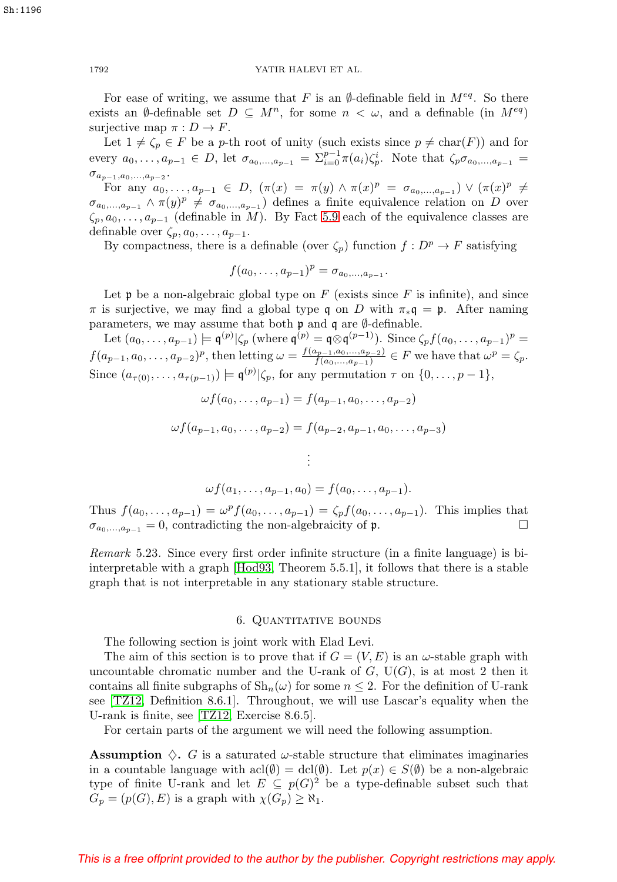For ease of writing, we assume that F is an  $\emptyset$ -definable field in  $M^{eq}$ . So there exists an Ø-definable set  $D \subseteq M^n$ , for some  $n < \omega$ , and a definable (in  $M^{eq}$ ) surjective map  $\pi : D \to F$ .

Let  $1 \neq \zeta_p \in F$  be a p-th root of unity (such exists since  $p \neq \text{char}(F)$ ) and for every  $a_0, \ldots, a_{p-1} \in D$ , let  $\sigma_{a_0, \ldots, a_{p-1}} = \sum_{i=0}^{p-1} \pi(a_i) \zeta_p^i$ . Note that  $\zeta_p \sigma_{a_0, \ldots, a_{p-1}} =$  $\sigma_{a_{p-1},a_0,\dots,a_{p-2}}.$ 

For any  $a_0, ..., a_{p-1} \in D$ ,  $(\pi(x) = \pi(y) \land \pi(x)^p = \sigma_{a_0,...,a_{p-1}}) \lor (\pi(x)^p \neq$  $\sigma_{a_0,...,a_{p-1}} \wedge \pi(y)^p \neq \sigma_{a_0,...,a_{p-1}}$  defines a finite equivalence relation on D over  $\zeta_p, a_0, \ldots, a_{p-1}$  (definable in M). By Fact [5.9](#page-19-0) each of the equivalence classes are definable over  $\zeta_p, a_0, \ldots, a_{p-1}.$ 

By compactness, there is a definable (over  $\zeta_p$ ) function  $f: D^p \to F$  satisfying

$$
f(a_0,\ldots,a_{p-1})^p = \sigma_{a_0,\ldots,a_{p-1}}.
$$

Let  $\mathfrak p$  be a non-algebraic global type on F (exists since F is infinite), and since  $\pi$  is surjective, we may find a global type q on D with  $\pi_* \mathfrak{q} = \mathfrak{p}$ . After naming parameters, we may assume that both  $\mathfrak p$  and  $\mathfrak q$  are  $\emptyset$ -definable.

Let  $(a_0, \ldots, a_{p-1}) \models \mathfrak{q}^{(p)} | \zeta_p$  (where  $\mathfrak{q}^{(p)} = \mathfrak{q} \otimes \mathfrak{q}^{(p-1)}$ ). Since  $\zeta_p f(a_0, \ldots, a_{p-1})^p =$  $f(a_{p-1}, a_0, \ldots, a_{p-2})^p$ , then letting  $\omega = \frac{f(a_{p-1}, a_0, \ldots, a_{p-2})}{f(a_0, \ldots, a_{p-1})} \in F$  we have that  $\omega^p = \zeta_p$ . Since  $(a_{\tau(0)},...,a_{\tau(p-1)}) \models \mathfrak{q}^{(p)} | \zeta_p$ , for any permutation  $\tau$  on  $\{0,...,p-1\},$ 

$$
\omega f(a_0, \dots, a_{p-1}) = f(a_{p-1}, a_0, \dots, a_{p-2})
$$
  

$$
\omega f(a_{p-1}, a_0, \dots, a_{p-2}) = f(a_{p-2}, a_{p-1}, a_0, \dots, a_{p-3})
$$
  

$$
\vdots
$$
  

$$
\omega f(a_1, \dots, a_{p-1}, a_0) = f(a_0, \dots, a_{p-1}).
$$

Thus  $f(a_0,...,a_{p-1}) = \omega^p f(a_0,...,a_{p-1}) = \zeta_p f(a_0,...,a_{p-1})$ . This implies that  $\sigma_{a_0,...,a_{p-1}} = 0$ , contradicting the non-algebraicity of p.

Remark 5.23. Since every first order infinite structure (in a finite language) is biinterpretable with a graph [\[Hod93,](#page-31-16) Theorem 5.5.1], it follows that there is a stable graph that is not interpretable in any stationary stable structure.

### 6. QUANTITATIVE BOUNDS

<span id="page-25-0"></span>The following section is joint work with Elad Levi.

The aim of this section is to prove that if  $G = (V, E)$  is an  $\omega$ -stable graph with uncountable chromatic number and the U-rank of  $G$ ,  $U(G)$ , is at most 2 then it contains all finite subgraphs of  $\mathrm{Sh}_n(\omega)$  for some  $n \leq 2$ . For the definition of U-rank see [\[TZ12,](#page-31-10) Definition 8.6.1]. Throughout, we will use Lascar's equality when the U-rank is finite, see [\[TZ12,](#page-31-10) Exercise 8.6.5].

For certain parts of the argument we will need the following assumption.

**Assumption**  $\Diamond$ . G is a saturated  $\psi$ -stable structure that eliminates imaginaries in a countable language with acl $(\emptyset) = \text{dcl}(\emptyset)$ . Let  $p(x) \in S(\emptyset)$  be a non-algebraic type of finite U-rank and let  $E \subseteq p(G)^2$  be a type-definable subset such that  $G_p = (p(G), E)$  is a graph with  $\chi(G_p) \geq \aleph_1$ .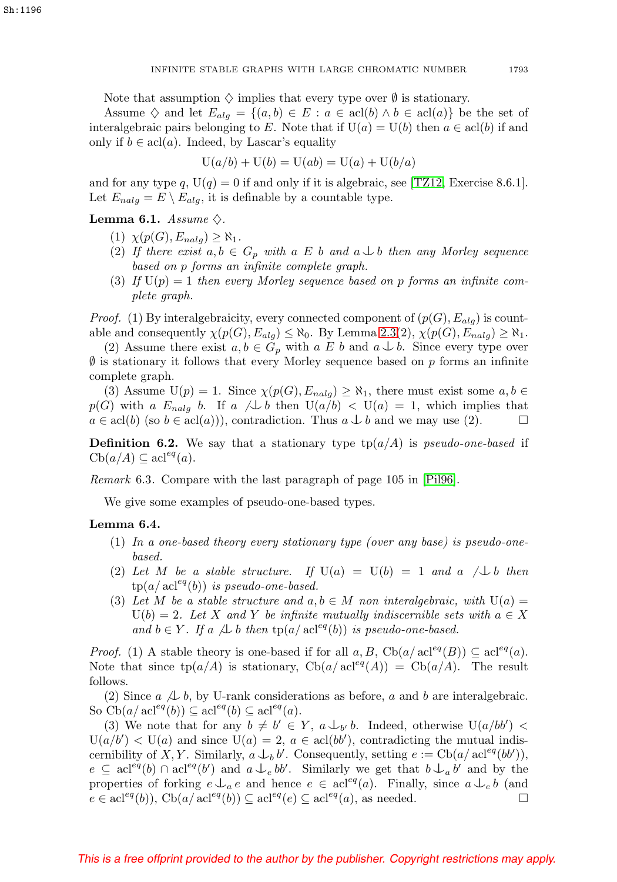Note that assumption  $\Diamond$  implies that every type over  $\emptyset$  is stationary.

Assume  $\diamondsuit$  and let  $E_{alg} = \{(a, b) \in E : a \in \text{acl}(b) \land b \in \text{acl}(a)\}\)$  be the set of interalgebraic pairs belonging to E. Note that if  $U(a) = U(b)$  then  $a \in \text{acl}(b)$  if and only if  $b \in \text{acl}(a)$ . Indeed, by Lascar's equality

$$
U(a/b) + U(b) = U(ab) = U(a) + U(b/a)
$$

and for any type q,  $U(q) = 0$  if and only if it is algebraic, see [\[TZ12,](#page-31-10) Exercise 8.6.1]. Let  $E_{nalg} = E \setminus E_{alg}$ , it is definable by a countable type.

# <span id="page-26-0"></span>**Lemma 6.1.** Assume  $\diamondsuit$ .

- $(1)$   $\chi(p(G), E_{nalg}) \geq \aleph_1$ .
- (2) If there exist  $a, b \in G_p$  with a E b and  $a \perp b$  then any Morley sequence based on p forms an infinite complete graph.
- (3) If  $U(p)=1$  then every Morley sequence based on p forms an infinite complete graph.

*Proof.* (1) By interalgebraicity, every connected component of  $(p(G), E_{alg})$  is countable and consequently  $\chi(p(G), E_{alg}) \leq \aleph_0$ . By Lemma [2.3\(](#page-2-0)2),  $\chi(p(G), E_{nalg}) \geq \aleph_1$ .

(2) Assume there exist  $a, b \in G_p$  with  $a \not\to b$  and  $a \not\to b$ . Since every type over  $\emptyset$  is stationary it follows that every Morley sequence based on p forms an infinite complete graph.

(3) Assume  $U(p) = 1$ . Since  $\chi(p(G), E_{nalg}) \geq \aleph_1$ , there must exist some  $a, b \in$  $p(G)$  with a  $E_{nalg}$  b. If a  $\bigwedge b$  then  $U(a/b) < U(a) = 1$ , which implies that  $a \in \text{acl}(b)$  (so  $b \in \text{acl}(a)$ )), contradiction. Thus  $a \perp b$  and we may use (2).

**Definition 6.2.** We say that a stationary type  $tp(a/A)$  is *pseudo-one-based* if  $\mathrm{Cb}(a/A) \subseteq \mathrm{acl}^{eq}(a).$ 

Remark 6.3. Compare with the last paragraph of page 105 in [\[Pil96\]](#page-31-20).

We give some examples of pseudo-one-based types.

## <span id="page-26-1"></span>**Lemma 6.4.**

- (1) In a one-based theory every stationary type (over any base) is pseudo-onebased.
- (2) Let M be a stable structure. If  $U(a) = U(b) = 1$  and a  $\Box b$  then  $tp(a/\operatorname{acl}^{eq}(b))$  is pseudo-one-based.
- (3) Let M be a stable structure and  $a, b \in M$  non interalgebraic, with  $U(a) =$  $U(b)=2$ . Let X and Y be infinite mutually indiscernible sets with  $a \in X$ and  $b \in Y$ . If a  $\bigtriangleup b$  then  $tp(a/\operatorname{acl}^{eq}(b))$  is pseudo-one-based.

*Proof.* (1) A stable theory is one-based if for all  $a, B$ , Cb( $a/acl^{eq}(B)$ )  $\subseteq$  acl<sup>eq</sup>( $a$ ). Note that since  $tp(a/A)$  is stationary,  $Cb(a/a)$  acl<sup>eq</sup> $(A)) = Cb(a/A)$ . The result follows.

(2) Since  $a \not\perp b$ , by U-rank considerations as before, a and b are interalgebraic. So  $\text{Cb}(a/\operatorname{acl}^{eq}(b)) \subseteq \operatorname{acl}^{eq}(b) \subseteq \operatorname{acl}^{eq}(a)$ .

(3) We note that for any  $b \neq b' \in Y$ ,  $a \bigcup_{b'} b$ . Indeed, otherwise  $U(a/bb')$  <  $U(a/b') < U(a)$  and since  $U(a) = 2, a \in \text{acl}(bb'),$  contradicting the mutual indiscernibility of X, Y. Similarly,  $a \bigcup_b b'$ . Consequently, setting  $e := \text{Cb}(a/\text{acl}^{eq}(bb'))$ ,  $e \subseteq \text{acl}^{eq}(b) \cap \text{acl}^{eq}(b')$  and  $a \downarrow_e bb'$ . Similarly we get that  $b \downarrow_a b'$  and by the properties of forking  $e \perp_a e$  and hence  $e \in \text{acl}^{eq}(a)$ . Finally, since  $a \perp_e b$  (and  $e \in \text{acl}^{eq}(b)$ ,  $\text{Cb}(a/\text{acl}^{eq}(b)) \subseteq \text{acl}^{eq}(e) \subseteq \text{acl}^{eq}(a)$ , as needed.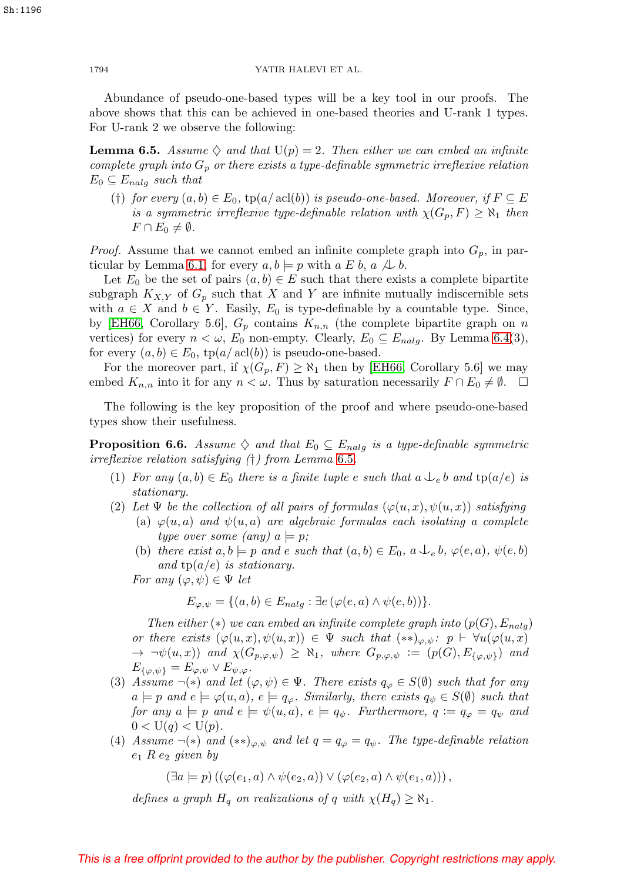Abundance of pseudo-one-based types will be a key tool in our proofs. The above shows that this can be achieved in one-based theories and U-rank 1 types. For U-rank 2 we observe the following:

<span id="page-27-0"></span>**Lemma 6.5.** Assume  $\diamondsuit$  and that  $U(p)=2$ . Then either we can embed an infinite complete graph into  $G_p$  or there exists a type-definable symmetric irreflexive relation  $E_0 \subseteq E_{nalg}$  such that

(†) for every  $(a, b) \in E_0$ ,  $tp(a/\operatorname{acl}(b))$  is pseudo-one-based. Moreover, if  $F \subseteq E$ is a symmetric irreflexive type-definable relation with  $\chi(G_p, F) \geq \aleph_1$  then  $F \cap E_0 \neq \emptyset$ .

*Proof.* Assume that we cannot embed an infinite complete graph into  $G_p$ , in par-ticular by Lemma [6.1,](#page-26-0) for every  $a, b \models p$  with  $a \not\sqsubseteq b$ ,  $a \not\sqcup b$ .

Let  $E_0$  be the set of pairs  $(a, b) \in E$  such that there exists a complete bipartite subgraph  $K_{X,Y}$  of  $G_p$  such that X and Y are infinite mutually indiscernible sets with  $a \in X$  and  $b \in Y$ . Easily,  $E_0$  is type-definable by a countable type. Since, by [\[EH66,](#page-31-0) Corollary 5.6],  $G_p$  contains  $K_{n,n}$  (the complete bipartite graph on n vertices) for every  $n < \omega$ ,  $E_0$  non-empty. Clearly,  $E_0 \subseteq E_{nalg}$ . By Lemma [6.4\(](#page-26-1)3), for every  $(a, b) \in E_0$ ,  $tp(a/\operatorname{acl}(b))$  is pseudo-one-based.

For the moreover part, if  $\chi(G_p, F) \geq \aleph_1$  then by [\[EH66,](#page-31-0) Corollary 5.6] we may embed  $K_{n,n}$  into it for any  $n < \omega$ . Thus by saturation necessarily  $F \cap E_0 \neq \emptyset$ .  $\Box$ 

The following is the key proposition of the proof and where pseudo-one-based types show their usefulness.

<span id="page-27-1"></span>**Proposition 6.6.** Assume  $\diamondsuit$  and that  $E_0 \subseteq E_{nalg}$  is a type-definable symmetric irreflexive relation satisfying (†) from Lemma [6.5](#page-27-0).

- (1) For any  $(a, b) \in E_0$  there is a finite tuple e such that  $a \bigcup_e b$  and  $tp(a/e)$  is stationary.
- (2) Let  $\Psi$  be the collection of all pairs of formulas  $(\varphi(u, x), \psi(u, x))$  satisfying
	- (a)  $\varphi(u, a)$  and  $\psi(u, a)$  are algebraic formulas each isolating a complete type over some (any)  $a \models p$ ;
	- (b) there exist  $a, b \models p$  and e such that  $(a, b) \in E_0$ ,  $a \bigcup_e b$ ,  $\varphi(e, a)$ ,  $\psi(e, b)$ and  $tp(a/e)$  is stationary.

For any  $(\varphi, \psi) \in \Psi$  let

$$
E_{\varphi,\psi} = \{(a,b) \in E_{nalg} : \exists e (\varphi(e,a) \land \psi(e,b))\}.
$$

Then either  $(*)$  we can embed an infinite complete graph into  $(p(G), E_{nalg})$ or there exists  $(\varphi(u, x), \psi(u, x)) \in \Psi$  such that  $(**)_{\varphi, \psi}$ :  $p \vdash \forall u (\varphi(u, x))$  $\rightarrow \neg \psi(u, x)$  and  $\chi(G_{p, \varphi, \psi}) \geq \aleph_1$ , where  $G_{p, \varphi, \psi} := (p(G), E_{\{\varphi, \psi\}})$  and  $E_{\{\varphi,\psi\}} = E_{\varphi,\psi} \vee E_{\psi,\varphi}.$ 

- (3) Assume  $\neg(\ast)$  and let  $(\varphi, \psi) \in \Psi$ . There exists  $q_{\varphi} \in S(\emptyset)$  such that for any  $a \models p$  and  $e \models \varphi(u, a), e \models q_\varphi$ . Similarly, there exists  $q_\psi \in S(\emptyset)$  such that for any  $a \models p$  and  $e \models \psi(u, a), e \models q_{\psi}$ . Furthermore,  $q := q_{\varphi} = q_{\psi}$  and  $0 < U(q) < U(p)$ .
- (4) Assume  $\neg(\ast)$  and  $(\ast \ast)_{\varphi,\psi}$  and let  $q = q_{\varphi} = q_{\psi}$ . The type-definable relation  $e_1$  R  $e_2$  given by

$$
(\exists a \models p) ((\varphi(e_1, a) \land \psi(e_2, a)) \lor (\varphi(e_2, a) \land \psi(e_1, a))),
$$

defines a graph  $H_q$  on realizations of q with  $\chi(H_q) \geq \aleph_1$ .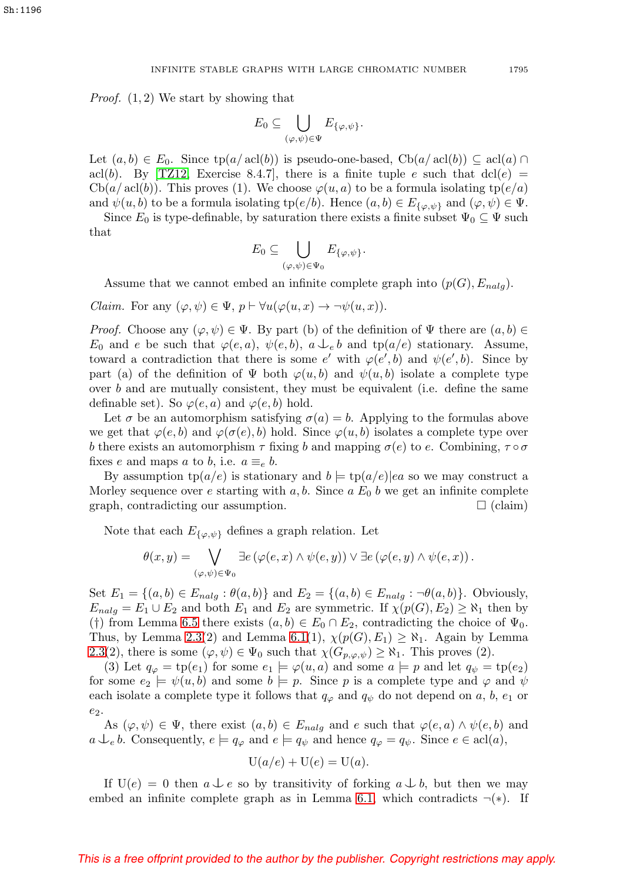Proof. (1, 2) We start by showing that

$$
E_0\subseteq\bigcup_{(\varphi,\psi)\in\Psi}E_{\{\varphi,\psi\}}.
$$

Let  $(a, b) \in E_0$ . Since  $tp(a/\text{acl}(b))$  is pseudo-one-based,  $Cb(a/\text{acl}(b)) \subseteq \text{acl}(a) \cap$ acl(b). By [\[TZ12,](#page-31-10) Exercise 8.4.7], there is a finite tuple e such that  $dcl(e)$  =  $Cb(a/\operatorname{acl}(b))$ . This proves (1). We choose  $\varphi(u, a)$  to be a formula isolating  $tp(e/a)$ and  $\psi(u, b)$  to be a formula isolating tp( $e/b$ ). Hence  $(a, b) \in E_{\{\varphi, \psi\}}$  and  $(\varphi, \psi) \in \Psi$ .

Since  $E_0$  is type-definable, by saturation there exists a finite subset  $\Psi_0 \subseteq \Psi$  such that

$$
E_0\subseteq\bigcup_{(\varphi,\psi)\in\Psi_0}E_{\{\varphi,\psi\}}.
$$

Assume that we cannot embed an infinite complete graph into  $(p(G), E_{nalg})$ .

*Claim.* For any  $(\varphi, \psi) \in \Psi$ ,  $p \vdash \forall u(\varphi(u, x) \rightarrow \neg \psi(u, x))$ .

*Proof.* Choose any  $(\varphi, \psi) \in \Psi$ . By part (b) of the definition of  $\Psi$  there are  $(a, b) \in \Psi$ .  $E_0$  and e be such that  $\varphi(e, a), \psi(e, b), a \downarrow_e b$  and tp( $a/e$ ) stationary. Assume, toward a contradiction that there is some e' with  $\varphi(e',b)$  and  $\psi(e',b)$ . Since by part (a) of the definition of  $\Psi$  both  $\varphi(u, b)$  and  $\psi(u, b)$  isolate a complete type over b and are mutually consistent, they must be equivalent (i.e. define the same definable set). So  $\varphi(e, a)$  and  $\varphi(e, b)$  hold.

Let  $\sigma$  be an automorphism satisfying  $\sigma(a) = b$ . Applying to the formulas above we get that  $\varphi(e, b)$  and  $\varphi(\sigma(e), b)$  hold. Since  $\varphi(u, b)$  isolates a complete type over b there exists an automorphism  $\tau$  fixing b and mapping  $\sigma(e)$  to e. Combining,  $\tau \circ \sigma$ fixes e and maps a to b, i.e.  $a \equiv_e b$ .

By assumption  $tp(a/e)$  is stationary and  $b \models tp(a/e)|ea$  so we may construct a Morley sequence over e starting with a, b. Since a  $E_0$  b we get an infinite complete graph, contradicting our assumption.  $\Box$  (claim)

Note that each  $E_{\{\varphi,\psi\}}$  defines a graph relation. Let

$$
\theta(x,y) = \bigvee_{(\varphi,\psi)\in\Psi_0}\exists e\left(\varphi(e,x)\wedge\psi(e,y)\right)\vee\exists e\left(\varphi(e,y)\wedge\psi(e,x)\right).
$$

Set  $E_1 = \{(a, b) \in E_{nalg} : \theta(a, b)\}\$  and  $E_2 = \{(a, b) \in E_{nalg} : \neg \theta(a, b)\}\$ . Obviously,  $E_{nalg} = E_1 \cup E_2$  and both  $E_1$  and  $E_2$  are symmetric. If  $\chi(p(G), E_2) \geq \aleph_1$  then by (†) from Lemma [6.5](#page-27-0) there exists  $(a, b) \in E_0 \cap E_2$ , contradicting the choice of  $\Psi_0$ . Thus, by Lemma [2.3\(](#page-2-0)2) and Lemma [6.1\(](#page-26-0)1),  $\chi(p(G), E_1) \geq \aleph_1$ . Again by Lemma [2.3\(](#page-2-0)2), there is some  $(\varphi, \psi) \in \Psi_0$  such that  $\chi(G_{p,\varphi,\psi}) \geq \aleph_1$ . This proves (2).

(3) Let  $q_{\varphi} = \text{tp}(e_1)$  for some  $e_1 \models \varphi(u, a)$  and some  $a \models p$  and let  $q_{\psi} = \text{tp}(e_2)$ for some  $e_2 \models \psi(u, b)$  and some  $b \models p$ . Since p is a complete type and  $\varphi$  and  $\psi$ each isolate a complete type it follows that  $q_{\varphi}$  and  $q_{\psi}$  do not depend on a, b,  $e_1$  or  $e_2$ .

As  $(\varphi, \psi) \in \Psi$ , there exist  $(a, b) \in E_{nalg}$  and e such that  $\varphi(e, a) \wedge \psi(e, b)$  and  $a \bigcup_{e} b$ . Consequently,  $e \models q_{\varphi}$  and  $e \models q_{\psi}$  and hence  $q_{\varphi} = q_{\psi}$ . Since  $e \in \text{acl}(a)$ ,

$$
U(a/e) + U(e) = U(a).
$$

If  $U(e) = 0$  then  $a \perp e$  so by transitivity of forking  $a \perp b$ , but then we may embed an infinite complete graph as in Lemma [6.1,](#page-26-0) which contradicts  $\neg(*)$ . If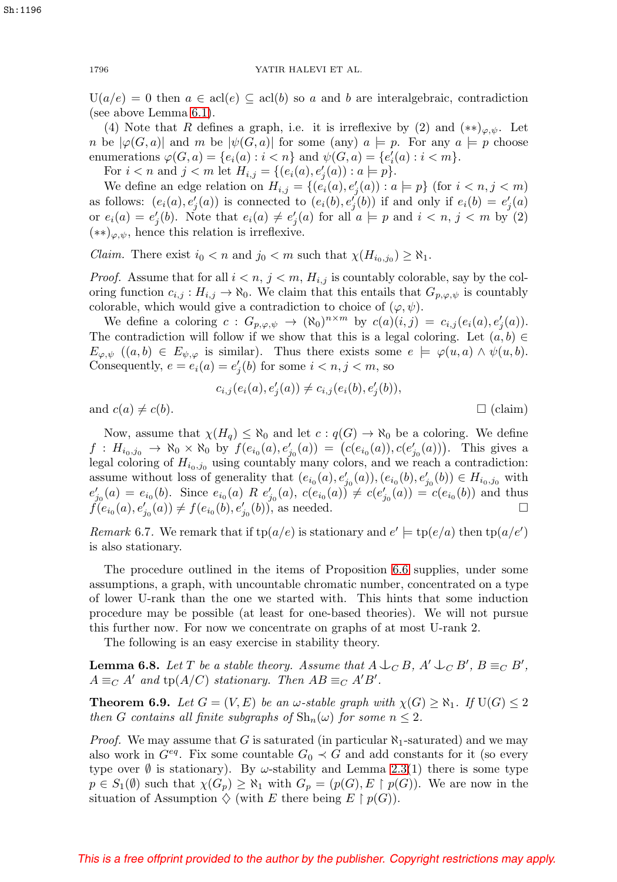$U(a/e) = 0$  then  $a \in \text{acl}(e) \subseteq \text{acl}(b)$  so a and b are interalgebraic, contradiction (see above Lemma [6.1\)](#page-26-0).

(4) Note that R defines a graph, i.e. it is irreflexive by (2) and  $(**)_{\varphi,\psi}$ . Let n be  $|\varphi(G, a)|$  and m be  $|\psi(G, a)|$  for some (any)  $a \models p$ . For any  $a \models p$  choose enumerations  $\varphi(G, a) = \{e_i(a) : i < n\}$  and  $\psi(G, a) = \{e'_i(a) : i < m\}.$ 

For  $i < n$  and  $j < m$  let  $H_{i,j} = \{(e_i(a), e'_j(a)) : a \models p\}.$ 

We define an edge relation on  $H_{i,j} = \{(e_i(a), e'_j(a)) : a \models p\}$  (for  $i < n, j < m$ ) as follows:  $(e_i(a), e'_j(a))$  is connected to  $(e_i(b), e'_j(b))$  if and only if  $e_i(b) = e'_j(a)$ or  $e_i(a) = e'_j(b)$ . Note that  $e_i(a) \neq e'_j(a)$  for all  $a \models p$  and  $i < n, j < m$  by (2)  $(**)_{\varphi,\psi}$ , hence this relation is irreflexive.

Claim. There exist  $i_0 < n$  and  $j_0 < m$  such that  $\chi(H_{i_0,j_0}) \geq \aleph_1$ .

*Proof.* Assume that for all  $i < n$ ,  $j < m$ ,  $H_{i,j}$  is countably colorable, say by the coloring function  $c_{i,j}: H_{i,j} \to \aleph_0$ . We claim that this entails that  $G_{p,\varphi,\psi}$  is countably colorable, which would give a contradiction to choice of  $(\varphi, \psi)$ .

We define a coloring  $c: G_{p,\varphi,\psi} \to (\aleph_0)^{n \times m}$  by  $c(a)(i,j) = c_{i,j}(e_i(a), e'_j(a)).$ The contradiction will follow if we show that this is a legal coloring. Let  $(a, b) \in$  $E_{\varphi,\psi}$   $((a,b) \in E_{\psi,\varphi}$  is similar). Thus there exists some  $e \models \varphi(u,a) \land \psi(u,b)$ . Consequently,  $e = e_i(a) = e'_j(b)$  for some  $i < n, j < m$ , so

$$
c_{i,j}(e_i(a), e'_j(a)) \neq c_{i,j}(e_i(b), e'_j(b)),
$$

 $\Box$  (claim).

and  $c(a) \neq c(b)$ .

Now, assume that  $\chi(H_q) \leq \aleph_0$  and let  $c : q(G) \to \aleph_0$  be a coloring. We define  $f: H_{i_0,j_0} \to \aleph_0 \times \aleph_0$  by  $f(e_{i_0}(a), e'_{j_0}(a)) = (c(e_{i_0}(a)), c(e'_{j_0}(a)))$ . This gives a legal coloring of  $H_{i_0,j_0}$  using countably many colors, and we reach a contradiction: assume without loss of generality that  $(e_{i_0}(a), e'_{j_0}(a)), (e_{i_0}(b), e'_{j_0}(b)) \in H_{i_0, j_0}$  with  $e'_{j_0}(a) = e_{i_0}(b)$ . Since  $e_{i_0}(a)$  R  $e'_{j_0}(a)$ ,  $c(e_{i_0}(a)) \neq c(e'_{j_0}(a)) = c(e_{i_0}(b))$  and thus  $f(e_{i_0}(a), e'_{j_0}(a)) \neq f(e_{i_0}(b), e'_{j_0}(b))$ , as needed.

Remark 6.7. We remark that if  $tp(a/e)$  is stationary and  $e' \models tp(e/a)$  then  $tp(a/e')$ is also stationary.

The procedure outlined in the items of Proposition [6.6](#page-27-1) supplies, under some assumptions, a graph, with uncountable chromatic number, concentrated on a type of lower U-rank than the one we started with. This hints that some induction procedure may be possible (at least for one-based theories). We will not pursue this further now. For now we concentrate on graphs of at most U-rank 2.

The following is an easy exercise in stability theory.

<span id="page-29-1"></span>**Lemma 6.8.** Let T be a stable theory. Assume that  $A \cup_C B$ ,  $A' \cup_C B'$ ,  $B \equiv_C B'$ ,  $A \equiv_C A'$  and  $tp(A/C)$  stationary. Then  $AB \equiv_C A'B'$ .

<span id="page-29-0"></span>**Theorem 6.9.** Let  $G = (V, E)$  be an  $\omega$ -stable graph with  $\chi(G) \geq \aleph_1$ . If  $U(G) \leq 2$ then G contains all finite subgraphs of  $\text{Sh}_n(\omega)$  for some  $n \leq 2$ .

*Proof.* We may assume that G is saturated (in particular  $\aleph_1$ -saturated) and we may also work in  $G^{eq}$ . Fix some countable  $G_0 \prec G$  and add constants for it (so every type over  $\emptyset$  is stationary). By  $\omega$ -stability and Lemma [2.3\(](#page-2-0)1) there is some type  $p \in S_1(\emptyset)$  such that  $\chi(G_p) \geq \aleph_1$  with  $G_p = (p(G), E \restriction p(G))$ . We are now in the situation of Assumption  $\diamondsuit$  (with E there being  $E \restriction p(G)$ ).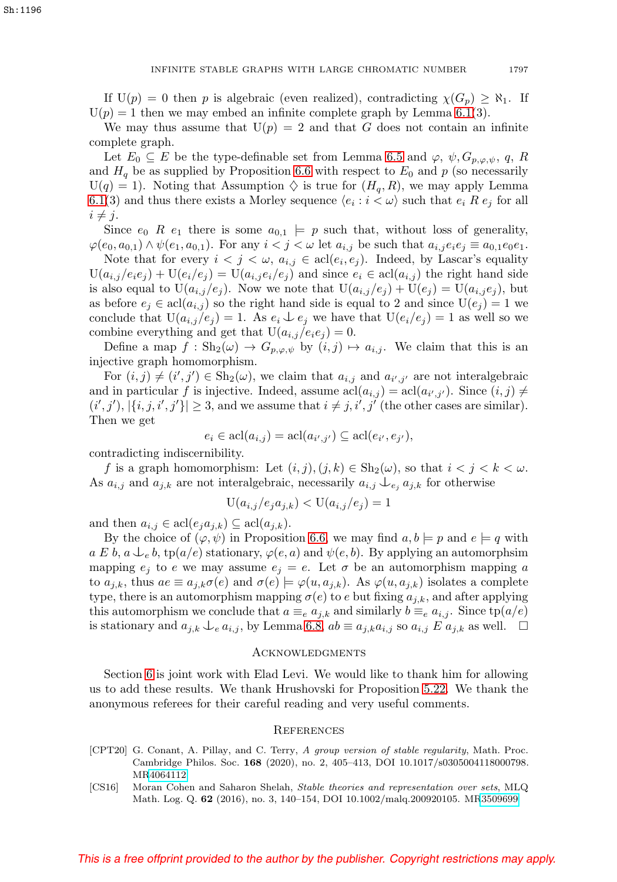If  $U(p) = 0$  then p is algebraic (even realized), contradicting  $\chi(G_p) \geq \aleph_1$ . If  $U(p) = 1$  then we may embed an infinite complete graph by Lemma [6.1\(](#page-26-0)3).

We may thus assume that  $U(p) = 2$  and that G does not contain an infinite complete graph.

Let  $E_0 \subseteq E$  be the type-definable set from Lemma [6.5](#page-27-0) and  $\varphi$ ,  $\psi$ ,  $G_{p,\varphi,\psi}$ , q, R and  $H_q$  be as supplied by Proposition [6.6](#page-27-1) with respect to  $E_0$  and p (so necessarily  $U(q) = 1$ ). Noting that Assumption  $\diamondsuit$  is true for  $(H_q, R)$ , we may apply Lemma [6.1\(](#page-26-0)3) and thus there exists a Morley sequence  $\langle e_i : i \langle \omega \rangle$  such that  $e_i R e_j$  for all  $i \neq j$ .

Since  $e_0$  R  $e_1$  there is some  $a_{0,1} \models p$  such that, without loss of generality,  $\varphi(e_0, a_{0,1}) \wedge \psi(e_1, a_{0,1})$ . For any  $i < j < \omega$  let  $a_{i,j}$  be such that  $a_{i,j} e_i e_j \equiv a_{0,1} e_0 e_1$ .

Note that for every  $i < j < \omega$ ,  $a_{i,j} \in \text{acl}(e_i, e_j)$ . Indeed, by Lascar's equality  $U(a_{i,j}/e_ie_j) + U(e_i/e_j) = U(a_{i,j}e_i/e_j)$  and since  $e_i \in \text{acl}(a_{i,j})$  the right hand side is also equal to  $U(a_{i,j}/e_j)$ . Now we note that  $U(a_{i,j}/e_j) + U(e_j) = U(a_{i,j}e_j)$ , but as before  $e_j \in \text{acl}(a_{i,j})$  so the right hand side is equal to 2 and since  $U(e_j) = 1$  we conclude that  $U(a_{i,j}/e_j) = 1$ . As  $e_i \nightharpoonup e_j$  we have that  $U(e_i/e_j) = 1$  as well so we combine everything and get that  $U(a_{i,j}/e_i e_j) = 0$ .

Define a map  $f : Sh_2(\omega) \to G_{p,\varphi,\psi}$  by  $(i,j) \mapsto a_{i,j}$ . We claim that this is an injective graph homomorphism.

For  $(i, j) \neq (i', j') \in Sh_2(\omega)$ , we claim that  $a_{i,j}$  and  $a_{i',j'}$  are not interalgebraic and in particular f is injective. Indeed, assume  $\text{acl}(a_{i,j}) = \text{acl}(a_{i',j'})$ . Since  $(i, j) \neq j$  $(i', j'), |\{i, j, i', j'\}| \geq 3$ , and we assume that  $i \neq j, i', j'$  (the other cases are similar). Then we get

 $e_i \in \text{acl}(a_{i,j}) = \text{acl}(a_{i',j'}) \subseteq \text{acl}(e_{i'}, e_{j'}),$ 

contradicting indiscernibility.

f is a graph homomorphism: Let  $(i, j), (j, k) \in \text{Sh}_2(\omega)$ , so that  $i < j < k < \omega$ . As  $a_{i,j}$  and  $a_{j,k}$  are not interalgebraic, necessarily  $a_{i,j} \bigcup_{e_j} a_{j,k}$  for otherwise

$$
U(a_{i,j}/e_j a_{j,k}) < U(a_{i,j}/e_j) = 1
$$

and then  $a_{i,j} \in \text{acl}(e_j a_{j,k}) \subseteq \text{acl}(a_{j,k}).$ 

By the choice of  $(\varphi, \psi)$  in Proposition [6.6,](#page-27-1) we may find  $a, b \models p$  and  $e \models q$  with  $a\mathcal{L}b$ ,  $a\mathcal{L}_e b$ , tp( $a/e$ ) stationary,  $\varphi(e, a)$  and  $\psi(e, b)$ . By applying an automorphsim mapping  $e_j$  to e we may assume  $e_j = e$ . Let  $\sigma$  be an automorphism mapping a to  $a_{j,k}$ , thus  $ae \equiv a_{j,k}\sigma(e)$  and  $\sigma(e) \models \varphi(u, a_{j,k})$ . As  $\varphi(u, a_{j,k})$  isolates a complete type, there is an automorphism mapping  $\sigma(e)$  to e but fixing  $a_{i,k}$ , and after applying this automorphism we conclude that  $a \equiv_e a_{i,k}$  and similarly  $b \equiv_e a_{i,j}$ . Since  $tp(a/e)$ is stationary and  $a_{j,k} \bigcup e a_{i,j}$ , by Lemma [6.8,](#page-29-1)  $ab \equiv a_{j,k} a_{i,j}$  so  $a_{i,j} E a_{j,k}$  as well.  $\Box$ 

## **ACKNOWLEDGMENTS**

Section [6](#page-25-0) is joint work with Elad Levi. We would like to thank him for allowing us to add these results. We thank Hrushovski for Proposition [5.22.](#page-24-2) We thank the anonymous referees for their careful reading and very useful comments.

#### **REFERENCES**

- <span id="page-30-0"></span>[CPT20] G. Conant, A. Pillay, and C. Terry, A group version of stable regularity, Math. Proc. Cambridge Philos. Soc. **168** (2020), no. 2, 405–413, DOI 10.1017/s0305004118000798. M[R4064112](https://www.ams.org/mathscinet-getitem?mr=4064112)
- <span id="page-30-1"></span>[CS16] Moran Cohen and Saharon Shelah, Stable theories and representation over sets, MLQ Math. Log. Q. **62** (2016), no. 3, 140–154, DOI 10.1002/malq.200920105. M[R3509699](https://www.ams.org/mathscinet-getitem?mr=3509699)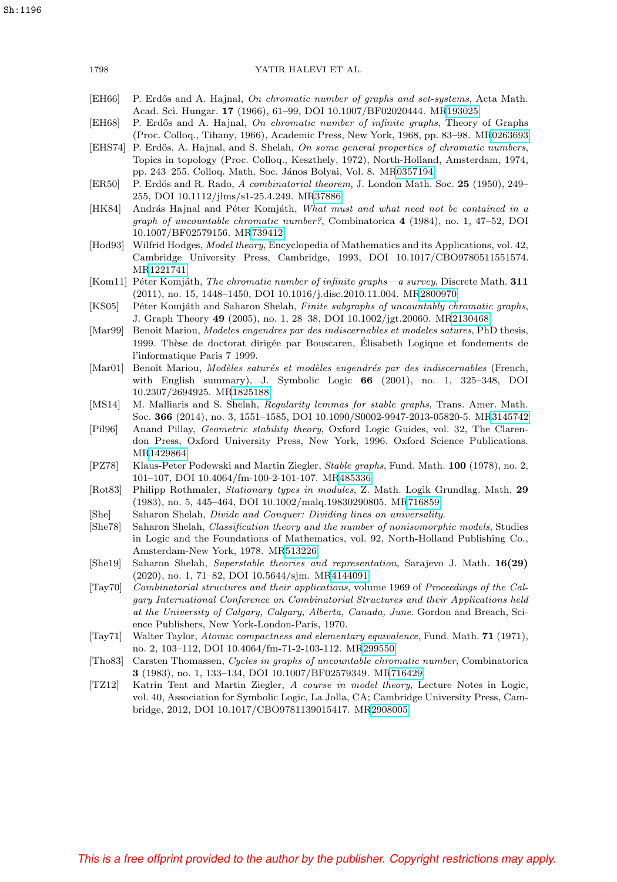<span id="page-31-20"></span><span id="page-31-19"></span><span id="page-31-18"></span><span id="page-31-17"></span><span id="page-31-16"></span><span id="page-31-15"></span><span id="page-31-14"></span><span id="page-31-13"></span><span id="page-31-12"></span><span id="page-31-11"></span><span id="page-31-10"></span><span id="page-31-9"></span><span id="page-31-8"></span><span id="page-31-7"></span><span id="page-31-6"></span><span id="page-31-5"></span><span id="page-31-4"></span><span id="page-31-3"></span><span id="page-31-2"></span><span id="page-31-1"></span><span id="page-31-0"></span>

| 1798                          | YATIR HALEVI ET AL.                                                                                                                                                                                                                                                                                                                    |
|-------------------------------|----------------------------------------------------------------------------------------------------------------------------------------------------------------------------------------------------------------------------------------------------------------------------------------------------------------------------------------|
| EH66                          | P. Erdős and A. Hajnal, On chromatic number of graphs and set-systems, Acta Math.<br>Acad. Sci. Hungar. 17 (1966), 61–99, DOI 10.1007/BF02020444. MR193025                                                                                                                                                                             |
| EH68                          | P. Erdős and A. Hajnal, On chromatic number of infinite graphs, Theory of Graphs                                                                                                                                                                                                                                                       |
| [EHS74]                       | (Proc. Colloq., Tihany, 1966), Academic Press, New York, 1968, pp. 83–98. MR0263693<br>P. Erdős, A. Hajnal, and S. Shelah, On some general properties of chromatic numbers,<br>Topics in topology (Proc. Colloq., Keszthely, 1972), North-Holland, Amsterdam, 1974,<br>pp. 243-255. Colloq. Math. Soc. János Bolyai, Vol. 8. MR0357194 |
| ER50                          | P. Erdös and R. Rado, A combinatorial theorem, J. London Math. Soc. 25 (1950), 249–<br>255, DOI 10.1112/jlms/s1-25.4.249. MR37886                                                                                                                                                                                                      |
| [HK84]                        | András Hajnal and Péter Komjáth, What must and what need not be contained in a<br>graph of uncountable chromatic number?, Combinatorica 4 (1984), no. 1, 47-52, DOI<br>10.1007/BF02579156. MR739412                                                                                                                                    |
| Hod93                         | Wilfrid Hodges, Model theory, Encyclopedia of Mathematics and its Applications, vol. 42,<br>Cambridge University Press, Cambridge, 1993, DOI 10.1017/CBO9780511551574.<br>MR1221741                                                                                                                                                    |
|                               | [Kom11] Péter Komjáth, The chromatic number of infinite graphs—a survey, Discrete Math. 311<br>$(2011)$ , no. 15, 1448–1450, DOI 10.1016/j.disc.2010.11.004. MR2800970                                                                                                                                                                 |
| [KS05]                        | Péter Komjáth and Saharon Shelah, Finite subgraphs of uncountably chromatic graphs,<br>J. Graph Theory 49 (2005), no. 1, 28–38, DOI 10.1002/jgt.20060. MR2130468                                                                                                                                                                       |
| $\left[ \text{Mar99} \right]$ | Benoit Mariou, Modeles engendres par des indiscernables et modeles satures, PhD thesis,<br>1999. Thèse de doctorat dirigée par Bouscaren, Elisabeth Logique et fondements de<br>l'informatique Paris 7 1999.                                                                                                                           |
| $ \text{Mar01} $              | Benoît Mariou, Modèles saturés et modèles engendrés par des indiscernables (French,<br>with English summary), J. Symbolic Logic $66$ (2001), no. 1, 325–348, DOI<br>10.2307/2694925. MR1825188                                                                                                                                         |
| [MS14]                        | M. Malliaris and S. Shelah, Regularity lemmas for stable graphs, Trans. Amer. Math.<br>Soc. 366 (2014), no. 3, 1551-1585, DOI 10.1090/S0002-9947-2013-05820-5. MR3145742                                                                                                                                                               |
| $ P_i $                       | Anand Pillay, <i>Geometric stability theory</i> , Oxford Logic Guides, vol. 32, The Claren-<br>don Press, Oxford University Press, New York, 1996. Oxford Science Publications.<br>MR1429864                                                                                                                                           |
| PZ78                          | Klaus-Peter Podewski and Martin Ziegler, Stable graphs, Fund. Math. 100 (1978), no. 2,<br>101-107, DOI 10.4064/fm-100-2-101-107. MR485336                                                                                                                                                                                              |
| $\vert \text{Rot83} \vert$    | Philipp Rothmaler, <i>Stationary types in modules</i> , Z. Math. Logik Grundlag. Math. 29<br>$(1983)$ , no. 5, 445-464, DOI 10.1002/malq.19830290805. MR716859                                                                                                                                                                         |
| [She]<br>[She78]              | Saharon Shelah, <i>Divide and Conquer: Dividing lines on universality</i> .<br>Saharon Shelah, Classification theory and the number of nonisomorphic models, Studies<br>in Logic and the Foundations of Mathematics, vol. 92, North-Holland Publishing Co.,<br>Amsterdam-New York, 1978. MR513226                                      |
| She19                         | Saharon Shelah, Superstable theories and representation, Sarajevo J. Math. 16(29)<br>$(2020)$ , no. 1, 71–82, DOI 10.5644/sjm. MR4144091                                                                                                                                                                                               |
| $\lceil \text{Taylor} \rceil$ | Combinatorial structures and their applications, volume 1969 of Proceedings of the Cal-<br>gary International Conference on Combinatorial Structures and their Applications held<br>at the University of Calgary, Calgary, Alberta, Canada, June. Gordon and Breach, Sci-<br>ence Publishers, New York-London-Paris, 1970.             |
| $\vert \text{Taylor1} \vert$  | Walter Taylor, Atomic compactness and elementary equivalence, Fund. Math. 71 (1971),<br>no. 2, 103-112, DOI 10.4064/fm-71-2-103-112. MR299550                                                                                                                                                                                          |
| Tho83                         | Carsten Thomassen, Cycles in graphs of uncountable chromatic number, Combinatorica<br>3 (1983), no. 1, 133-134, DOI 10.1007/BF02579349. MR716429                                                                                                                                                                                       |
| [TZ12]                        | Katrin Tent and Martin Ziegler, A course in model theory, Lecture Notes in Logic,<br>vol. 40, Association for Symbolic Logic, La Jolla, CA; Cambridge University Press, Cam-<br>bridge, 2012, DOI 10.1017/CBO9781139015417. MR2908005                                                                                                  |
|                               |                                                                                                                                                                                                                                                                                                                                        |
|                               |                                                                                                                                                                                                                                                                                                                                        |
|                               |                                                                                                                                                                                                                                                                                                                                        |
|                               |                                                                                                                                                                                                                                                                                                                                        |
|                               |                                                                                                                                                                                                                                                                                                                                        |